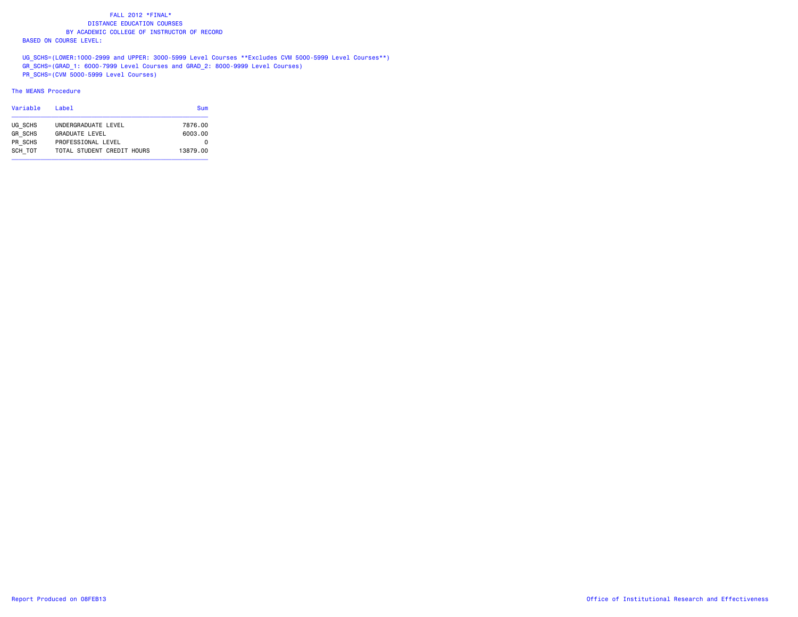UG SCHS=(LOWER:1000-2999 and UPPER: 3000-5999 Level Courses \*\*Excludes CVM 5000-5999 Level Courses\*\*) GR\_SCHS=(GRAD\_1: 6000-7999 Level Courses and GRAD\_2: 8000-9999 Level Courses) PR\_SCHS=(CVM 5000-5999 Level Courses)

### The MEANS Procedure

| Variable       | l ahel                     | Sum      |
|----------------|----------------------------|----------|
| UG SCHS        | UNDERGRADUATE LEVEL        | 7876.00  |
| <b>GR SCHS</b> | <b>GRADUATE LEVEL</b>      | 6003.00  |
| PR SCHS        | PROFESSIONAL LEVEL         | 0        |
| SCH TOT        | TOTAL STUDENT CREDIT HOURS | 13879.00 |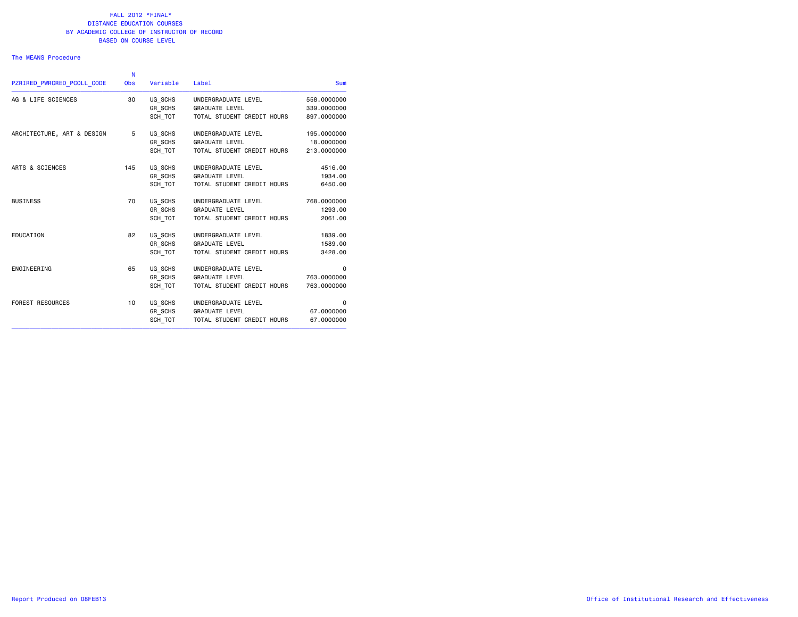### The MEANS Procedure

| PZRIRED PWRCRED PCOLL CODE | N<br><b>Obs</b> | Variable       | Label                      | <b>Sum</b>  |
|----------------------------|-----------------|----------------|----------------------------|-------------|
| AG & LIFE SCIENCES         | 30              | UG SCHS        | UNDERGRADUATE LEVEL        | 558.0000000 |
|                            |                 | GR SCHS        | <b>GRADUATE LEVEL</b>      | 339.0000000 |
|                            |                 | SCH TOT        | TOTAL STUDENT CREDIT HOURS | 897,0000000 |
| ARCHITECTURE, ART & DESIGN | 5               | UG SCHS        | UNDERGRADUATE LEVEL        | 195.0000000 |
|                            |                 | <b>GR SCHS</b> | <b>GRADUATE LEVEL</b>      | 18.0000000  |
|                            |                 | SCH TOT        | TOTAL STUDENT CREDIT HOURS | 213,0000000 |
| ARTS & SCIENCES            | 145             | UG SCHS        | UNDERGRADUATE LEVEL        | 4516.00     |
|                            |                 | GR SCHS        | <b>GRADUATE LEVEL</b>      | 1934.00     |
|                            |                 | SCH TOT        | TOTAL STUDENT CREDIT HOURS | 6450.00     |
| <b>BUSINESS</b>            | 70              | UG SCHS        | UNDERGRADUATE LEVEL        | 768.0000000 |
|                            |                 | GR SCHS        | <b>GRADUATE LEVEL</b>      | 1293.00     |
|                            |                 | SCH TOT        | TOTAL STUDENT CREDIT HOURS | 2061.00     |
| EDUCATION                  | 82              | UG SCHS        | UNDERGRADUATE LEVEL        | 1839.00     |
|                            |                 | GR SCHS        | <b>GRADUATE LEVEL</b>      | 1589.00     |
|                            |                 | SCH TOT        | TOTAL STUDENT CREDIT HOURS | 3428.00     |
| ENGINEERING                | 65              | UG SCHS        | UNDERGRADUATE LEVEL        | $\mathbf 0$ |
|                            |                 | GR SCHS        | <b>GRADUATE LEVEL</b>      | 763,0000000 |
|                            |                 | SCH TOT        | TOTAL STUDENT CREDIT HOURS | 763.0000000 |
| FOREST RESOURCES           | 10              | UG SCHS        | UNDERGRADUATE LEVEL        | $\mathbf 0$ |
|                            |                 | GR SCHS        | <b>GRADUATE LEVEL</b>      | 67,0000000  |
|                            |                 | SCH TOT        | TOTAL STUDENT CREDIT HOURS | 67,0000000  |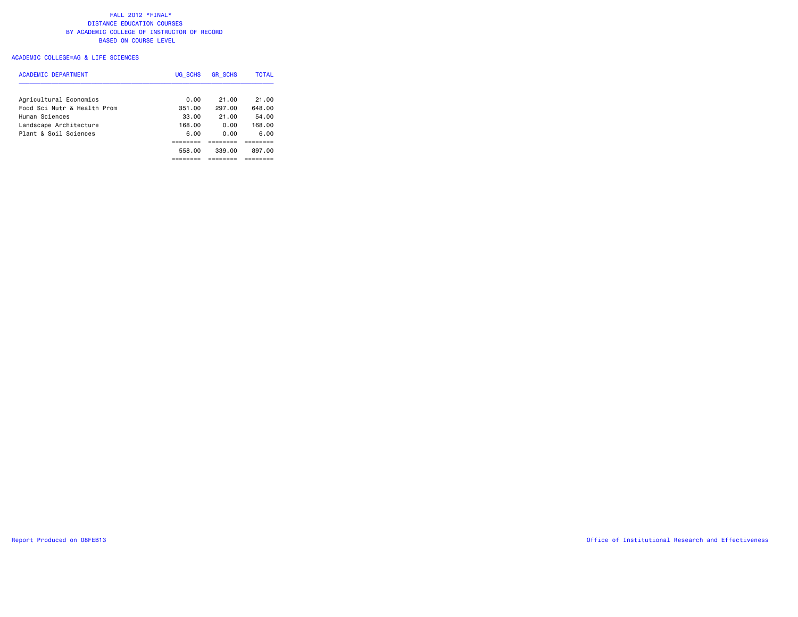## ACADEMIC COLLEGE=AG & LIFE SCIENCES

| ACADEMIC DEPARTMENT         | UG SCHS | <b>GR SCHS</b> | <b>TOTAL</b> |
|-----------------------------|---------|----------------|--------------|
| Agricultural Economics      | 0.00    | 21.00          | 21.00        |
| Food Sci Nutr & Health Prom | 351.00  | 297.00         | 648.00       |
| Human Sciences              | 33.00   | 21.00          | 54.00        |
| Landscape Architecture      | 168.00  | 0.00           | 168.00       |
| Plant & Soil Sciences       | 6.00    | 0.00           | 6.00         |
|                             |         |                |              |
|                             | 558.00  | 339.00         | 897.00       |
|                             |         |                |              |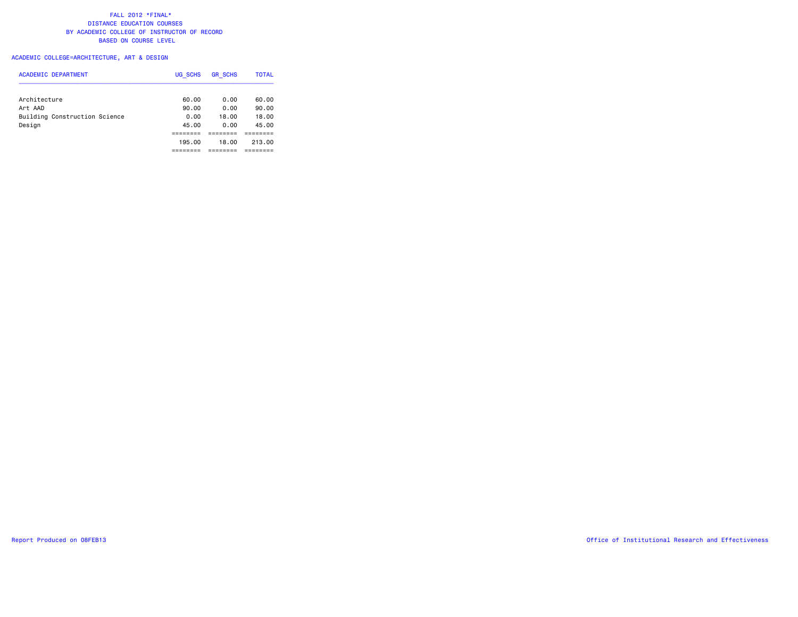# ACADEMIC COLLEGE=ARCHITECTURE, ART & DESIGN

| ACADEMIC DEPARTMENT           | UG SCHS | <b>GR SCHS</b> | <b>TOTAL</b> |
|-------------------------------|---------|----------------|--------------|
| Architecture                  | 60.00   | 0.00           | 60.00        |
| Art AAD                       | 90.00   | 0.00           | 90.00        |
| Building Construction Science | 0.00    | 18.00          | 18.00        |
| Design                        | 45.00   | 0.00           | 45.00        |
|                               | ------  |                |              |
|                               | 195,00  | 18.00          | 213.00       |
|                               |         |                |              |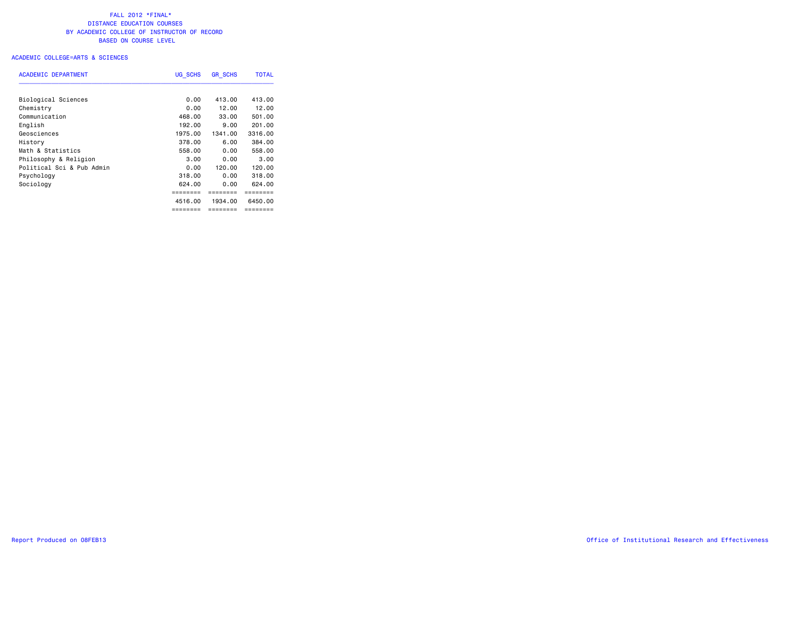| <b>ACADEMIC DEPARTMENT</b> | UG SCHS  | <b>GR SCHS</b> | <b>TOTAL</b> |  |  |
|----------------------------|----------|----------------|--------------|--|--|
| <b>Biological Sciences</b> | 0.00     | 413.00         | 413.00       |  |  |
| Chemistry                  | 0.00     | 12.00          | 12.00        |  |  |
| Communication              | 468.00   | 33.00          | 501.00       |  |  |
| English                    | 192.00   | 9.00           | 201.00       |  |  |
| Geosciences                | 1975.00  | 1341.00        | 3316.00      |  |  |
| History                    | 378.00   | 6.00           | 384.00       |  |  |
| Math & Statistics          | 558.00   | 0.00           | 558.00       |  |  |
| Philosophy & Religion      | 3,00     | 0.00           | 3.00         |  |  |
| Political Sci & Pub Admin  | 0.00     | 120.00         | 120.00       |  |  |
| Psychology                 | 318.00   | 0.00           | 318.00       |  |  |
| Sociology                  | 624.00   | 0.00           | 624.00       |  |  |
|                            |          |                |              |  |  |
|                            | 4516.00  | 1934.00        | 6450.00      |  |  |
|                            | ======== | ========       | ========     |  |  |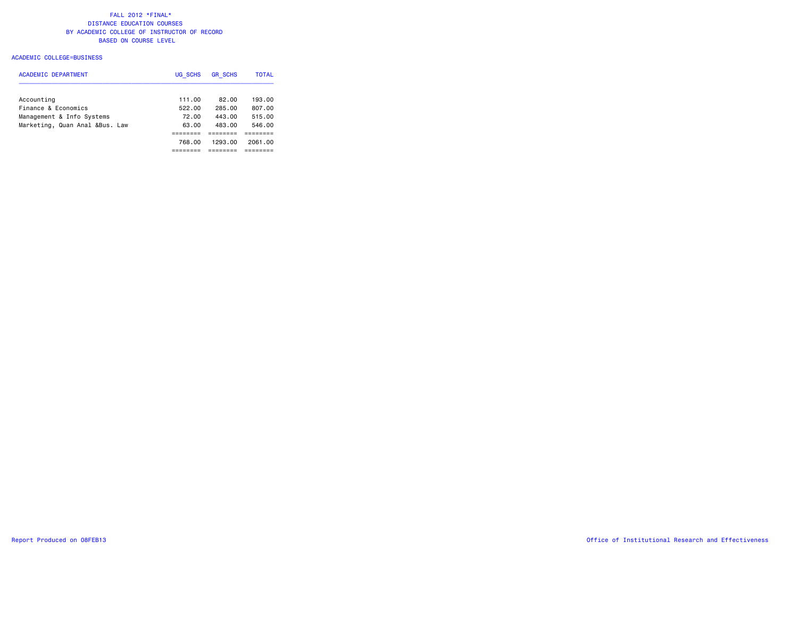| <b>ACADEMIC DEPARTMENT</b>     | UG SCHS | <b>GR SCHS</b> | <b>TOTAL</b> |
|--------------------------------|---------|----------------|--------------|
|                                |         |                |              |
| Accounting                     | 111.00  | 82.00          | 193.00       |
| Finance & Economics            | 522.00  | 285.00         | 807.00       |
| Management & Info Systems      | 72.00   | 443.00         | 515.00       |
| Marketing, Quan Anal &Bus. Law | 63.00   | 483.00         | 546.00       |
|                                |         |                |              |
|                                | 768.00  | 1293.00        | 2061.00      |
|                                |         |                |              |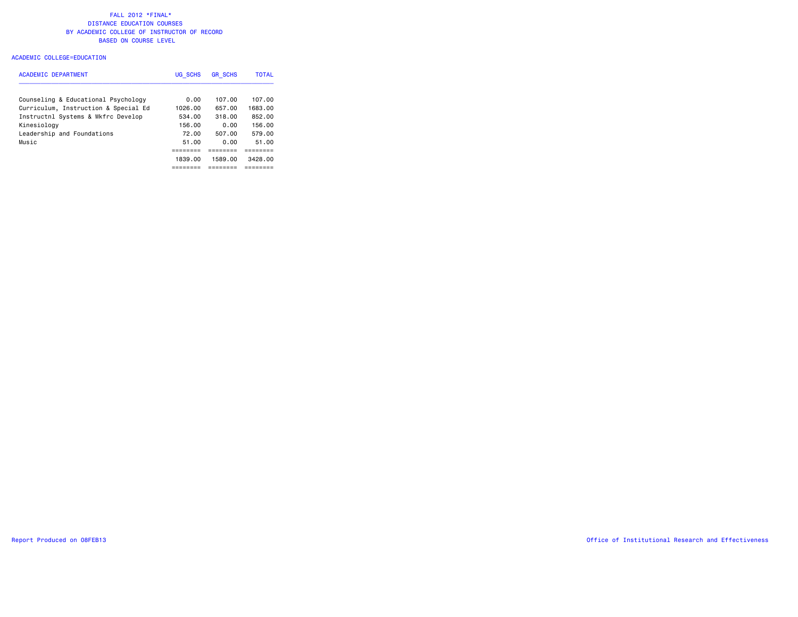### ACADEMIC COLLEGE=EDUCATION

| <b>ACADEMIC DEPARTMENT</b>           | UG SCHS | <b>GR SCHS</b> | <b>TOTAL</b> |
|--------------------------------------|---------|----------------|--------------|
| Counseling & Educational Psychology  | 0.00    | 107.00         | 107.00       |
| Curriculum, Instruction & Special Ed | 1026.00 | 657.00         | 1683.00      |
| Instructnl Systems & Wkfrc Develop   | 534.00  | 318.00         | 852.00       |
| Kinesiology                          | 156.00  | 0.00           | 156.00       |
| Leadership and Foundations           | 72.00   | 507.00         | 579.00       |
| Music                                | 51.00   | 0.00           | 51.00        |
|                                      |         |                |              |
|                                      | 1839.00 | 1589.00        | 3428.00      |
|                                      |         |                | -------      |

Report Produced on 08FEB13 Office of Institutional Research and Effectiveness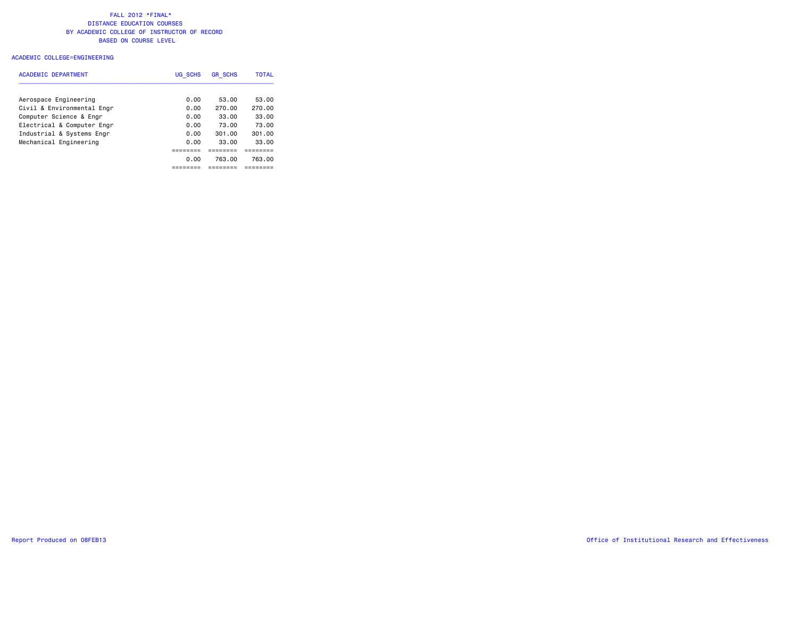### ACADEMIC COLLEGE=ENGINEERING

| <b>ACADEMIC DEPARTMENT</b> | UG SCHS | <b>GR SCHS</b> | <b>TOTAL</b> |
|----------------------------|---------|----------------|--------------|
| Aerospace Engineering      | 0.00    | 53.00          | 53.00        |
| Civil & Environmental Engr | 0.00    | 270.00         | 270.00       |
| Computer Science & Engr    | 0.00    | 33.00          | 33.00        |
| Electrical & Computer Engr | 0.00    | 73.00          | 73.00        |
| Industrial & Systems Engr  | 0.00    | 301.00         | 301.00       |
| Mechanical Engineering     | 0.00    | 33.00          | 33.00        |
|                            |         |                |              |
|                            | 0.00    | 763.00         | 763.00       |
|                            |         |                |              |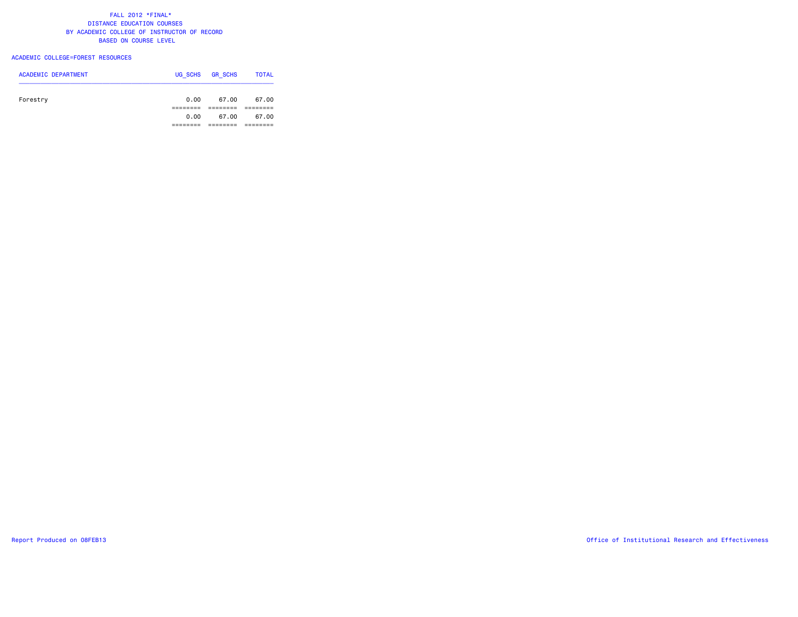### ACADEMIC COLLEGE=FOREST RESOURCES

| <b>ACADEMIC DEPARTMENT</b> | UG SCHS  | <b>GR SCHS</b> | <b>TOTAL</b> |
|----------------------------|----------|----------------|--------------|
|                            |          |                |              |
| Forestry                   | 0.00     | 67.00          | 67.00        |
|                            |          |                |              |
|                            | 0.00     | 67.00          | 67.00        |
|                            | -------- |                |              |
|                            |          |                |              |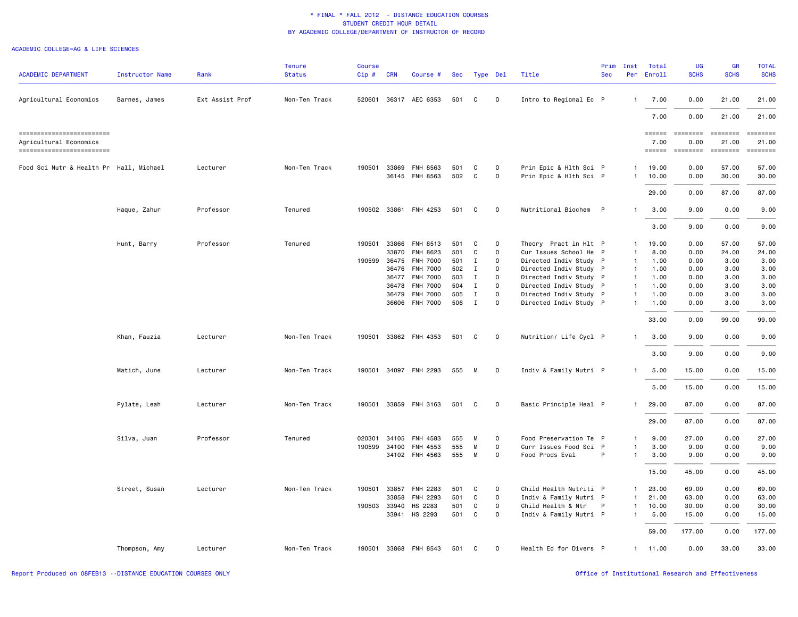### ACADEMIC COLLEGE=AG & LIFE SCIENCES

| <b>ACADEMIC DEPARTMENT</b>                                                        | Instructor Name | Rank            | <b>Tenure</b><br><b>Status</b> | <b>Course</b><br>Cip# | <b>CRN</b> | Course #              |     | Sec Type Del |                     | Title                  | Prim<br><b>Sec</b> | Inst<br>Per  | Total<br>Enroll          | UG<br><b>SCHS</b>       | <b>GR</b><br><b>SCHS</b>             | <b>TOTAL</b><br><b>SCHS</b> |
|-----------------------------------------------------------------------------------|-----------------|-----------------|--------------------------------|-----------------------|------------|-----------------------|-----|--------------|---------------------|------------------------|--------------------|--------------|--------------------------|-------------------------|--------------------------------------|-----------------------------|
| Agricultural Economics                                                            | Barnes, James   | Ext Assist Prof | Non-Ten Track                  | 520601                |            | 36317 AEC 6353        | 501 | C            | 0                   | Intro to Regional Ec P |                    | $\mathbf{1}$ | 7.00                     | 0.00                    | 21.00                                | 21.00                       |
|                                                                                   |                 |                 |                                |                       |            |                       |     |              |                     |                        |                    |              | 7.00                     | 0.00                    | 21.00                                | 21.00                       |
| ==========================<br>Agricultural Economics<br>------------------------- |                 |                 |                                |                       |            |                       |     |              |                     |                        |                    |              | ======<br>7.00<br>====== | ========<br>0.00<br>$=$ | ========<br>21.00<br><b>EDEDEDER</b> | ========<br>21.00           |
| Food Sci Nutr & Health Pr Hall, Michael                                           |                 | Lecturer        | Non-Ten Track                  | 190501                |            | 33869 FNH 8563        | 501 | C            | $\mathsf{o}$        | Prin Epic & Hlth Sci P |                    | $\mathbf{1}$ | 19.00                    | 0.00                    | 57.00                                | 57.00                       |
|                                                                                   |                 |                 |                                |                       |            | 36145 FNH 8563        | 502 | $\mathsf{C}$ | 0                   | Prin Epic & Hlth Sci P |                    | $\mathbf{1}$ | 10.00                    | 0.00                    | 30.00                                | 30.00                       |
|                                                                                   |                 |                 |                                |                       |            |                       |     |              |                     |                        |                    |              | 29.00                    | 0.00                    | 87.00                                | 87.00                       |
|                                                                                   | Haque, Zahur    | Professor       | Tenured                        | 190502                |            | 33861 FNH 4253        | 501 | C            | 0                   | Nutritional Biochem P  |                    | $\mathbf{1}$ | 3.00                     | 9.00                    | 0.00                                 | 9.00                        |
|                                                                                   |                 |                 |                                |                       |            |                       |     |              |                     |                        |                    |              | 3.00                     | 9.00                    | 0.00                                 | 9.00                        |
|                                                                                   | Hunt, Barry     | Professor       | Tenured                        | 190501                |            | 33866 FNH 8513        | 501 | C            | 0                   | Theory Pract in Hlt P  |                    | $\mathbf{1}$ | 19.00                    | 0.00                    | 57.00                                | 57.00                       |
|                                                                                   |                 |                 |                                |                       | 33870      | FNH 8623              | 501 | C            | 0                   | Cur Issues School He P |                    | $\mathbf{1}$ | 8.00                     | 0.00                    | 24.00                                | 24.00                       |
|                                                                                   |                 |                 |                                | 190599                | 36475      | <b>FNH 7000</b>       | 501 | Ι.           | 0                   | Directed Indiv Study P |                    | $\mathbf{1}$ | 1.00                     | 0.00                    | 3.00                                 | 3.00                        |
|                                                                                   |                 |                 |                                |                       |            | 36476 FNH 7000        | 502 | Ι.           | $\mathsf{o}$        | Directed Indiv Study P |                    | $\mathbf{1}$ | 1.00                     | 0.00                    | 3.00                                 | 3.00                        |
|                                                                                   |                 |                 |                                |                       |            | 36477 FNH 7000        | 503 | Ι.           | $\mathsf{o}$        | Directed Indiv Study P |                    | $\mathbf{1}$ | 1.00                     | 0.00                    | 3.00                                 | 3.00                        |
|                                                                                   |                 |                 |                                |                       | 36478      | <b>FNH 7000</b>       | 504 | $\mathbf I$  | $\mathsf{o}$        | Directed Indiv Study P |                    | $\mathbf{1}$ | 1.00                     | 0.00                    | 3.00                                 | 3.00                        |
|                                                                                   |                 |                 |                                |                       | 36479      | <b>FNH 7000</b>       | 505 | $\mathbf{I}$ | $\mathsf{o}$        | Directed Indiv Study P |                    | $\mathbf{1}$ | 1.00                     | 0.00                    | 3.00                                 | 3.00                        |
|                                                                                   |                 |                 |                                |                       |            | 36606 FNH 7000        | 506 | $\mathbf I$  | $\mathsf{o}$        | Directed Indiv Study P |                    | $\mathbf{1}$ | 1.00                     | 0.00                    | 3.00                                 | 3.00                        |
|                                                                                   |                 |                 |                                |                       |            |                       |     |              |                     |                        |                    |              | 33.00                    | 0.00                    | 99.00                                | 99.00                       |
|                                                                                   | Khan, Fauzia    | Lecturer        | Non-Ten Track                  | 190501                |            | 33862 FNH 4353        | 501 | C            | 0                   | Nutrition/ Life Cycl P |                    | $\mathbf{1}$ | 3.00                     | 9.00                    | 0.00                                 | 9.00                        |
|                                                                                   |                 |                 |                                |                       |            |                       |     |              |                     |                        |                    |              | 3.00                     | 9.00                    | 0.00                                 | 9.00                        |
|                                                                                   | Matich, June    | Lecturer        | Non-Ten Track                  | 190501                |            | 34097 FNH 2293        | 555 | M            | $\mathsf{O}\xspace$ | Indiv & Family Nutri P |                    | $\mathbf{1}$ | 5.00                     | 15.00                   | 0.00                                 | 15.00                       |
|                                                                                   |                 |                 |                                |                       |            |                       |     |              |                     |                        |                    |              | 5.00                     | 15.00                   | 0.00                                 | 15.00                       |
|                                                                                   | Pylate, Leah    | Lecturer        | Non-Ten Track                  | 190501                |            | 33859 FNH 3163        | 501 | C            | 0                   | Basic Principle Heal P |                    | $\mathbf{1}$ | 29.00                    | 87.00                   | 0.00                                 | 87.00                       |
|                                                                                   |                 |                 |                                |                       |            |                       |     |              |                     |                        |                    |              | 29.00                    | 87.00                   | 0.00                                 | 87.00                       |
|                                                                                   | Silva, Juan     | Professor       | Tenured                        | 020301                | 34105      | FNH 4583              | 555 | м            | $\Omega$            | Food Preservation Te P |                    | $\mathbf{1}$ | 9.00                     | 27.00                   | 0.00                                 | 27.00                       |
|                                                                                   |                 |                 |                                | 190599                | 34100      | <b>FNH 4553</b>       | 555 | М            | 0                   | Curr Issues Food Sci P |                    | $\mathbf{1}$ | 3.00                     | 9.00                    | 0.00                                 | 9.00                        |
|                                                                                   |                 |                 |                                |                       |            | 34102 FNH 4563        | 555 | M            | $\mathsf{o}$        | Food Prods Eval        | P                  | $\mathbf{1}$ | 3.00                     | 9.00                    | 0.00                                 | 9.00                        |
|                                                                                   |                 |                 |                                |                       |            |                       |     |              |                     |                        |                    |              | 15.00                    | 45.00                   | 0.00                                 | 45.00                       |
|                                                                                   | Street, Susan   | Lecturer        | Non-Ten Track                  | 190501                | 33857      | FNH 2283              | 501 | C            | 0                   | Child Health Nutriti P |                    | $\mathbf{1}$ | 23.00                    | 69.00                   | 0.00                                 | 69.00                       |
|                                                                                   |                 |                 |                                |                       | 33858      | FNH 2293              | 501 | C            | 0                   | Indiv & Family Nutri P |                    | $\mathbf{1}$ | 21.00                    | 63.00                   | 0.00                                 | 63.00                       |
|                                                                                   |                 |                 |                                | 190503                | 33940      | HS 2283               | 501 | C            | $\mathsf{o}$        | Child Health & Ntr     | $\mathsf{P}$       | $\mathbf{1}$ | 10.00                    | 30.00                   | 0.00                                 | 30.00                       |
|                                                                                   |                 |                 |                                |                       |            | 33941 HS 2293         | 501 | C            | $\mathsf{o}$        | Indiv & Family Nutri P |                    | $\mathbf{1}$ | 5.00                     | 15.00                   | 0.00                                 | 15.00                       |
|                                                                                   |                 |                 |                                |                       |            |                       |     |              |                     |                        |                    |              | 59.00                    | 177.00                  | 0.00                                 | 177.00                      |
|                                                                                   | Thompson, Amy   | Lecturer        | Non-Ten Track                  |                       |            | 190501 33868 FNH 8543 | 501 | C            | $\Omega$            | Health Ed for Divers P |                    |              | 1 11.00                  | 0.00                    | 33.00                                | 33.00                       |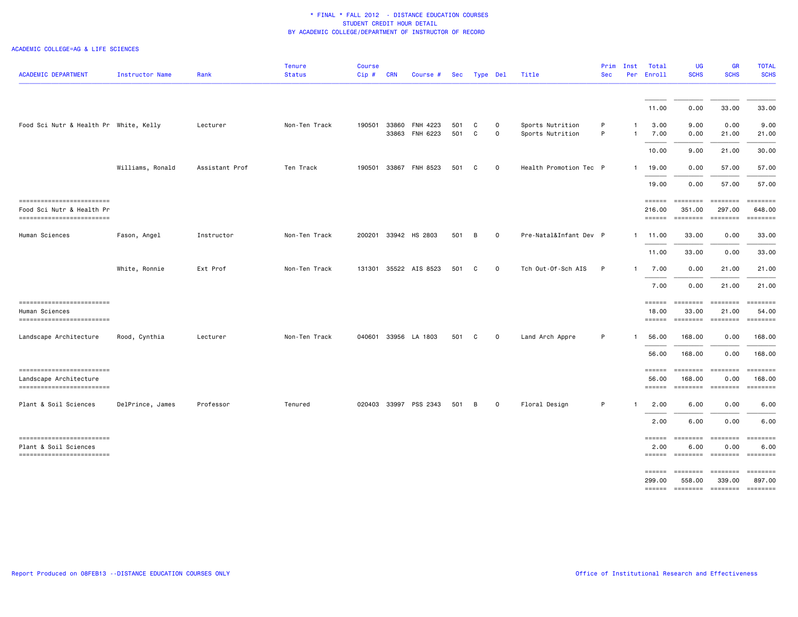#### ACADEMIC COLLEGE=AG & LIFE SCIENCES

| <b>ACADEMIC DEPARTMENT</b>                                                           | Instructor Name  | Rank           | <b>Tenure</b><br><b>Status</b> | <b>Course</b><br>Cip# | <b>CRN</b> | Course #                         | Sec        |              | Type Del            | Title                                | Prim<br><b>Sec</b> | Inst<br>Per        | Total<br>Enroll                          | <b>UG</b><br><b>SCHS</b>                                 | GR<br><b>SCHS</b>                     | <b>TOTAL</b><br><b>SCHS</b>                                                                      |
|--------------------------------------------------------------------------------------|------------------|----------------|--------------------------------|-----------------------|------------|----------------------------------|------------|--------------|---------------------|--------------------------------------|--------------------|--------------------|------------------------------------------|----------------------------------------------------------|---------------------------------------|--------------------------------------------------------------------------------------------------|
|                                                                                      |                  |                |                                |                       |            |                                  |            |              |                     |                                      |                    |                    | 11.00                                    | 0.00                                                     | 33.00                                 | 33.00                                                                                            |
| Food Sci Nutr & Health Pr White, Kelly                                               |                  | Lecturer       | Non-Ten Track                  | 190501                |            | 33860 FNH 4223<br>33863 FNH 6223 | 501<br>501 | C<br>C       | $\Omega$<br>0       | Sports Nutrition<br>Sports Nutrition | P<br>P             | -1<br>$\mathbf{1}$ | 3.00<br>7.00                             | 9.00<br>0.00                                             | 0.00<br>21.00                         | 9.00<br>21.00                                                                                    |
|                                                                                      |                  |                |                                |                       |            |                                  |            |              |                     |                                      |                    |                    | 10.00                                    | 9.00                                                     | 21.00                                 | 30.00                                                                                            |
|                                                                                      | Williams, Ronald | Assistant Prof | Ten Track                      | 190501                | 33867      | FNH 8523                         | 501        | C            | $\mathbf 0$         | Health Promotion Tec P               |                    | $\mathbf{1}$       | 19.00                                    | 0.00                                                     | 57.00                                 | 57.00                                                                                            |
|                                                                                      |                  |                |                                |                       |            |                                  |            |              |                     |                                      |                    |                    | 19.00                                    | 0.00                                                     | 57.00                                 | 57.00                                                                                            |
| -------------------------<br>Food Sci Nutr & Health Pr<br>-------------------------- |                  |                |                                |                       |            |                                  |            |              |                     |                                      |                    |                    | $=$ = = = = =<br>216.00<br><b>EEEEEE</b> | ========<br>351.00<br>========                           | ========<br>297.00<br>$=$ ========    | $=$ =======<br>648.00<br>$\qquad \qquad \equiv \equiv \equiv \equiv \equiv \equiv \equiv \equiv$ |
| Human Sciences                                                                       | Fason, Angel     | Instructor     | Non-Ten Track                  |                       |            | 200201 33942 HS 2803             | 501        | В            | $\mathsf{O}\xspace$ | Pre-Natal&Infant Dev P               |                    |                    | 1 11.00                                  | 33.00                                                    | 0.00                                  | 33.00                                                                                            |
|                                                                                      |                  |                |                                |                       |            |                                  |            |              |                     |                                      |                    |                    | 11.00                                    | 33.00                                                    | 0.00                                  | 33.00                                                                                            |
|                                                                                      | White, Ronnie    | Ext Prof       | Non-Ten Track                  | 131301                |            | 35522 AIS 8523                   | 501        | <sub>c</sub> | $\mathsf{o}$        | Tch Out-Of-Sch AIS                   | P                  | $\mathbf{1}$       | 7.00                                     | 0.00                                                     | 21.00                                 | 21.00                                                                                            |
|                                                                                      |                  |                |                                |                       |            |                                  |            |              |                     |                                      |                    |                    | 7.00                                     | 0.00                                                     | 21.00                                 | 21.00                                                                                            |
| -------------------------<br>Human Sciences<br>--------------------------            |                  |                |                                |                       |            |                                  |            |              |                     |                                      |                    |                    | ======<br>18.00<br><b>EEEEEE</b>         | ========<br>33.00<br>========                            | ========<br>21.00<br><b>EDESSERS</b>  | EEEEEEE<br>54.00<br>EEEEEEEE                                                                     |
| Landscape Architecture                                                               | Rood, Cynthia    | Lecturer       | Non-Ten Track                  |                       |            | 040601 33956 LA 1803             | 501        | C            | $\circ$             | Land Arch Appre                      | P                  | -1                 | 56.00                                    | 168.00                                                   | 0.00                                  | 168.00                                                                                           |
|                                                                                      |                  |                |                                |                       |            |                                  |            |              |                     |                                      |                    |                    | 56.00                                    | 168.00                                                   | 0.00                                  | 168.00                                                                                           |
| ------------------------<br>Landscape Architecture<br>-------------------------      |                  |                |                                |                       |            |                                  |            |              |                     |                                      |                    |                    | ======<br>56.00<br>$=$ $=$ $=$ $=$ $=$   | ========<br>168.00<br>--------- -------                  | ========<br>0.00                      | ========<br>168.00<br>$=$ ========                                                               |
| Plant & Soil Sciences                                                                | DelPrince, James | Professor      | Tenured                        |                       |            | 020403 33997 PSS 2343            | 501        | B            | 0                   | Floral Design                        | P                  | -1                 | 2.00                                     | 6.00                                                     | 0.00                                  | 6.00                                                                                             |
|                                                                                      |                  |                |                                |                       |            |                                  |            |              |                     |                                      |                    |                    | 2.00                                     | 6.00                                                     | 0.00                                  | 6.00                                                                                             |
| ------------------------<br>Plant & Soil Sciences<br>--------------------------      |                  |                |                                |                       |            |                                  |            |              |                     |                                      |                    |                    | ======<br>2.00                           | $=$ ========<br>6.00<br>====== ======== ======== ======= | ========<br>0.00                      | $=$ ========<br>6.00                                                                             |
|                                                                                      |                  |                |                                |                       |            |                                  |            |              |                     |                                      |                    |                    | $=$ $=$ $=$ $=$ $=$ $=$ $=$<br>299.00    | ========<br>558.00<br>====== ========                    | <b>ESSESSEE</b><br>339.00<br>======== | $= 1.12222222$<br>897.00<br>$=$ ========                                                         |
|                                                                                      |                  |                |                                |                       |            |                                  |            |              |                     |                                      |                    |                    |                                          |                                                          |                                       |                                                                                                  |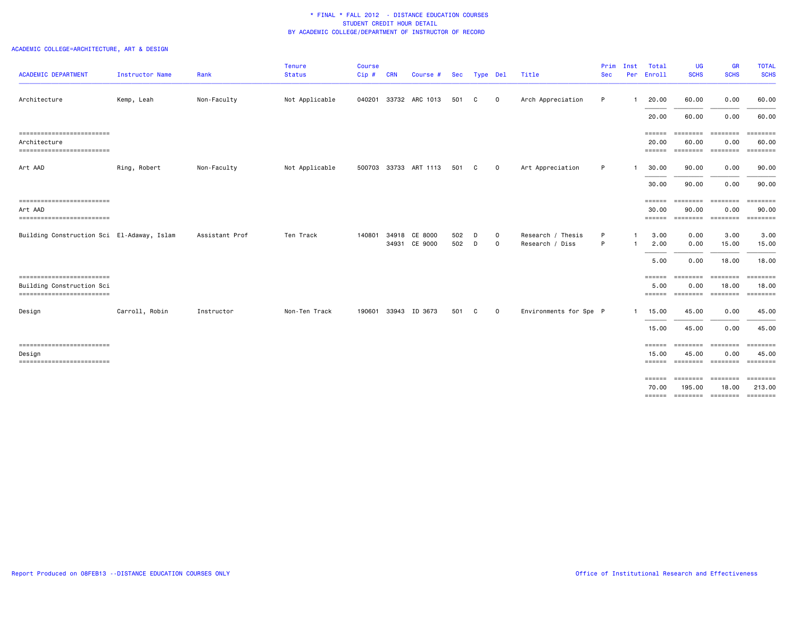# ACADEMIC COLLEGE=ARCHITECTURE, ART & DESIGN

| <b>ACADEMIC DEPARTMENT</b>                                                          | Instructor Name | Rank           | <b>Tenure</b><br><b>Status</b> | <b>Course</b><br>Cip# | <b>CRN</b> | Course #                 | Sec        |              | Type Del           | Title                                | Prim<br><b>Sec</b> | Inst<br>Per | Total<br>Enroll                                | <b>UG</b><br><b>SCHS</b>                                 | GR<br><b>SCHS</b>                           | <b>TOTAL</b><br><b>SCHS</b>                                                                           |
|-------------------------------------------------------------------------------------|-----------------|----------------|--------------------------------|-----------------------|------------|--------------------------|------------|--------------|--------------------|--------------------------------------|--------------------|-------------|------------------------------------------------|----------------------------------------------------------|---------------------------------------------|-------------------------------------------------------------------------------------------------------|
| Architecture                                                                        | Kemp, Leah      | Non-Faculty    | Not Applicable                 | 040201                |            | 33732 ARC 1013           | 501        | C            | $\circ$            | Arch Appreciation                    | P                  |             | 20.00                                          | 60.00                                                    | 0.00                                        | 60.00                                                                                                 |
|                                                                                     |                 |                |                                |                       |            |                          |            |              |                    |                                      |                    |             | 20.00                                          | 60.00                                                    | 0.00                                        | 60.00                                                                                                 |
| ------------------------<br>Architecture<br>==========================              |                 |                |                                |                       |            |                          |            |              |                    |                                      |                    |             | ======<br>20,00<br>======                      | <b>EEEEEEE</b><br>60.00<br>--------- -------             | ========<br>0.00                            | ========<br>60.00<br>EEEEEEEE                                                                         |
| Art AAD                                                                             | Ring, Robert    | Non-Faculty    | Not Applicable                 | 500703                |            | 33733 ART 1113           | 501        | C            | $\circ$            | Art Appreciation                     | P                  |             | 30.00                                          | 90.00                                                    | 0.00                                        | 90.00                                                                                                 |
|                                                                                     |                 |                |                                |                       |            |                          |            |              |                    |                                      |                    |             | 30.00                                          | 90.00                                                    | 0.00                                        | 90.00                                                                                                 |
| ==========================<br>Art AAD<br>==========================                 |                 |                |                                |                       |            |                          |            |              |                    |                                      |                    |             | $=$ $=$ $=$ $=$ $=$ $=$ $=$<br>30.00<br>====== | <b>SEESSEES</b><br>90.00                                 | $= 222222222$<br>0.00<br>======== =======   | $= 222222222$<br>90.00<br>$= 1.12222222$                                                              |
| Building Construction Sci El-Adaway, Islam                                          |                 | Assistant Prof | Ten Track                      | 140801                | 34918      | CE 8000<br>34931 CE 9000 | 502<br>502 | D<br>D       | $\circ$<br>$\circ$ | Research / Thesis<br>Research / Diss | P<br>P             |             | 3.00<br>2.00                                   | 0.00<br>0.00                                             | 3.00<br>15.00                               | 3.00<br>15.00                                                                                         |
|                                                                                     |                 |                |                                |                       |            |                          |            |              |                    |                                      |                    |             | 5.00                                           | 0.00                                                     | 18.00                                       | 18.00                                                                                                 |
| ------------------------<br>Building Construction Sci<br>========================== |                 |                |                                |                       |            |                          |            |              |                    |                                      |                    |             | ======<br>5.00<br>======                       | ========<br>0.00<br>========                             | $=$ ========<br>18.00<br>========           | $\begin{array}{c} \texttt{m} = \texttt{m} = \texttt{m} = \texttt{m} \end{array}$<br>18,00<br>======== |
| Design                                                                              | Carroll, Robin  | Instructor     | Non-Ten Track                  | 190601                |            | 33943 ID 3673            | 501        | $\mathbf{C}$ | $\circ$            | Environments for Spe P               |                    |             | 15.00                                          | 45.00                                                    | 0.00                                        | 45.00                                                                                                 |
|                                                                                     |                 |                |                                |                       |            |                          |            |              |                    |                                      |                    |             | 15.00                                          | 45.00                                                    | 0.00                                        | 45.00                                                                                                 |
| -------------------------<br>Design<br>==========================                   |                 |                |                                |                       |            |                          |            |              |                    |                                      |                    |             | ======<br>15.00<br>$=$ $=$ $=$ $=$ $=$ $=$ $=$ | 45.00<br><b>SEESSEES</b>                                 | ======== =======<br>0.00<br><b>ESSESSEE</b> | 45.00                                                                                                 |
|                                                                                     |                 |                |                                |                       |            |                          |            |              |                    |                                      |                    |             | ======<br>70.00                                | ========<br>195.00<br>====== ========= ======== ======== | ========<br>18.00                           | ========<br>213.00                                                                                    |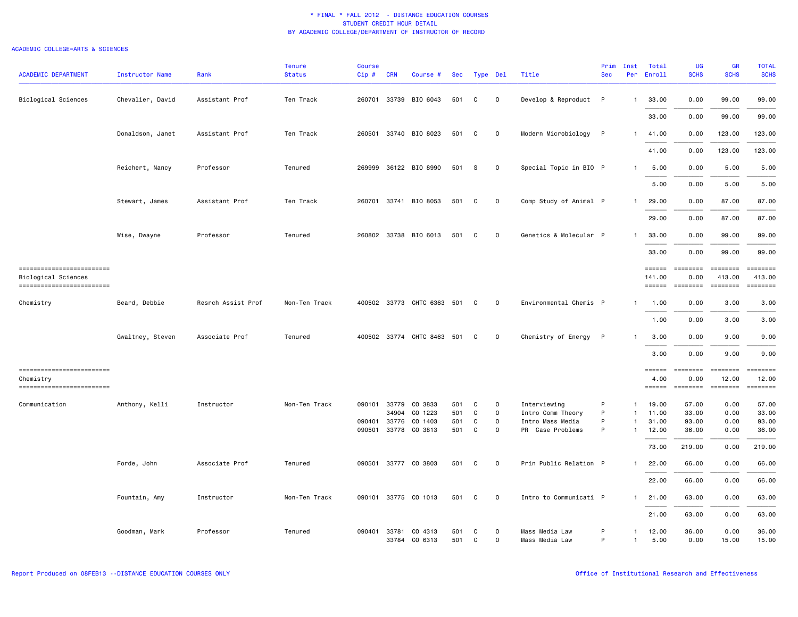| <b>ACADEMIC DEPARTMENT</b>                                                     | Instructor Name  | Rank               | <b>Tenure</b><br><b>Status</b> | <b>Course</b><br>Cip# | <b>CRN</b> | Course #            | Sec |   | Type Del     | Title                  | Prim<br><b>Sec</b> | Inst         | Total<br>Per Enroll                        | <b>UG</b><br><b>SCHS</b>                                                                                                                                        | <b>GR</b><br><b>SCHS</b>                     | <b>TOTAL</b><br><b>SCHS</b> |
|--------------------------------------------------------------------------------|------------------|--------------------|--------------------------------|-----------------------|------------|---------------------|-----|---|--------------|------------------------|--------------------|--------------|--------------------------------------------|-----------------------------------------------------------------------------------------------------------------------------------------------------------------|----------------------------------------------|-----------------------------|
| <b>Biological Sciences</b>                                                     | Chevalier, David | Assistant Prof     | Ten Track                      | 260701                |            | 33739 BIO 6043      | 501 | C | $\mathbf 0$  | Develop & Reproduct P  |                    | $\mathbf{1}$ | 33.00                                      | 0.00                                                                                                                                                            | 99.00                                        | 99.00                       |
|                                                                                |                  |                    |                                |                       |            |                     |     |   |              |                        |                    |              | 33.00                                      | 0.00                                                                                                                                                            | 99.00                                        | 99.00                       |
|                                                                                | Donaldson, Janet | Assistant Prof     | Ten Track                      | 260501                |            | 33740 BIO 8023      | 501 | C | $\mathbf 0$  | Modern Microbiology    | $\mathsf{P}$       | $\mathbf{1}$ | 41.00                                      | 0.00                                                                                                                                                            | 123.00                                       | 123.00                      |
|                                                                                |                  |                    |                                |                       |            |                     |     |   |              |                        |                    |              | 41.00                                      | 0.00                                                                                                                                                            | 123.00                                       | 123.00                      |
|                                                                                | Reichert, Nancy  | Professor          | Tenured                        | 269999                |            | 36122 BIO 8990      | 501 | S | 0            | Special Topic in BIO P |                    | $\mathbf{1}$ | 5.00                                       | 0.00                                                                                                                                                            | 5.00                                         | 5.00                        |
|                                                                                |                  |                    |                                |                       |            |                     |     |   |              |                        |                    |              | 5.00                                       | 0.00                                                                                                                                                            | 5.00                                         | 5.00                        |
|                                                                                | Stewart, James   | Assistant Prof     | Ten Track                      | 260701                |            | 33741 BIO 8053      | 501 | C | 0            | Comp Study of Animal P |                    | -1           | 29.00                                      | 0.00                                                                                                                                                            | 87.00                                        | 87.00                       |
|                                                                                |                  |                    |                                |                       |            |                     |     |   |              |                        |                    |              | 29.00                                      | 0.00                                                                                                                                                            | 87.00                                        | 87.00                       |
|                                                                                | Wise, Dwayne     | Professor          | Tenured                        | 260802                |            | 33738 BIO 6013      | 501 | C | $\mathbf 0$  | Genetics & Molecular P |                    | $\mathbf{1}$ | 33.00                                      | 0.00                                                                                                                                                            | 99.00                                        | 99.00                       |
|                                                                                |                  |                    |                                |                       |            |                     |     |   |              |                        |                    |              | 33.00                                      | 0.00                                                                                                                                                            | 99.00                                        | 99.00                       |
| ==========================<br>Biological Sciences<br>------------------------- |                  |                    |                                |                       |            |                     |     |   |              |                        |                    |              | $=$ $=$ $=$ $=$ $=$<br>141.00<br>$=$ ===== | $= 1.122222222$<br>0.00<br>$\qquad \qquad \blacksquare \blacksquare \blacksquare \blacksquare \blacksquare \blacksquare \blacksquare \blacksquare \blacksquare$ | <b>ESSESSEE</b><br>413.00<br><b>EDEDEDER</b> | $= 222222222$<br>413.00     |
| Chemistry                                                                      | Beard, Debbie    | Resrch Assist Prof | Non-Ten Track                  | 400502                |            | 33773 CHTC 6363 501 |     | C | 0            | Environmental Chemis P |                    | $\mathbf{1}$ | 1.00                                       | 0.00                                                                                                                                                            | 3.00                                         | 3.00                        |
|                                                                                |                  |                    |                                |                       |            |                     |     |   |              |                        |                    |              | 1.00                                       | 0.00                                                                                                                                                            | 3.00                                         | 3.00                        |
|                                                                                | Gwaltney, Steven | Associate Prof     | Tenured                        | 400502                |            | 33774 CHTC 8463 501 |     | C | 0            | Chemistry of Energy    | $\mathsf{P}$       | $\mathbf{1}$ | 3.00                                       | 0.00                                                                                                                                                            | 9.00                                         | 9.00                        |
|                                                                                |                  |                    |                                |                       |            |                     |     |   |              |                        |                    |              | 3.00                                       | 0.00                                                                                                                                                            | 9.00                                         | 9.00                        |
| ==========================                                                     |                  |                    |                                |                       |            |                     |     |   |              |                        |                    |              | $=$ $=$ $=$ $=$ $=$ $=$                    | <b>EEEEEEE</b>                                                                                                                                                  |                                              | $=$ = $=$ $=$ $=$ $=$ $=$   |
| Chemistry                                                                      |                  |                    |                                |                       |            |                     |     |   |              |                        |                    |              | 4.00                                       | 0.00                                                                                                                                                            | 12.00                                        | 12.00                       |
| =========================                                                      |                  |                    |                                |                       |            |                     |     |   |              |                        |                    |              | $=$ = = = = =                              | $=$ ========                                                                                                                                                    | $=$ ========                                 |                             |
| Communication                                                                  | Anthony, Kelli   | Instructor         | Non-Ten Track                  | 090101                |            | 33779 CO 3833       | 501 | C | 0            | Interviewing           | P                  | $\mathbf{1}$ | 19.00                                      | 57.00                                                                                                                                                           | 0.00                                         | 57.00                       |
|                                                                                |                  |                    |                                |                       | 34904      | CO 1223             | 501 | C | $\mathsf{o}$ | Intro Comm Theory      | P                  | $\mathbf{1}$ | 11.00                                      | 33.00                                                                                                                                                           | 0.00                                         | 33.00                       |
|                                                                                |                  |                    |                                | 090401                | 33776      | CO 1403             | 501 | C | 0            | Intro Mass Media       | P                  | $\mathbf{1}$ | 31.00                                      | 93.00                                                                                                                                                           | 0.00                                         | 93.00                       |
|                                                                                |                  |                    |                                | 090501                |            | 33778 CO 3813       | 501 | C | $\mathsf{o}$ | PR Case Problems       | P                  | $\mathbf{1}$ | 12.00                                      | 36.00                                                                                                                                                           | 0.00                                         | 36.00                       |
|                                                                                |                  |                    |                                |                       |            |                     |     |   |              |                        |                    |              | 73.00                                      | 219.00                                                                                                                                                          | 0.00                                         | 219.00                      |
|                                                                                | Forde, John      | Associate Prof     | Tenured                        | 090501                |            | 33777 CO 3803       | 501 | C | $\mathbf 0$  | Prin Public Relation P |                    | $\mathbf{1}$ | 22.00                                      | 66.00                                                                                                                                                           | 0.00                                         | 66.00                       |
|                                                                                |                  |                    |                                |                       |            |                     |     |   |              |                        |                    |              | 22.00                                      | 66.00                                                                                                                                                           | 0.00                                         | 66.00                       |
|                                                                                | Fountain, Amy    | Instructor         | Non-Ten Track                  | 090101                |            | 33775 CO 1013       | 501 | C | $\mathbf 0$  | Intro to Communicati P |                    | $\mathbf{1}$ | 21.00                                      | 63.00                                                                                                                                                           | 0.00                                         | 63.00                       |
|                                                                                |                  |                    |                                |                       |            |                     |     |   |              |                        |                    |              | 21.00                                      | 63.00                                                                                                                                                           | 0.00                                         | 63.00                       |
|                                                                                | Goodman, Mark    | Professor          | Tenured                        | 090401                |            | 33781 CO 4313       | 501 | C | 0            | Mass Media Law         | P                  | $\mathbf{1}$ | 12.00                                      | 36.00                                                                                                                                                           | 0.00                                         | 36.00                       |
|                                                                                |                  |                    |                                |                       |            | 33784 CO 6313       | 501 | C | $\Omega$     | Mass Media Law         | P                  | $\mathbf{1}$ | 5.00                                       | 0.00                                                                                                                                                            | 15.00                                        | 15.00                       |
|                                                                                |                  |                    |                                |                       |            |                     |     |   |              |                        |                    |              |                                            |                                                                                                                                                                 |                                              |                             |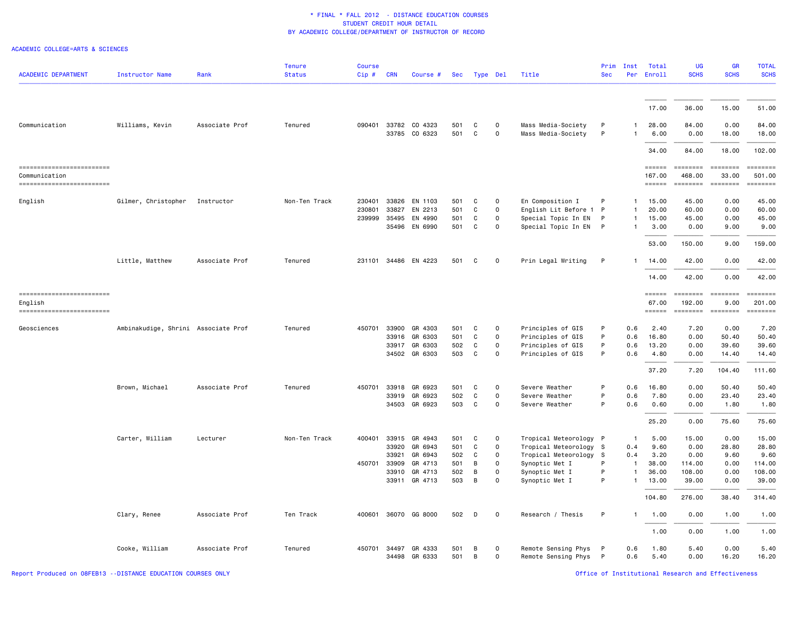| <b>ACADEMIC DEPARTMENT</b>                | Instructor Name                     | Rank           | <b>Tenure</b><br><b>Status</b> | <b>Course</b><br>Cip# | <b>CRN</b>     | Course #           | Sec        |        | Type Del      | Title                                    | Prim<br><b>Sec</b> | Inst<br>Per                  | Total<br>Enroll                                                            | UG<br><b>SCHS</b>  | <b>GR</b><br><b>SCHS</b>                                                                                                                                                                                                                                                                                                                                                                                                                                                                              | <b>TOTAL</b><br><b>SCHS</b>                                             |
|-------------------------------------------|-------------------------------------|----------------|--------------------------------|-----------------------|----------------|--------------------|------------|--------|---------------|------------------------------------------|--------------------|------------------------------|----------------------------------------------------------------------------|--------------------|-------------------------------------------------------------------------------------------------------------------------------------------------------------------------------------------------------------------------------------------------------------------------------------------------------------------------------------------------------------------------------------------------------------------------------------------------------------------------------------------------------|-------------------------------------------------------------------------|
|                                           |                                     |                |                                |                       |                |                    |            |        |               |                                          |                    |                              |                                                                            |                    |                                                                                                                                                                                                                                                                                                                                                                                                                                                                                                       |                                                                         |
|                                           |                                     |                |                                |                       |                |                    |            |        |               |                                          |                    |                              | 17.00                                                                      | 36.00              | 15.00                                                                                                                                                                                                                                                                                                                                                                                                                                                                                                 | 51.00                                                                   |
| Communication                             | Williams, Kevin                     | Associate Prof | Tenured                        | 090401                |                | 33782 CO 4323      | 501        | C      | $\Omega$      | Mass Media-Society                       | P                  | $\mathbf{1}$                 | 28.00                                                                      | 84.00              | 0.00                                                                                                                                                                                                                                                                                                                                                                                                                                                                                                  | 84.00                                                                   |
|                                           |                                     |                |                                |                       |                | 33785 CO 6323      | 501        | C      | 0             | Mass Media-Society                       | P                  |                              | 6.00                                                                       | 0.00               | 18.00                                                                                                                                                                                                                                                                                                                                                                                                                                                                                                 | 18.00                                                                   |
|                                           |                                     |                |                                |                       |                |                    |            |        |               |                                          |                    |                              | 34.00                                                                      | 84.00              | 18.00                                                                                                                                                                                                                                                                                                                                                                                                                                                                                                 | 102.00                                                                  |
| ------------------------<br>Communication |                                     |                |                                |                       |                |                    |            |        |               |                                          |                    |                              | $\qquad \qquad \equiv \equiv \equiv \equiv \equiv \equiv \equiv$<br>167,00 | ========<br>468.00 | ========<br>33.00                                                                                                                                                                                                                                                                                                                                                                                                                                                                                     | ========<br>501.00                                                      |
| =========================                 |                                     |                |                                |                       |                |                    |            |        |               |                                          |                    |                              | $=$ = = = = =                                                              | ========           | $=$ ========                                                                                                                                                                                                                                                                                                                                                                                                                                                                                          | $\qquad \qquad \equiv \equiv \equiv \equiv \equiv \equiv \equiv \equiv$ |
| English                                   | Gilmer, Christopher                 | Instructor     | Non-Ten Track                  | 230401<br>230801      | 33826<br>33827 | EN 1103<br>EN 2213 | 501<br>501 | C<br>C | $\Omega$<br>0 | En Composition I<br>English Lit Before 1 | P<br>P             | $\mathbf{1}$<br>$\mathbf{1}$ | 15.00<br>20.00                                                             | 45.00<br>60.00     | 0.00<br>0.00                                                                                                                                                                                                                                                                                                                                                                                                                                                                                          | 45.00<br>60.00                                                          |
|                                           |                                     |                |                                | 239999                |                | 35495 EN 4990      | 501        | C      | $\mathsf{o}$  | Special Topic In EN                      | P                  | $\mathbf{1}$                 | 15.00                                                                      | 45.00              | 0.00                                                                                                                                                                                                                                                                                                                                                                                                                                                                                                  | 45.00                                                                   |
|                                           |                                     |                |                                |                       |                | 35496 EN 6990      | 501        | C      | $\mathsf{o}$  | Special Topic In EN                      | P                  | $\mathbf{1}$                 | 3.00                                                                       | 0.00               | 9.00                                                                                                                                                                                                                                                                                                                                                                                                                                                                                                  | 9.00                                                                    |
|                                           |                                     |                |                                |                       |                |                    |            |        |               |                                          |                    |                              |                                                                            |                    |                                                                                                                                                                                                                                                                                                                                                                                                                                                                                                       |                                                                         |
|                                           |                                     |                |                                |                       |                |                    |            |        |               |                                          |                    |                              | 53.00                                                                      | 150.00             | 9.00                                                                                                                                                                                                                                                                                                                                                                                                                                                                                                  | 159.00                                                                  |
|                                           | Little, Matthew                     | Associate Prof | Tenured                        | 231101                |                | 34486 EN 4223      | 501        | C      | $\mathbf 0$   | Prin Legal Writing                       | P                  | $\mathbf{1}$                 | 14.00                                                                      | 42.00              | 0.00                                                                                                                                                                                                                                                                                                                                                                                                                                                                                                  | 42.00                                                                   |
|                                           |                                     |                |                                |                       |                |                    |            |        |               |                                          |                    |                              | 14.00                                                                      | 42.00              | 0.00                                                                                                                                                                                                                                                                                                                                                                                                                                                                                                  | 42.00                                                                   |
| ------------------------                  |                                     |                |                                |                       |                |                    |            |        |               |                                          |                    |                              | $=$ = $=$ $=$ $=$                                                          | $= 22222222$       | <b>ESSESSES</b>                                                                                                                                                                                                                                                                                                                                                                                                                                                                                       | $=$ = $=$ $=$ $=$ $=$ $=$                                               |
| English<br>=========================      |                                     |                |                                |                       |                |                    |            |        |               |                                          |                    |                              | 67.00<br>$= = = = = = =$                                                   | 192.00<br>======== | 9.00<br>$\begin{minipage}{.4\linewidth} \begin{tabular}{l} \multicolumn{3}{l}{} & \multicolumn{3}{l}{} & \multicolumn{3}{l}{} \\ \multicolumn{3}{l}{} & \multicolumn{3}{l}{} & \multicolumn{3}{l}{} \\ \multicolumn{3}{l}{} & \multicolumn{3}{l}{} & \multicolumn{3}{l}{} \\ \multicolumn{3}{l}{} & \multicolumn{3}{l}{} & \multicolumn{3}{l}{} \\ \multicolumn{3}{l}{} & \multicolumn{3}{l}{} & \multicolumn{3}{l}{} \\ \multicolumn{3}{l}{} & \multicolumn{3}{l}{} & \multicolumn{3}{l}{} \\ \mult$ | 201.00<br>========                                                      |
| Geosciences                               | Ambinakudige, Shrini Associate Prof |                | Tenured                        | 450701                | 33900          | GR 4303            | 501        | C      | 0             | Principles of GIS                        | P                  | 0.6                          | 2.40                                                                       | 7.20               | 0.00                                                                                                                                                                                                                                                                                                                                                                                                                                                                                                  | 7.20                                                                    |
|                                           |                                     |                |                                |                       |                | 33916 GR 6303      | 501        | C      | $\mathsf{o}$  | Principles of GIS                        | P                  | 0.6                          | 16.80                                                                      | 0.00               | 50.40                                                                                                                                                                                                                                                                                                                                                                                                                                                                                                 | 50.40                                                                   |
|                                           |                                     |                |                                |                       |                | 33917 GR 6303      | 502        | C      | $\mathsf{o}$  | Principles of GIS                        | P                  | 0.6                          | 13.20                                                                      | 0.00               | 39.60                                                                                                                                                                                                                                                                                                                                                                                                                                                                                                 | 39.60                                                                   |
|                                           |                                     |                |                                |                       |                | 34502 GR 6303      | 503        | C      | $\Omega$      | Principles of GIS                        | P                  | 0.6                          | 4.80                                                                       | 0.00               | 14.40                                                                                                                                                                                                                                                                                                                                                                                                                                                                                                 | 14.40                                                                   |
|                                           |                                     |                |                                |                       |                |                    |            |        |               |                                          |                    |                              | 37.20                                                                      | 7.20               | 104.40                                                                                                                                                                                                                                                                                                                                                                                                                                                                                                | 111.60                                                                  |
|                                           | Brown, Michael                      | Associate Prof | Tenured                        | 450701                |                | 33918 GR 6923      | 501        | C      | $\mathbf 0$   | Severe Weather                           | P                  | 0.6                          | 16.80                                                                      | 0.00               | 50.40                                                                                                                                                                                                                                                                                                                                                                                                                                                                                                 | 50.40                                                                   |
|                                           |                                     |                |                                |                       | 33919          | GR 6923            | 502        | C      | 0             | Severe Weather                           | P                  | 0.6                          | 7.80                                                                       | 0.00               | 23.40                                                                                                                                                                                                                                                                                                                                                                                                                                                                                                 | 23.40                                                                   |
|                                           |                                     |                |                                |                       |                | 34503 GR 6923      | 503        | C      | 0             | Severe Weather                           | P                  | 0.6                          | 0.60                                                                       | 0.00               | 1.80                                                                                                                                                                                                                                                                                                                                                                                                                                                                                                  | 1.80                                                                    |
|                                           |                                     |                |                                |                       |                |                    |            |        |               |                                          |                    |                              | 25.20                                                                      | 0.00               | 75.60                                                                                                                                                                                                                                                                                                                                                                                                                                                                                                 | 75.60                                                                   |
|                                           | Carter, William                     | Lecturer       | Non-Ten Track                  | 400401                |                | 33915 GR 4943      | 501        | C      | 0             | Tropical Meteorology P                   |                    | $\mathbf{1}$                 | 5.00                                                                       | 15.00              | 0.00                                                                                                                                                                                                                                                                                                                                                                                                                                                                                                  | 15.00                                                                   |
|                                           |                                     |                |                                |                       | 33920          | GR 6943            | 501        | C      | 0             | Tropical Meteorology S                   |                    | 0.4                          | 9.60                                                                       | 0.00               | 28.80                                                                                                                                                                                                                                                                                                                                                                                                                                                                                                 | 28.80                                                                   |
|                                           |                                     |                |                                |                       | 33921          | GR 6943            | 502        | C      | 0             |                                          |                    |                              | 3.20                                                                       | 0.00               | 9.60                                                                                                                                                                                                                                                                                                                                                                                                                                                                                                  | 9.60                                                                    |
|                                           |                                     |                |                                |                       | 33909          | GR 4713            |            |        |               | Tropical Meteorology S<br>Synoptic Met I | P                  | 0.4                          |                                                                            |                    |                                                                                                                                                                                                                                                                                                                                                                                                                                                                                                       | 114.00                                                                  |
|                                           |                                     |                |                                | 450701                |                |                    | 501        | В      | 0             |                                          | P                  | $\mathbf{1}$                 | 38.00                                                                      | 114.00             | 0.00                                                                                                                                                                                                                                                                                                                                                                                                                                                                                                  |                                                                         |
|                                           |                                     |                |                                |                       |                | 33910 GR 4713      | 502        | В      | $\mathbf{O}$  | Synoptic Met I                           |                    | $\mathbf{1}$                 | 36.00                                                                      | 108.00             | 0.00                                                                                                                                                                                                                                                                                                                                                                                                                                                                                                  | 108.00                                                                  |
|                                           |                                     |                |                                |                       |                | 33911 GR 4713      | 503        | В      | 0             | Synoptic Met I                           | P                  | $\mathbf{1}$                 | 13.00                                                                      | 39.00              | 0.00                                                                                                                                                                                                                                                                                                                                                                                                                                                                                                  | 39.00                                                                   |
|                                           |                                     |                |                                |                       |                |                    |            |        |               |                                          |                    |                              | 104.80                                                                     | 276.00             | 38.40                                                                                                                                                                                                                                                                                                                                                                                                                                                                                                 | 314.40                                                                  |
|                                           | Clary, Renee                        | Associate Prof | Ten Track                      | 400601                |                | 36070 GG 8000      | 502        | D      | 0             | Research / Thesis                        | P                  | $\mathbf{1}$                 | 1.00                                                                       | 0.00               | 1.00                                                                                                                                                                                                                                                                                                                                                                                                                                                                                                  | 1.00                                                                    |
|                                           |                                     |                |                                |                       |                |                    |            |        |               |                                          |                    |                              | 1.00                                                                       | 0.00               | 1.00                                                                                                                                                                                                                                                                                                                                                                                                                                                                                                  | 1.00                                                                    |
|                                           | Cooke, William                      | Associate Prof | Tenured                        | 450701                | 34497          | GR 4333            | 501        | В      | 0             | Remote Sensing Phys                      | P                  | 0.6                          | 1.80                                                                       | 5.40               | 0.00                                                                                                                                                                                                                                                                                                                                                                                                                                                                                                  | 5.40                                                                    |
|                                           |                                     |                |                                |                       |                | 34498 GR 6333      | 501        | В      | 0             | Remote Sensing Phys                      | P                  | 0.6                          | 5.40                                                                       | 0.00               | 16.20                                                                                                                                                                                                                                                                                                                                                                                                                                                                                                 | 16.20                                                                   |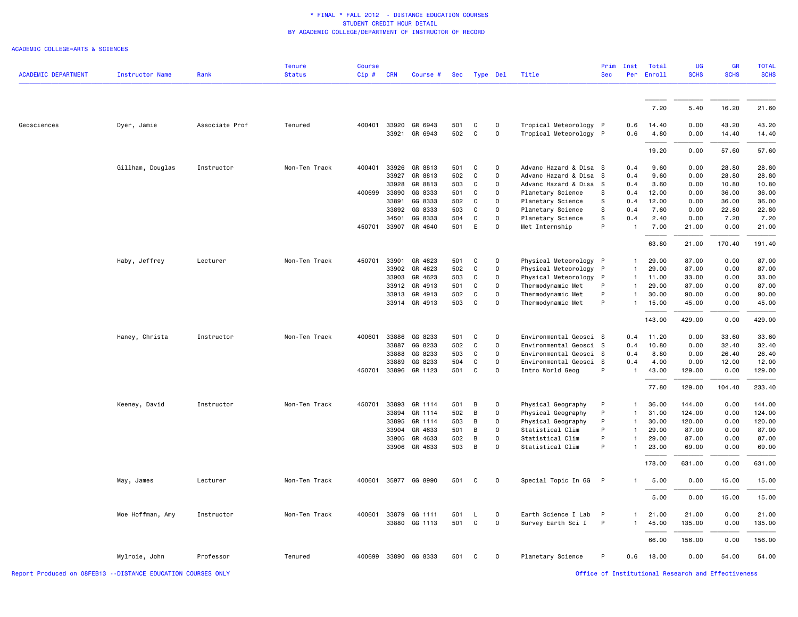|                                                               |                        |                | <b>Tenure</b> | <b>Course</b> |            |               |     |   |              |                        | Prim         | Inst         | Total  | <b>UG</b>                                          | <b>GR</b>   | <b>TOTAL</b> |
|---------------------------------------------------------------|------------------------|----------------|---------------|---------------|------------|---------------|-----|---|--------------|------------------------|--------------|--------------|--------|----------------------------------------------------|-------------|--------------|
| <b>ACADEMIC DEPARTMENT</b>                                    | <b>Instructor Name</b> | Rank           | <b>Status</b> | Cip #         | <b>CRN</b> | Course #      |     |   | Sec Type Del | Title                  | <b>Sec</b>   | Per          | Enroll | <b>SCHS</b>                                        | <b>SCHS</b> | <b>SCHS</b>  |
|                                                               |                        |                |               |               |            |               |     |   |              |                        |              |              |        |                                                    |             |              |
|                                                               |                        |                |               |               |            |               |     |   |              |                        |              |              | 7.20   | 5.40                                               | 16.20       | 21.60        |
| Geosciences                                                   | Dyer, Jamie            | Associate Prof | Tenured       | 400401        | 33920      | GR 6943       | 501 | C | 0            | Tropical Meteorology P |              | 0.6          | 14.40  | 0.00                                               | 43.20       | 43.20        |
|                                                               |                        |                |               |               |            | 33921 GR 6943 | 502 | C | $\mathsf{O}$ | Tropical Meteorology P |              | 0.6          | 4.80   | 0.00                                               | 14.40       | 14.40        |
|                                                               |                        |                |               |               |            |               |     |   |              |                        |              |              | 19.20  | 0.00                                               | 57.60       | 57.60        |
|                                                               | Gillham, Douglas       | Instructor     | Non-Ten Track | 400401        |            | 33926 GR 8813 | 501 | C | $\mathbf 0$  | Advanc Hazard & Disa S |              | 0.4          | 9.60   | 0.00                                               | 28.80       | 28.80        |
|                                                               |                        |                |               |               | 33927      | GR 8813       | 502 | C | $\mathsf{o}$ | Advanc Hazard & Disa   | S            | 0.4          | 9.60   | 0.00                                               | 28.80       | 28.80        |
|                                                               |                        |                |               |               | 33928      | GR 8813       | 503 | C | $\circ$      | Advanc Hazard & Disa   | S            | 0.4          | 3.60   | 0.00                                               | 10.80       | 10.80        |
|                                                               |                        |                |               | 400699        | 33890      | GG 8333       | 501 | C | $\mathsf{O}$ | Planetary Science      | s            | 0.4          | 12.00  | 0.00                                               | 36.00       | 36.00        |
|                                                               |                        |                |               |               | 33891      | GG 8333       | 502 | C | $\mathsf{O}$ | Planetary Science      | S            | 0.4          | 12.00  | 0.00                                               | 36.00       | 36.00        |
|                                                               |                        |                |               |               | 33892      | GG 8333       | 503 | C | $\mathbf 0$  | Planetary Science      | S            | 0.4          | 7.60   | 0.00                                               | 22.80       | 22.80        |
|                                                               |                        |                |               |               | 34501      | GG 8333       | 504 | С | 0            | Planetary Science      | s            | 0.4          | 2.40   | 0.00                                               | 7.20        | 7.20         |
|                                                               |                        |                |               | 450701        | 33907      | GR 4640       | 501 | E | $\mathsf{O}$ | Met Internship         | P            | $\mathbf{1}$ | 7.00   | 21.00                                              | 0.00        | 21.00        |
|                                                               |                        |                |               |               |            |               |     |   |              |                        |              |              | 63.80  | 21.00                                              | 170.40      | 191.40       |
|                                                               | Haby, Jeffrey          | Lecturer       | Non-Ten Track | 450701        | 33901      | GR 4623       | 501 | C | $\mathsf{O}$ | Physical Meteorology P |              | $\mathbf{1}$ | 29.00  | 87.00                                              | 0.00        | 87.00        |
|                                                               |                        |                |               |               | 33902      | GR 4623       | 502 | С | $\mathsf{o}$ | Physical Meteorology P |              | $\mathbf{1}$ | 29.00  | 87.00                                              | 0.00        | 87.00        |
|                                                               |                        |                |               |               | 33903      | GR 4623       | 503 | C | $\mathbf 0$  | Physical Meteorology   | $\mathsf{P}$ | $\mathbf{1}$ | 11.00  | 33.00                                              | 0.00        | 33.00        |
|                                                               |                        |                |               |               |            | 33912 GR 4913 | 501 | C | $\mathsf{o}$ | Thermodynamic Met      | P            | $\mathbf{1}$ | 29.00  | 87.00                                              | 0.00        | 87.00        |
|                                                               |                        |                |               |               |            | 33913 GR 4913 | 502 | C | $\mathsf{o}$ | Thermodynamic Met      | $\mathsf{P}$ |              | 30.00  | 90.00                                              | 0.00        | 90.00        |
|                                                               |                        |                |               |               |            | 33914 GR 4913 | 503 | C | $\mathbf 0$  | Thermodynamic Met      | P            | $\mathbf{1}$ | 15.00  | 45.00                                              | 0.00        | 45.00        |
|                                                               |                        |                |               |               |            |               |     |   |              |                        |              |              | 143.00 | 429.00                                             | 0.00        | 429.00       |
|                                                               | Haney, Christa         | Instructor     | Non-Ten Track | 400601        | 33886      | GG 8233       | 501 | C | 0            | Environmental Geosci S |              | 0.4          | 11.20  | 0.00                                               | 33.60       | 33.60        |
|                                                               |                        |                |               |               | 33887      | GG 8233       | 502 | C | $\mathsf{O}$ | Environmental Geosci S |              | 0.4          | 10.80  | 0.00                                               | 32.40       | 32.40        |
|                                                               |                        |                |               |               | 33888      | GG 8233       | 503 | C | $\mathsf{O}$ | Environmental Geosci S |              | 0.4          | 8.80   | 0.00                                               | 26.40       | 26.40        |
|                                                               |                        |                |               |               | 33889      | GG 8233       | 504 | C | $\mathsf{o}$ | Environmental Geosci S |              | 0.4          | 4.00   | 0.00                                               | 12.00       | 12.00        |
|                                                               |                        |                |               | 450701        |            | 33896 GR 1123 | 501 | C | $\mathbf 0$  | Intro World Geog       | P            | $\mathbf{1}$ | 43.00  | 129.00                                             | 0.00        | 129.00       |
|                                                               |                        |                |               |               |            |               |     |   |              |                        |              |              | 77.80  | 129.00                                             | 104.40      | 233.40       |
|                                                               | Keeney, David          | Instructor     | Non-Ten Track | 450701        | 33893      | GR 1114       | 501 | В | $\mathsf{O}$ | Physical Geography     | P            |              | 36.00  | 144.00                                             | 0.00        | 144.00       |
|                                                               |                        |                |               |               | 33894      | GR 1114       | 502 | B | $\circ$      | Physical Geography     | P            |              | 31.00  | 124.00                                             | 0.00        | 124.00       |
|                                                               |                        |                |               |               | 33895      | GR 1114       | 503 | В | $\circ$      | Physical Geography     | P            | $\mathbf{1}$ | 30.00  | 120.00                                             | 0.00        | 120.00       |
|                                                               |                        |                |               |               | 33904      | GR 4633       | 501 | В | $\Omega$     | Statistical Clim       | P            |              | 29.00  | 87.00                                              | 0.00        | 87.00        |
|                                                               |                        |                |               |               | 33905      | GR 4633       | 502 | В | $\mathsf{o}$ | Statistical Clim       | P            | -1           | 29.00  | 87.00                                              | 0.00        | 87.00        |
|                                                               |                        |                |               |               | 33906      | GR 4633       | 503 | B | $\mathsf{O}$ | Statistical Clim       | P            | $\mathbf{1}$ | 23.00  | 69.00                                              | 0.00        | 69.00        |
|                                                               |                        |                |               |               |            |               |     |   |              |                        |              |              | 178.00 | 631.00                                             | 0.00        | 631.00       |
|                                                               | May, James             | Lecturer       | Non-Ten Track | 400601        |            | 35977 GG 8990 | 501 | C | $\mathbf 0$  | Special Topic In GG P  |              |              | 5.00   | 0.00                                               | 15.00       | 15.00        |
|                                                               |                        |                |               |               |            |               |     |   |              |                        |              |              | 5.00   | 0.00                                               | 15.00       | 15.00        |
|                                                               |                        |                |               |               |            |               |     |   |              |                        |              |              |        |                                                    |             |              |
|                                                               | Moe Hoffman, Amy       | Instructor     | Non-Ten Track | 400601        | 33879      | GG 1111       | 501 | L | $\mathbf 0$  | Earth Science I Lab    | $\mathsf{P}$ |              | 21.00  | 21,00                                              | 0.00        | 21,00        |
|                                                               |                        |                |               |               |            | 33880 GG 1113 | 501 | C | $\mathbf 0$  | Survey Earth Sci I     | $\mathsf{P}$ | $\mathbf{1}$ | 45.00  | 135.00                                             | 0.00        | 135.00       |
|                                                               |                        |                |               |               |            |               |     |   |              |                        |              |              | 66.00  | 156.00                                             | 0.00        | 156.00       |
|                                                               | Mylroie, John          | Professor      | Tenured       | 400699        |            | 33890 GG 8333 | 501 | C | $\mathbf 0$  | Planetary Science      | P            | 0.6          | 18.00  | 0.00                                               | 54.00       | 54.00        |
| Report Produced on 08FEB13 -- DISTANCE EDUCATION COURSES ONLY |                        |                |               |               |            |               |     |   |              |                        |              |              |        | Office of Institutional Research and Effectiveness |             |              |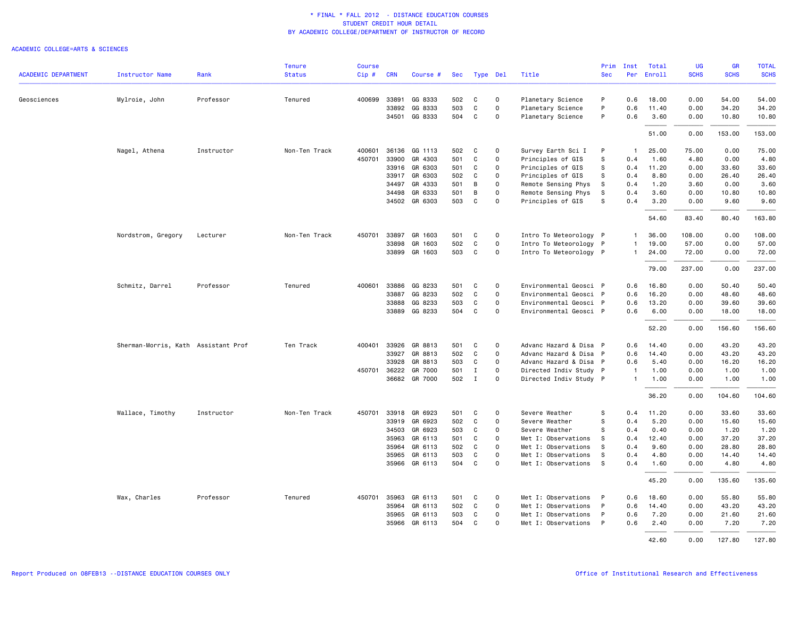|                            |                                     |            | <b>Tenure</b> | <b>Course</b> |            |                          |            |              |                         |                                        | Prim       | Inst         | Total         | <b>UG</b>    | <b>GR</b>     | <b>TOTAL</b>  |
|----------------------------|-------------------------------------|------------|---------------|---------------|------------|--------------------------|------------|--------------|-------------------------|----------------------------------------|------------|--------------|---------------|--------------|---------------|---------------|
| <b>ACADEMIC DEPARTMENT</b> | Instructor Name                     | Rank       | <b>Status</b> | Cip#          | <b>CRN</b> | Course #                 |            | Sec Type Del |                         | Title                                  | <b>Sec</b> |              | Per Enroll    | <b>SCHS</b>  | <b>SCHS</b>   | <b>SCHS</b>   |
| Geosciences                | Mylroie, John                       | Professor  | Tenured       | 400699        |            | 33891 GG 8333            | 502        | C            | $\circ$                 | Planetary Science                      | P          | 0.6          | 18.00         | 0.00         | 54.00         | 54.00         |
|                            |                                     |            |               |               | 33892      | GG 8333                  | 503        | C            | 0                       | Planetary Science                      | P          | 0.6          | 11.40         | 0.00         | 34.20         | 34.20         |
|                            |                                     |            |               |               |            | 34501 GG 8333            | 504        | C            | 0                       | Planetary Science                      | P          | 0.6          | 3.60          | 0.00         | 10.80         | 10.80         |
|                            |                                     |            |               |               |            |                          |            |              |                         |                                        |            |              | 51.00         | 0.00         | 153.00        | 153.00        |
|                            |                                     |            |               |               |            |                          |            |              |                         |                                        |            |              |               |              |               |               |
|                            | Nagel, Athena                       | Instructor | Non-Ten Track | 400601        |            | 36136 GG 1113            | 502        | C<br>C       | 0                       | Survey Earth Sci I                     | P          | $\mathbf{1}$ | 25.00         | 75.00        | 0.00          | 75.00         |
|                            |                                     |            |               | 450701        | 33900      | GR 4303<br>33916 GR 6303 | 501<br>501 | C            | $\circ$<br>$\mathsf{o}$ | Principles of GIS                      | s<br>s     | 0.4<br>0.4   | 1.60<br>11.20 | 4.80<br>0.00 | 0.00<br>33.60 | 4.80<br>33.60 |
|                            |                                     |            |               |               |            | 33917 GR 6303            | 502        | C            | 0                       | Principles of GIS<br>Principles of GIS | s          | 0.4          | 8.80          | 0.00         | 26.40         | 26.40         |
|                            |                                     |            |               |               |            | 34497 GR 4333            | 501        | В            | $\Omega$                | Remote Sensing Phys                    | S          | 0.4          | 1.20          | 3.60         | 0.00          | 3.60          |
|                            |                                     |            |               |               |            | 34498 GR 6333            | 501        | В            | $\mathsf{o}$            | Remote Sensing Phys                    | S          | 0.4          | 3.60          | 0.00         | 10.80         | 10.80         |
|                            |                                     |            |               |               |            | 34502 GR 6303            | 503        | C            | 0                       | Principles of GIS                      | s          | 0.4          | 3.20          | 0.00         | 9.60          | 9.60          |
|                            |                                     |            |               |               |            |                          |            |              |                         |                                        |            |              | 54.60         | 83.40        | 80.40         | 163.80        |
|                            | Nordstrom, Gregory                  | Lecturer   | Non-Ten Track | 450701        |            | 33897 GR 1603            | 501        | C            | 0                       | Intro To Meteorology P                 |            | $\mathbf{1}$ | 36.00         | 108.00       | 0.00          | 108.00        |
|                            |                                     |            |               |               |            | 33898 GR 1603            | 502        | C            | $\mathsf{o}$            | Intro To Meteorology P                 |            | $\mathbf{1}$ | 19.00         | 57.00        | 0.00          | 57.00         |
|                            |                                     |            |               |               | 33899      | GR 1603                  | 503        | C            | $\mathbf{O}$            | Intro To Meteorology P                 |            | $\mathbf{1}$ | 24.00         | 72.00        | 0.00          | 72.00         |
|                            |                                     |            |               |               |            |                          |            |              |                         |                                        |            |              | 79.00         | 237.00       | 0.00          | 237.00        |
|                            |                                     |            |               |               |            |                          |            |              |                         |                                        |            |              |               |              |               |               |
|                            | Schmitz, Darrel                     | Professor  | Tenured       | 400601        |            | 33886 GG 8233            | 501        | C            | $\Omega$                | Environmental Geosci P                 |            | 0.6          | 16.80         | 0.00         | 50.40         | 50.40         |
|                            |                                     |            |               |               | 33887      | GG 8233                  | 502        | C            | 0                       | Environmental Geosci P                 |            | 0.6          | 16.20         | 0.00         | 48.60         | 48.60         |
|                            |                                     |            |               |               | 33888      | GG 8233                  | 503        | C            | $\mathsf{o}$            | Environmental Geosci P                 |            | 0.6          | 13.20         | 0.00         | 39.60         | 39.60         |
|                            |                                     |            |               |               |            | 33889 GG 8233            | 504        | C            | $\mathsf{o}$            | Environmental Geosci P                 |            | 0.6          | 6.00          | 0.00         | 18.00         | 18.00         |
|                            |                                     |            |               |               |            |                          |            |              |                         |                                        |            |              | 52.20         | 0.00         | 156.60        | 156.60        |
|                            | Sherman-Morris, Kath Assistant Prof |            | Ten Track     | 400401        |            | 33926 GR 8813            | 501        | C            | $\mathbf 0$             | Advanc Hazard & Disa P                 |            | 0.6          | 14.40         | 0.00         | 43.20         | 43.20         |
|                            |                                     |            |               |               |            | 33927 GR 8813            | 502        | C            | $\mathsf{o}$            | Advanc Hazard & Disa P                 |            | 0.6          | 14.40         | 0.00         | 43.20         | 43.20         |
|                            |                                     |            |               |               |            | 33928 GR 8813            | 503        | C            | $\mathbf{O}$            | Advanc Hazard & Disa P                 |            | 0.6          | 5.40          | 0.00         | 16.20         | 16.20         |
|                            |                                     |            |               | 450701        |            | 36222 GR 7000            | 501        | Ι.           | $\Omega$                | Directed Indiv Study P                 |            | $\mathbf{1}$ | 1.00          | 0.00         | 1.00          | 1.00          |
|                            |                                     |            |               |               |            | 36682 GR 7000            | 502        | $\mathbf I$  | $\mathsf{o}$            | Directed Indiv Study P                 |            | $\mathbf{1}$ | 1.00          | 0.00         | 1.00          | 1.00          |
|                            |                                     |            |               |               |            |                          |            |              |                         |                                        |            |              | 36.20         | 0.00         | 104.60        | 104.60        |
|                            | Wallace, Timothy                    | Instructor | Non-Ten Track | 450701        |            | 33918 GR 6923            | 501        | C            | 0                       | Severe Weather                         | s          | 0.4          | 11.20         | 0.00         | 33.60         | 33.60         |
|                            |                                     |            |               |               |            | 33919 GR 6923            | 502        | C            | $\Omega$                | Severe Weather                         | S          | 0.4          | 5.20          | 0.00         | 15.60         | 15.60         |
|                            |                                     |            |               |               |            | 34503 GR 6923            | 503        | C            | $\Omega$                | Severe Weather                         | S          | 0.4          | 0.40          | 0.00         | 1.20          | 1.20          |
|                            |                                     |            |               |               | 35963      | GR 6113                  | 501        | C            | 0                       | Met I: Observations                    | s          | 0.4          | 12.40         | 0.00         | 37.20         | 37.20         |
|                            |                                     |            |               |               | 35964      | GR 6113                  | 502        | C            | $\mathsf{o}$            | Met I: Observations                    | S          | 0.4          | 9.60          | 0.00         | 28.80         | 28.80         |
|                            |                                     |            |               |               |            | 35965 GR 6113            | 503        | C            | 0                       | Met I: Observations                    | S.         | 0.4          | 4.80          | 0.00         | 14.40         | 14.40         |
|                            |                                     |            |               |               |            | 35966 GR 6113            | 504        | C            | $\Omega$                | Met I: Observations                    | -S         | 0.4          | 1.60          | 0.00         | 4.80          | 4.80          |
|                            |                                     |            |               |               |            |                          |            |              |                         |                                        |            |              | 45.20         | 0.00         | 135.60        | 135.60        |
|                            | Wax, Charles                        | Professor  | Tenured       | 450701        | 35963      | GR 6113                  | 501        | C            | $\Omega$                | Met I: Observations                    | P          | 0.6          | 18.60         | 0.00         | 55.80         | 55.80         |
|                            |                                     |            |               |               |            | 35964 GR 6113            | 502        | C            | 0                       | Met I: Observations                    | P          | 0.6          | 14.40         | 0.00         | 43.20         | 43.20         |
|                            |                                     |            |               |               |            | 35965 GR 6113            | 503        | C            | 0                       | Met I: Observations                    | P          | 0.6          | 7.20          | 0.00         | 21.60         | 21.60         |
|                            |                                     |            |               |               |            | 35966 GR 6113            | 504        | C            | $\Omega$                | Met I: Observations                    | P          | 0.6          | 2.40          | 0.00         | 7.20          | 7.20          |
|                            |                                     |            |               |               |            |                          |            |              |                         |                                        |            |              | 42.60         | 0.00         | 127.80        | 127.80        |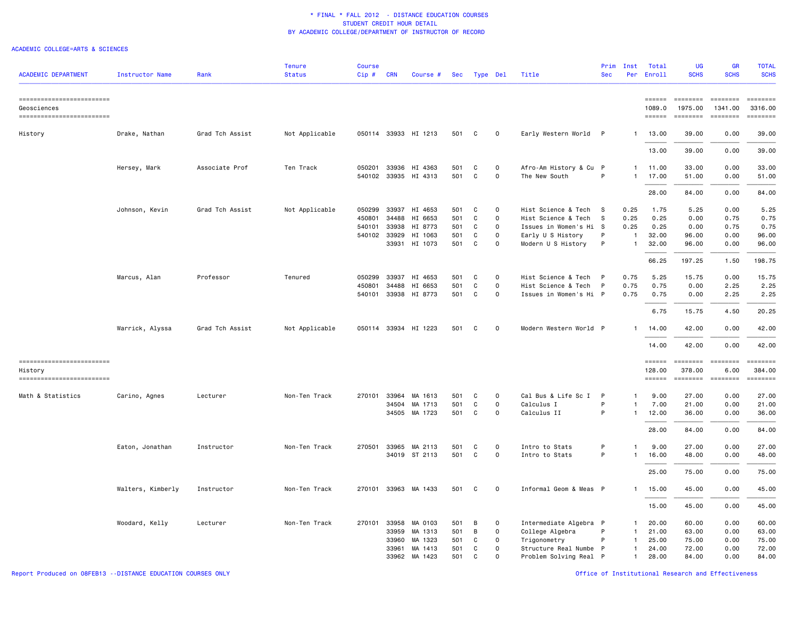| <b>ACADEMIC DEPARTMENT</b>               | <b>Instructor Name</b> | Rank            | <b>Tenure</b><br><b>Status</b> | <b>Course</b><br>$Cip$ # | <b>CRN</b> | Course #             |     |          | Sec Type Del | Title                  | Prim<br><b>Sec</b> | Inst<br>Per  | Total<br>Enroll                   | <b>UG</b><br><b>SCHS</b> | <b>GR</b><br><b>SCHS</b> | <b>TOTAL</b><br><b>SCHS</b> |
|------------------------------------------|------------------------|-----------------|--------------------------------|--------------------------|------------|----------------------|-----|----------|--------------|------------------------|--------------------|--------------|-----------------------------------|--------------------------|--------------------------|-----------------------------|
| ==========================               |                        |                 |                                |                          |            |                      |     |          |              |                        |                    |              |                                   | <b>ESSESSE</b>           | ========                 | ---------                   |
| Geosciences<br>------------------------- |                        |                 |                                |                          |            |                      |     |          |              |                        |                    |              | 1089.0<br>$=$ $=$ $=$ $=$ $=$ $=$ | 1975.00<br>========      | 1341.00<br>========      | 3316.00<br>EEEEEEE          |
| History                                  | Drake, Nathan          | Grad Tch Assist | Not Applicable                 |                          |            | 050114 33933 HI 1213 | 501 | <b>C</b> | $\mathbf 0$  | Early Western World P  |                    | -1           | 13.00                             | 39.00                    | 0.00                     | 39.00                       |
|                                          |                        |                 |                                |                          |            |                      |     |          |              |                        |                    |              | 13.00                             | 39.00                    | 0.00                     | 39.00                       |
|                                          | Hersey, Mark           | Associate Prof  | Ten Track                      | 050201                   |            | 33936 HI 4363        | 501 | C        | $\mathbf 0$  | Afro-Am History & Cu P |                    | 1            | 11.00                             | 33.00                    | 0.00                     | 33.00                       |
|                                          |                        |                 |                                | 540102                   |            | 33935 HI 4313        | 501 | C        | $\mathbf 0$  | The New South          | P                  | $\mathbf{1}$ | 17.00                             | 51.00                    | 0.00                     | 51.00                       |
|                                          |                        |                 |                                |                          |            |                      |     |          |              |                        |                    |              | 28.00                             | 84.00                    | 0.00                     | 84.00                       |
|                                          | Johnson, Kevin         | Grad Tch Assist | Not Applicable                 | 050299                   |            | 33937 HI 4653        | 501 | C        | 0            | Hist Science & Tech    | <b>S</b>           | 0.25         | 1.75                              | 5.25                     | 0.00                     | 5.25                        |
|                                          |                        |                 |                                | 450801                   | 34488      | HI 6653              | 501 | C        | $\mathsf{o}$ | Hist Science & Tech    | <b>S</b>           | 0.25         | 0.25                              | 0.00                     | 0.75                     | 0.75                        |
|                                          |                        |                 |                                | 540101                   | 33938      | HI 8773              | 501 | C        | 0            | Issues in Women's Hi S |                    | 0.25         | 0.25                              | 0.00                     | 0.75                     | 0.75                        |
|                                          |                        |                 |                                | 540102                   |            | 33929 HI 1063        | 501 | C        | $\mathsf{o}$ | Early U S History      | P                  | -1           | 32.00                             | 96.00                    | 0.00                     | 96.00                       |
|                                          |                        |                 |                                |                          |            | 33931 HI 1073        | 501 | C        | 0            | Modern U S History     | P                  | $\mathbf{1}$ | 32.00                             | 96.00                    | 0.00                     | 96.00                       |
|                                          |                        |                 |                                |                          |            |                      |     |          |              |                        |                    |              | 66.25                             | 197.25                   | 1.50                     | 198.75                      |
|                                          | Marcus, Alan           | Professor       | Tenured                        | 050299                   | 33937      | HI 4653              | 501 | C        | 0            | Hist Science & Tech    | P                  | 0.75         | 5.25                              | 15.75                    | 0.00                     | 15.75                       |
|                                          |                        |                 |                                | 450801                   | 34488      | HI 6653              | 501 | C        | $\mathsf{o}$ | Hist Science & Tech    | P                  | 0.75         | 0.75                              | 0.00                     | 2.25                     | 2.25                        |
|                                          |                        |                 |                                | 540101                   |            | 33938 HI 8773        | 501 | C        | 0            | Issues in Women's Hi P |                    | 0.75         | 0.75                              | 0.00                     | 2.25                     | 2.25                        |
|                                          |                        |                 |                                |                          |            |                      |     |          |              |                        |                    |              | 6.75                              | 15.75                    | 4.50                     | 20.25                       |
|                                          | Warrick, Alyssa        | Grad Tch Assist | Not Applicable                 | 050114                   |            | 33934 HI 1223        | 501 | C        | $\Omega$     | Modern Western World P |                    |              | 14.00                             | 42.00                    | 0.00                     | 42.00                       |
|                                          |                        |                 |                                |                          |            |                      |     |          |              |                        |                    |              | 14.00                             | 42.00                    | 0.00                     | 42.00                       |
| ==========================               |                        |                 |                                |                          |            |                      |     |          |              |                        |                    |              | $=$ $=$ $=$ $=$ $=$ $=$           | <b>EEEEEEEE</b>          | <b>ESSESSES</b>          | EEEEEEE                     |
| History<br>==========================    |                        |                 |                                |                          |            |                      |     |          |              |                        |                    |              | 128.00<br><b>EEEEEE</b>           | 378.00<br>========       | 6.00<br>========         | 384.00<br>$=$ =======       |
| Math & Statistics                        | Carino, Agnes          | Lecturer        | Non-Ten Track                  | 270101                   |            | 33964 MA 1613        | 501 | C        | $\Omega$     | Cal Bus & Life Sc I    | P                  | $\mathbf{1}$ | 9.00                              | 27.00                    | 0.00                     | 27.00                       |
|                                          |                        |                 |                                |                          |            | 34504 MA 1713        | 501 | C        | 0            | Calculus I             | P                  | $\mathbf{1}$ | 7.00                              | 21.00                    | 0.00                     | 21.00                       |
|                                          |                        |                 |                                |                          |            | 34505 MA 1723        | 501 | C        | $\Omega$     | Calculus II            | P                  | $\mathbf{1}$ | 12.00                             | 36.00                    | 0.00                     | 36.00                       |
|                                          |                        |                 |                                |                          |            |                      |     |          |              |                        |                    |              | 28.00                             | 84.00                    | 0.00                     | 84.00                       |
|                                          | Eaton, Jonathan        | Instructor      | Non-Ten Track                  | 270501                   |            | 33965 MA 2113        | 501 | C        | $\Omega$     | Intro to Stats         | P                  | $\mathbf{1}$ | 9.00                              | 27.00                    | 0.00                     | 27.00                       |
|                                          |                        |                 |                                |                          |            | 34019 ST 2113        | 501 | C        | $\mathsf{o}$ | Intro to Stats         | P                  | $\mathbf{1}$ | 16.00                             | 48.00                    | 0.00                     | 48.00                       |
|                                          |                        |                 |                                |                          |            |                      |     |          |              |                        |                    |              | 25.00                             | 75.00                    | 0.00                     | 75.00                       |
|                                          | Walters, Kimberly      | Instructor      | Non-Ten Track                  | 270101                   |            | 33963 MA 1433        | 501 | C        | 0            | Informal Geom & Meas P |                    | $\mathbf{1}$ | 15.00                             | 45.00                    | 0.00                     | 45.00                       |
|                                          |                        |                 |                                |                          |            |                      |     |          |              |                        |                    |              | 15.00                             | 45.00                    | 0.00                     | 45.00                       |
|                                          | Woodard, Kelly         | Lecturer        | Non-Ten Track                  | 270101                   | 33958      | MA 0103              | 501 | В        | 0            | Intermediate Algebra P |                    | $\mathbf{1}$ | 20.00                             | 60.00                    | 0.00                     | 60.00                       |
|                                          |                        |                 |                                |                          |            | 33959 MA 1313        | 501 | В        | $\mathsf{o}$ | College Algebra        |                    | $\mathbf{1}$ | 21.00                             | 63.00                    | 0.00                     | 63.00                       |
|                                          |                        |                 |                                |                          | 33960      | MA 1323              | 501 | C        | 0            | Trigonometry           |                    | $\mathbf{1}$ | 25.00                             | 75.00                    | 0.00                     | 75.00                       |
|                                          |                        |                 |                                |                          | 33961      | MA 1413              | 501 | C        | $\mathbf{O}$ | Structure Real Numbe P |                    | $\mathbf{1}$ | 24.00                             | 72.00                    | 0.00                     | 72.00                       |
|                                          |                        |                 |                                |                          |            | 33962 MA 1423        | 501 | C        | $\mathbf{O}$ | Problem Solving Real P |                    | $\mathbf{1}$ | 28.00                             | 84.00                    | 0.00                     | 84.00                       |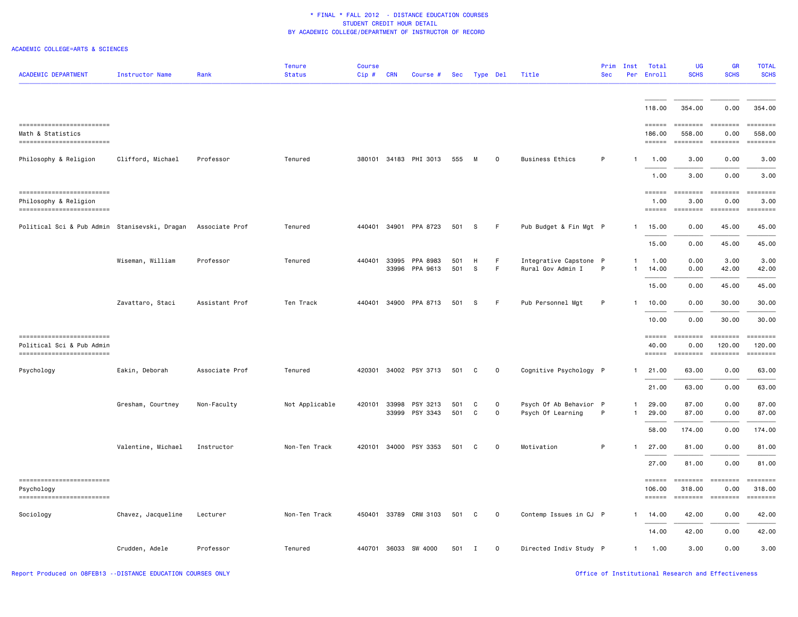| <b>ACADEMIC DEPARTMENT</b>                                                            | <b>Instructor Name</b> | Rank           | <b>Tenure</b><br><b>Status</b> | <b>Course</b><br>Cip# | <b>CRN</b> | Course #                   |            | Sec Type Del      |             | Title                                       | Prim<br><b>Sec</b> | Inst                         | Total<br>Per Enroll                                   | <b>UG</b><br><b>SCHS</b>                                                                                                                                                                                                                                                                                                                                                                                                                                                                                   | <b>GR</b><br><b>SCHS</b>     | <b>TOTAL</b><br><b>SCHS</b>   |
|---------------------------------------------------------------------------------------|------------------------|----------------|--------------------------------|-----------------------|------------|----------------------------|------------|-------------------|-------------|---------------------------------------------|--------------------|------------------------------|-------------------------------------------------------|------------------------------------------------------------------------------------------------------------------------------------------------------------------------------------------------------------------------------------------------------------------------------------------------------------------------------------------------------------------------------------------------------------------------------------------------------------------------------------------------------------|------------------------------|-------------------------------|
|                                                                                       |                        |                |                                |                       |            |                            |            |                   |             |                                             |                    |                              | 118.00                                                | 354.00                                                                                                                                                                                                                                                                                                                                                                                                                                                                                                     | 0.00                         | 354.00                        |
| ------------------------<br>Math & Statistics<br>------------------------             |                        |                |                                |                       |            |                            |            |                   |             |                                             |                    |                              | $=$ $=$ $=$ $=$ $=$ $=$<br>186,00<br>$= = = = = =$    | $\texttt{m}$<br>558.00<br>========                                                                                                                                                                                                                                                                                                                                                                                                                                                                         | 0.00<br><b>EDEDEDER</b>      | ========<br>558,00            |
| Philosophy & Religion                                                                 | Clifford, Michael      | Professor      | Tenured                        | 380101                |            | 34183 PHI 3013             | 555        | M                 | $\mathbf 0$ | <b>Business Ethics</b>                      | P                  | $\mathbf{1}$                 | 1.00                                                  | 3.00                                                                                                                                                                                                                                                                                                                                                                                                                                                                                                       | 0.00                         | 3.00                          |
|                                                                                       |                        |                |                                |                       |            |                            |            |                   |             |                                             |                    |                              | 1.00                                                  | 3.00                                                                                                                                                                                                                                                                                                                                                                                                                                                                                                       | 0.00                         | 3.00                          |
| ------------------------<br>Philosophy & Religion<br>=========================        |                        |                |                                |                       |            |                            |            |                   |             |                                             |                    |                              | $=$ $=$ $=$ $=$ $=$ $=$ $=$<br>1.00<br>======         | ========<br>3.00<br>========                                                                                                                                                                                                                                                                                                                                                                                                                                                                               | ========<br>0.00<br>======== | ---------<br>3.00<br>======== |
| Political Sci & Pub Admin Stanisevski, Dragan                                         |                        | Associate Prof | Tenured                        | 440401                |            | 34901 PPA 8723             | 501        | S.                | F           | Pub Budget & Fin Mgt P                      |                    | $\mathbf{1}$                 | 15.00                                                 | 0.00                                                                                                                                                                                                                                                                                                                                                                                                                                                                                                       | 45.00                        | 45.00                         |
|                                                                                       | Wiseman, William       | Professor      | Tenured                        | 440401                | 33995      | PPA 8983                   | 501        | н                 | F           | Integrative Capstone P                      |                    | -1                           | 15.00<br>1.00                                         | 0.00<br>0.00                                                                                                                                                                                                                                                                                                                                                                                                                                                                                               | 45.00<br>3.00                | 45.00<br>3.00                 |
|                                                                                       |                        |                |                                |                       | 33996      | PPA 9613                   | 501        | s                 | $\mathsf F$ | Rural Gov Admin I                           | P                  | $\mathbf{1}$                 | 14.00<br>15.00                                        | 0.00<br>0.00                                                                                                                                                                                                                                                                                                                                                                                                                                                                                               | 42.00<br>45.00               | 42.00<br>45.00                |
|                                                                                       | Zavattaro, Staci       | Assistant Prof | Ten Track                      |                       |            | 440401 34900 PPA 8713      | 501        | S                 | $\mathsf F$ | Pub Personnel Mgt                           | P                  | $\mathbf{1}$                 | 10.00                                                 | 0.00                                                                                                                                                                                                                                                                                                                                                                                                                                                                                                       | 30.00                        | 30.00                         |
|                                                                                       |                        |                |                                |                       |            |                            |            |                   |             |                                             |                    |                              | 10.00                                                 | 0.00                                                                                                                                                                                                                                                                                                                                                                                                                                                                                                       | 30.00                        | 30.00                         |
| ==========================<br>Political Sci & Pub Admin<br>========================== |                        |                |                                |                       |            |                            |            |                   |             |                                             |                    |                              | $=$ = $=$ $=$ $=$<br>40.00<br>$=$ $=$ $=$ $=$ $=$ $=$ | ========<br>0.00<br>$\begin{array}{cccccccccc} \multicolumn{3}{c}{} & \multicolumn{3}{c}{} & \multicolumn{3}{c}{} & \multicolumn{3}{c}{} & \multicolumn{3}{c}{} & \multicolumn{3}{c}{} & \multicolumn{3}{c}{} & \multicolumn{3}{c}{} & \multicolumn{3}{c}{} & \multicolumn{3}{c}{} & \multicolumn{3}{c}{} & \multicolumn{3}{c}{} & \multicolumn{3}{c}{} & \multicolumn{3}{c}{} & \multicolumn{3}{c}{} & \multicolumn{3}{c}{} & \multicolumn{3}{c}{} & \multicolumn{3}{c}{} & \multicolumn{3}{c}{} & \mult$ | 120.00<br>========           | $= 1.12222222$<br>120.00      |
| Psychology                                                                            | Eakin, Deborah         | Associate Prof | Tenured                        | 420301                |            | 34002 PSY 3713             | 501        | C                 | $\mathbf 0$ | Cognitive Psychology P                      |                    | $\mathbf{1}$                 | 21.00                                                 | 63.00                                                                                                                                                                                                                                                                                                                                                                                                                                                                                                      | 0.00                         | 63.00                         |
|                                                                                       |                        |                |                                |                       |            |                            |            |                   |             |                                             |                    |                              | 21.00                                                 | 63.00                                                                                                                                                                                                                                                                                                                                                                                                                                                                                                      | 0.00                         | 63.00                         |
|                                                                                       | Gresham, Courtney      | Non-Faculty    | Not Applicable                 | 420101                | 33998      | PSY 3213<br>33999 PSY 3343 | 501<br>501 | C<br>$\mathsf{C}$ | 0<br>0      | Psych Of Ab Behavior P<br>Psych Of Learning | P                  | $\mathbf{1}$<br>$\mathbf{1}$ | 29.00<br>29.00                                        | 87.00<br>87.00                                                                                                                                                                                                                                                                                                                                                                                                                                                                                             | 0.00<br>0.00                 | 87.00<br>87.00                |
|                                                                                       |                        |                |                                |                       |            |                            |            |                   |             |                                             |                    |                              | 58.00                                                 | 174.00                                                                                                                                                                                                                                                                                                                                                                                                                                                                                                     | 0.00                         | 174.00                        |
|                                                                                       | Valentine, Michael     | Instructor     | Non-Ten Track                  | 420101                |            | 34000 PSY 3353             | 501        | C                 | $\Omega$    | Motivation                                  | P                  |                              | 27.00                                                 | 81.00                                                                                                                                                                                                                                                                                                                                                                                                                                                                                                      | 0.00                         | 81.00                         |
| ------------------------                                                              |                        |                |                                |                       |            |                            |            |                   |             |                                             |                    |                              | 27.00                                                 | 81.00<br>======== =======                                                                                                                                                                                                                                                                                                                                                                                                                                                                                  | 0.00                         | 81.00<br>EEEEEEE              |
| Psychology<br>------------------------                                                |                        |                |                                |                       |            |                            |            |                   |             |                                             |                    |                              | 106.00<br>$=$ $=$ $=$ $=$ $=$ $=$                     | 318.00<br><b>EEEEEEEE</b>                                                                                                                                                                                                                                                                                                                                                                                                                                                                                  | 0.00<br><b>EDEDEED</b>       | 318.00<br>EEEEEEE             |
| Sociology                                                                             | Chavez, Jacqueline     | Lecturer       | Non-Ten Track                  |                       |            | 450401 33789 CRM 3103      | 501        | C                 | 0           | Contemp Issues in CJ P                      |                    | 1                            | 14.00                                                 | 42.00                                                                                                                                                                                                                                                                                                                                                                                                                                                                                                      | 0.00                         | 42.00                         |
|                                                                                       |                        |                |                                |                       |            |                            |            |                   |             |                                             |                    |                              | 14.00                                                 | 42.00                                                                                                                                                                                                                                                                                                                                                                                                                                                                                                      | 0.00                         | 42.00                         |
|                                                                                       | Crudden, Adele         | Professor      | Tenured                        |                       |            | 440701 36033 SW 4000       | 501        | Ι.                | $\mathbf 0$ | Directed Indiv Study P                      |                    | $\mathbf{1}$                 | 1.00                                                  | 3.00                                                                                                                                                                                                                                                                                                                                                                                                                                                                                                       | 0.00                         | 3.00                          |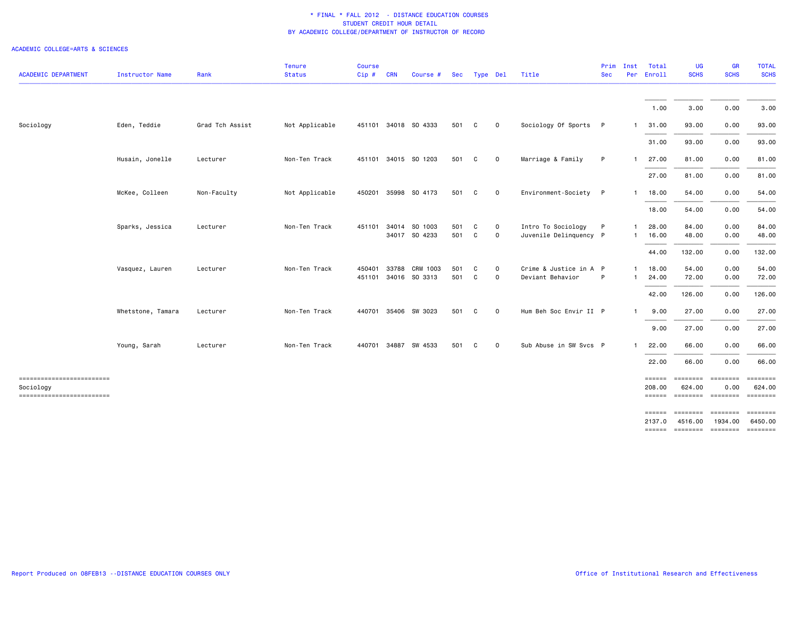| <b>ACADEMIC DEPARTMENT</b>                                           | Instructor Name   | Rank            | <b>Tenure</b><br><b>Status</b> | <b>Course</b><br>Cip# | <b>CRN</b> | Course #                        | Sec        |        | Type Del     | Title                                        | Prim<br><b>Sec</b> | Inst<br>Per                  | Total<br>Enroll               | <b>UG</b><br><b>SCHS</b>     | <b>GR</b><br><b>SCHS</b>                    | <b>TOTAL</b><br><b>SCHS</b> |
|----------------------------------------------------------------------|-------------------|-----------------|--------------------------------|-----------------------|------------|---------------------------------|------------|--------|--------------|----------------------------------------------|--------------------|------------------------------|-------------------------------|------------------------------|---------------------------------------------|-----------------------------|
|                                                                      |                   |                 |                                |                       |            |                                 |            |        |              |                                              |                    |                              | 1.00                          | 3.00                         | 0.00                                        | 3.00                        |
| Sociology                                                            | Eden, Teddie      | Grad Tch Assist | Not Applicable                 | 451101                |            | 34018 SO 4333                   | 501        | C      | 0            | Sociology Of Sports P                        |                    | $\mathbf{1}$                 | 31.00                         | 93.00                        | 0.00                                        | 93.00                       |
|                                                                      |                   |                 |                                |                       |            |                                 |            |        |              |                                              |                    |                              | 31.00                         | 93.00                        | 0.00                                        | 93.00                       |
|                                                                      | Husain, Jonelle   | Lecturer        | Non-Ten Track                  |                       |            | 451101 34015 SO 1203            | 501        | C      | 0            | Marriage & Family                            | P                  | 1.                           | 27.00                         | 81.00                        | 0.00                                        | 81.00                       |
|                                                                      |                   |                 |                                |                       |            |                                 |            |        |              |                                              |                    |                              | 27.00                         | 81.00                        | 0.00                                        | 81.00                       |
|                                                                      | McKee, Colleen    | Non-Faculty     | Not Applicable                 | 450201                |            | 35998 SO 4173                   | 501        | C      | 0            | Environment-Society                          | P                  | 1                            | 18.00                         | 54.00                        | 0.00                                        | 54.00                       |
|                                                                      |                   |                 |                                |                       |            |                                 |            |        |              |                                              |                    |                              | 18.00                         | 54.00                        | 0.00                                        | 54.00                       |
|                                                                      | Sparks, Jessica   | Lecturer        | Non-Ten Track                  | 451101                |            | 34014 SO 1003<br>34017 SO 4233  | 501<br>501 | C<br>C | 0<br>0       | Intro To Sociology<br>Juvenile Delinquency P | P                  | $\mathbf{1}$<br>$\mathbf{1}$ | 28.00<br>16.00                | 84.00<br>48.00               | 0.00<br>0.00                                | 84.00<br>48.00              |
|                                                                      |                   |                 |                                |                       |            |                                 |            |        |              |                                              |                    |                              | 44.00                         | 132.00                       | 0.00                                        | 132.00                      |
|                                                                      | Vasquez, Lauren   | Lecturer        | Non-Ten Track                  | 450401<br>451101      |            | 33788 CRM 1003<br>34016 SO 3313 | 501<br>501 | C<br>C | 0<br>0       | Crime & Justice in A P<br>Deviant Behavior   | P                  | $\mathbf{1}$<br>$\mathbf{1}$ | 18.00<br>24.00                | 54.00<br>72.00               | 0.00<br>0.00                                | 54.00<br>72.00              |
|                                                                      |                   |                 |                                |                       |            |                                 |            |        |              |                                              |                    |                              | 42.00                         | 126.00                       | 0.00                                        | 126.00                      |
|                                                                      | Whetstone, Tamara | Lecturer        | Non-Ten Track                  |                       |            | 440701 35406 SW 3023            | 501        | C      | $\circ$      | Hum Beh Soc Envir II P                       |                    | $\mathbf{1}$                 | 9.00                          | 27.00                        | 0.00                                        | 27.00                       |
|                                                                      |                   |                 |                                |                       |            |                                 |            |        |              |                                              |                    |                              | 9.00                          | 27.00                        | 0.00                                        | 27.00                       |
|                                                                      | Young, Sarah      | Lecturer        | Non-Ten Track                  |                       |            | 440701 34887 SW 4533            | 501        | C      | $\mathsf{o}$ | Sub Abuse in SW Svcs P                       |                    | $\mathbf{1}$                 | 22.00                         | 66.00                        | 0.00                                        | 66.00                       |
|                                                                      |                   |                 |                                |                       |            |                                 |            |        |              |                                              |                    |                              | 22.00                         | 66.00                        | 0.00                                        | 66.00                       |
| -------------------------<br>Sociology<br>========================== |                   |                 |                                |                       |            |                                 |            |        |              |                                              |                    |                              | $=$ $=$ $=$ $=$ $=$<br>208.00 | --------- --------<br>624.00 | 0.00<br>====== ======== ======== =======    | EEEEEEE<br>624.00           |
|                                                                      |                   |                 |                                |                       |            |                                 |            |        |              |                                              |                    |                              | $= 2222222$                   | <b>EDEDEED</b>               | ========                                    |                             |
|                                                                      |                   |                 |                                |                       |            |                                 |            |        |              |                                              |                    |                              | 2137.0                        | 4516.00                      | 1934.00<br>====== ======== ======== ======= | 6450.00                     |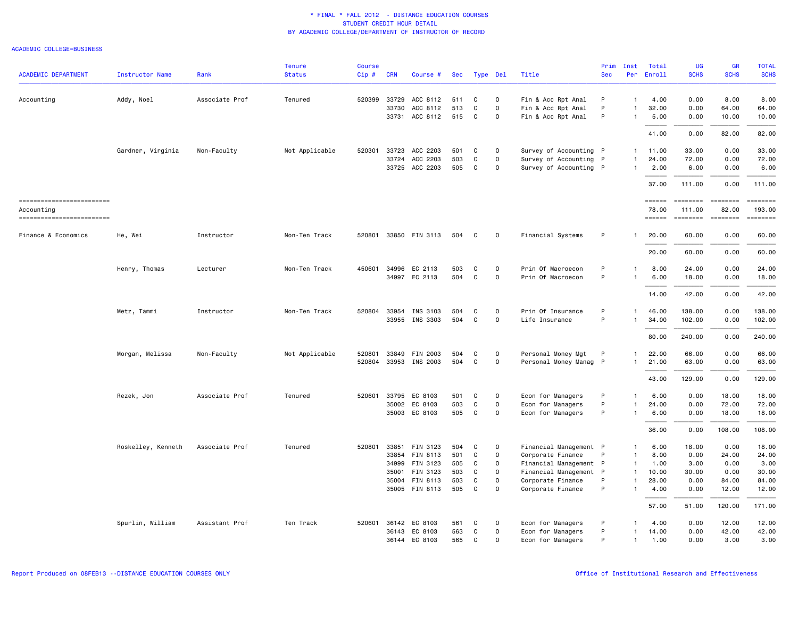|                                          |                        |                | <b>Tenure</b>  | <b>Course</b> |            |                                  |            |        |               |                                     | Prim       | Inst                         | Total               | <b>UG</b>                  | <b>GR</b>    | <b>TOTAL</b>       |
|------------------------------------------|------------------------|----------------|----------------|---------------|------------|----------------------------------|------------|--------|---------------|-------------------------------------|------------|------------------------------|---------------------|----------------------------|--------------|--------------------|
| <b>ACADEMIC DEPARTMENT</b>               | <b>Instructor Name</b> | Rank           | <b>Status</b>  | Cip#          | <b>CRN</b> | Course #                         | Sec        |        | Type Del      | Title                               | <b>Sec</b> | Per                          | Enroll              | <b>SCHS</b>                | <b>SCHS</b>  | <b>SCHS</b>        |
| Accounting                               | Addy, Noel             | Associate Prof | Tenured        | 520399        | 33729      | ACC 8112                         | 511        | C      | $\Omega$      | Fin & Acc Rpt Anal                  | P          | $\mathbf{1}$                 | 4.00                | 0.00                       | 8.00         | 8.00               |
|                                          |                        |                |                |               | 33730      | ACC 8112                         | 513        | C      | 0             | Fin & Acc Rpt Anal                  | P          | $\mathbf{1}$                 | 32.00               | 0.00                       | 64.00        | 64.00              |
|                                          |                        |                |                |               |            | 33731 ACC 8112                   | 515        | C      | $\mathsf{o}$  | Fin & Acc Rpt Anal                  | P          | -1                           | 5.00                | 0.00                       | 10.00        | 10.00              |
|                                          |                        |                |                |               |            |                                  |            |        |               |                                     |            |                              | 41.00               | 0.00                       | 82.00        | 82.00              |
|                                          | Gardner, Virginia      | Non-Faculty    | Not Applicable | 520301        |            | 33723 ACC 2203                   | 501        | C      | $\Omega$      | Survey of Accounting P              |            | $\mathbf{1}$                 | 11.00               | 33,00                      | 0.00         | 33.00              |
|                                          |                        |                |                |               |            | 33724 ACC 2203                   | 503        | C      | 0             | Survey of Accounting P              |            | $\mathbf{1}$                 | 24.00               | 72.00                      | 0.00         | 72.00              |
|                                          |                        |                |                |               |            | 33725 ACC 2203                   | 505        | C      | $\mathsf{o}$  | Survey of Accounting P              |            | $\mathbf{1}$                 | 2.00                | 6.00                       | 0.00         | 6.00               |
|                                          |                        |                |                |               |            |                                  |            |        |               |                                     |            |                              | 37.00               | 111.00                     | 0.00         | 111.00             |
| --------------------------               |                        |                |                |               |            |                                  |            |        |               |                                     |            |                              | $=$ $=$ $=$ $=$ $=$ | ==================         |              | $= 1.122222222$    |
| Accounting<br>========================== |                        |                |                |               |            |                                  |            |        |               |                                     |            |                              | 78.00<br>======     | 111.00<br>======== ======= | 82.00        | 193.00<br>======== |
| Finance & Economics                      | He, Wei                | Instructor     | Non-Ten Track  | 520801        |            | 33850 FIN 3113                   | 504        | C      | 0             | Financial Systems                   | P          | -1                           | 20.00               | 60.00                      | 0.00         | 60.00              |
|                                          |                        |                |                |               |            |                                  |            |        |               |                                     |            |                              | 20.00               | 60.00                      | 0.00         | 60.00              |
|                                          | Henry, Thomas          | Lecturer       | Non-Ten Track  | 450601        | 34996      | EC 2113                          | 503        | C      | $\Omega$      | Prin Of Macroecon                   | P          | $\mathbf{1}$                 | 8.00                | 24.00                      | 0.00         | 24.00              |
|                                          |                        |                |                |               |            | 34997 EC 2113                    | 504        | C      | $\mathsf{o}$  | Prin Of Macroecon                   | P          | $\mathbf{1}$                 | 6.00                | 18.00                      | 0.00         | 18.00              |
|                                          |                        |                |                |               |            |                                  |            |        |               |                                     |            |                              | 14.00               | 42.00                      | 0.00         | 42.00              |
|                                          |                        |                |                |               |            |                                  |            |        |               |                                     |            |                              |                     |                            |              |                    |
|                                          | Metz, Tammi            | Instructor     | Non-Ten Track  | 520804        |            | 33954 INS 3103<br>33955 INS 3303 | 504<br>504 | C<br>C | $\Omega$<br>0 | Prin Of Insurance<br>Life Insurance | P<br>P     | $\mathbf{1}$<br>$\mathbf{1}$ | 46.00<br>34.00      | 138.00<br>102.00           | 0.00<br>0.00 | 138.00<br>102.00   |
|                                          |                        |                |                |               |            |                                  |            |        |               |                                     |            |                              |                     |                            |              |                    |
|                                          |                        |                |                |               |            |                                  |            |        |               |                                     |            |                              | 80.00               | 240.00                     | 0.00         | 240.00             |
|                                          | Morgan, Melissa        | Non-Faculty    | Not Applicable | 520801        |            | 33849 FIN 2003                   | 504        | C      | $\Omega$      | Personal Money Mgt                  | P          | $\mathbf{1}$                 | 22.00               | 66.00                      | 0.00         | 66.00              |
|                                          |                        |                |                | 520804        |            | 33953 INS 2003                   | 504        | C.     | 0             | Personal Money Manag P              |            | $\mathbf{1}$                 | 21.00               | 63.00                      | 0.00         | 63.00              |
|                                          |                        |                |                |               |            |                                  |            |        |               |                                     |            |                              | 43.00               | 129.00                     | 0.00         | 129.00             |
|                                          | Rezek, Jon             | Associate Prof | Tenured        | 520601        | 33795      | EC 8103                          | 501        | C      | 0             | Econ for Managers                   | P          | -1                           | 6.00                | 0.00                       | 18.00        | 18.00              |
|                                          |                        |                |                |               |            | 35002 EC 8103                    | 503        | C      | $\mathsf{o}$  | Econ for Managers                   | P          | $\mathbf{1}$                 | 24.00               | 0.00                       | 72.00        | 72.00              |
|                                          |                        |                |                |               |            | 35003 EC 8103                    | 505        | C      | 0             | Econ for Managers                   | P          | $\mathbf{1}$                 | 6.00                | 0.00                       | 18.00        | 18.00              |
|                                          |                        |                |                |               |            |                                  |            |        |               |                                     |            |                              | 36.00               | 0.00                       | 108.00       | 108.00             |
|                                          | Roskelley, Kenneth     | Associate Prof | Tenured        | 520801        |            | 33851 FIN 3123                   | 504        | C      | 0             | Financial Management P              |            | $\mathbf{1}$                 | 6.00                | 18.00                      | 0.00         | 18.00              |
|                                          |                        |                |                |               |            | 33854 FIN 8113                   | 501        | C      | 0             | Corporate Finance                   |            | $\mathbf{1}$                 | 8.00                | 0.00                       | 24.00        | 24.00              |
|                                          |                        |                |                |               |            | 34999 FIN 3123                   | 505        | C      | $\mathbf 0$   | Financial Management P              |            | $\mathbf{1}$                 | 1.00                | 3.00                       | 0.00         | 3.00               |
|                                          |                        |                |                |               |            | 35001 FIN 3123                   | 503        | C      | 0             | Financial Management P              |            | $\mathbf{1}$                 | 10.00               | 30.00                      | 0.00         | 30.00              |
|                                          |                        |                |                |               |            | 35004 FIN 8113                   | 503        | C      | 0             | Corporate Finance                   | P          | $\mathbf{1}$                 | 28.00               | 0.00                       | 84.00        | 84.00              |
|                                          |                        |                |                |               |            | 35005 FIN 8113                   | 505        | C      | $\mathbf 0$   | Corporate Finance                   | P          | $\mathbf{1}$                 | 4.00                | 0.00                       | 12.00        | 12.00              |
|                                          |                        |                |                |               |            |                                  |            |        |               |                                     |            |                              |                     |                            |              |                    |
|                                          |                        |                |                |               |            |                                  |            |        |               |                                     |            |                              | 57.00               | 51.00                      | 120.00       | 171.00             |
|                                          | Spurlin, William       | Assistant Prof | Ten Track      | 520601        |            | 36142 EC 8103                    | 561        | C      | 0             | Econ for Managers                   | P          | $\mathbf{1}$                 | 4.00                | 0.00                       | 12.00        | 12.00              |
|                                          |                        |                |                |               |            | 36143 EC 8103                    | 563        | C      | $\mathsf{o}$  | Econ for Managers                   | P          | $\mathbf{1}$                 | 14.00               | 0.00                       | 42.00        | 42.00              |
|                                          |                        |                |                |               |            | 36144 EC 8103                    | 565        | C      | $\Omega$      | Econ for Managers                   | P          | $\mathbf{1}$                 | 1.00                | 0.00                       | 3.00         | 3.00               |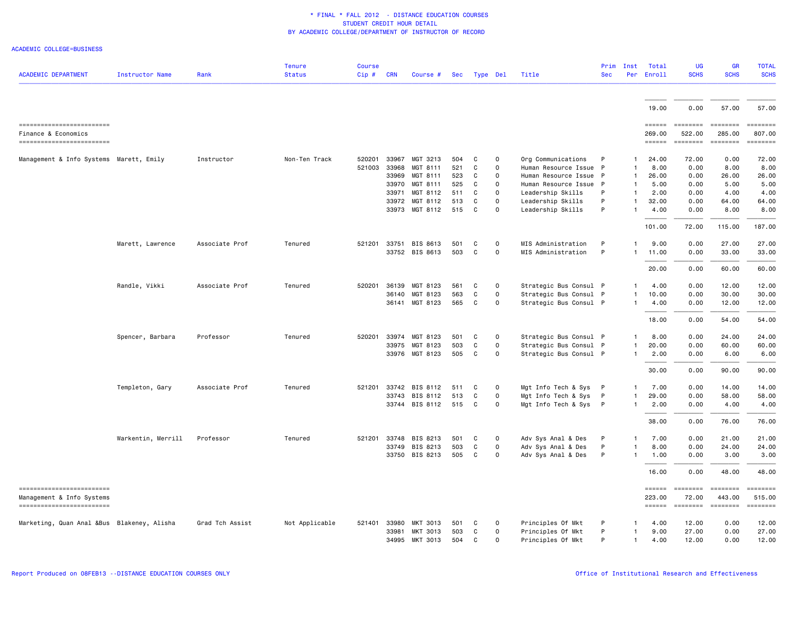|                                                         |                        |                 | <b>Tenure</b>  | <b>Course</b> |            |                |     |    |              |                        | Prim       | Inst         | Total                                 | <b>UG</b>         | <b>GR</b>          | <b>TOTAL</b>                                                            |
|---------------------------------------------------------|------------------------|-----------------|----------------|---------------|------------|----------------|-----|----|--------------|------------------------|------------|--------------|---------------------------------------|-------------------|--------------------|-------------------------------------------------------------------------|
| <b>ACADEMIC DEPARTMENT</b>                              | <b>Instructor Name</b> | Rank            | <b>Status</b>  | Cip#          | <b>CRN</b> | Course #       | Sec |    | Type Del     | Title                  | <b>Sec</b> | Per          | Enroll                                | <b>SCHS</b>       | <b>SCHS</b>        | <b>SCHS</b>                                                             |
|                                                         |                        |                 |                |               |            |                |     |    |              |                        |            |              |                                       |                   |                    |                                                                         |
|                                                         |                        |                 |                |               |            |                |     |    |              |                        |            |              | 19,00                                 | 0.00              | 57.00              | 57.00                                                                   |
| ==========================                              |                        |                 |                |               |            |                |     |    |              |                        |            |              | $=$ $=$ $=$ $=$ $=$ $=$ $=$           | <b>EEEEEEE</b>    | ========           | $\qquad \qquad \equiv \equiv \equiv \equiv \equiv \equiv \equiv \equiv$ |
| Finance & Economics<br>------------------------         |                        |                 |                |               |            |                |     |    |              |                        |            |              | 269.00<br>$=$ $=$ $=$ $=$ $=$ $=$     | 522.00            | 285.00<br>======== | 807.00<br>========                                                      |
| Management & Info Systems Marett, Emily                 |                        | Instructor      | Non-Ten Track  | 520201        | 33967      | MGT 3213       | 504 | C. | $\mathbf{O}$ | Org Communications     | P          | $\mathbf{1}$ | 24.00                                 | 72.00             | 0.00               | 72.00                                                                   |
|                                                         |                        |                 |                | 521003        | 33968      | MGT 8111       | 521 | C  | 0            | Human Resource Issue P |            | $\mathbf{1}$ | 8.00                                  | 0.00              | 8.00               | 8.00                                                                    |
|                                                         |                        |                 |                |               | 33969      | MGT 8111       | 523 | C  | $\mathbf{O}$ | Human Resource Issue   | P          | $\mathbf{1}$ | 26.00                                 | 0.00              | 26.00              | 26.00                                                                   |
|                                                         |                        |                 |                |               | 33970      | MGT 8111       | 525 | C  | 0            | Human Resource Issue   | - P        | $\mathbf{1}$ | 5.00                                  | 0.00              | 5.00               | 5.00                                                                    |
|                                                         |                        |                 |                |               | 33971      | MGT 8112       | 511 | C  | $\mathsf{o}$ | Leadership Skills      | P          | $\mathbf{1}$ | 2.00                                  | 0.00              | 4.00               | 4.00                                                                    |
|                                                         |                        |                 |                |               | 33972      | MGT 8112       | 513 | C  | 0            | Leadership Skills      | P          |              | 32.00                                 | 0.00              | 64.00              | 64.00                                                                   |
|                                                         |                        |                 |                |               |            | 33973 MGT 8112 | 515 | C  | $\Omega$     | Leadership Skills      | P          | $\mathbf{1}$ | 4.00                                  | 0.00              | 8.00               | 8.00                                                                    |
|                                                         |                        |                 |                |               |            |                |     |    |              |                        |            |              | 101.00                                | 72.00             | 115.00             | 187.00                                                                  |
|                                                         | Marett, Lawrence       | Associate Prof  | Tenured        | 521201        |            | 33751 BIS 8613 | 501 | C  | $\Omega$     | MIS Administration     | P          |              | 9.00                                  | 0.00              | 27.00              | 27.00                                                                   |
|                                                         |                        |                 |                |               |            | 33752 BIS 8613 | 503 | C  | 0            | MIS Administration     | P          | $\mathbf{1}$ | 11.00                                 | 0.00              | 33.00              | 33.00                                                                   |
|                                                         |                        |                 |                |               |            |                |     |    |              |                        |            |              | 20.00                                 | 0.00              | 60.00              | 60.00                                                                   |
|                                                         | Randle, Vikki          | Associate Prof  | Tenured        | 520201        | 36139      | MGT 8123       | 561 | C  | 0            | Strategic Bus Consul P |            | $\mathbf{1}$ | 4.00                                  | 0.00              | 12.00              | 12.00                                                                   |
|                                                         |                        |                 |                |               | 36140      | MGT 8123       | 563 | C  | 0            | Strategic Bus Consul P |            | $\mathbf{1}$ | 10.00                                 | 0.00              | 30.00              | 30.00                                                                   |
|                                                         |                        |                 |                |               |            | 36141 MGT 8123 | 565 | C. | 0            | Strategic Bus Consul P |            | $\mathbf{1}$ | 4.00                                  | 0.00              | 12.00              | 12.00                                                                   |
|                                                         |                        |                 |                |               |            |                |     |    |              |                        |            |              | 18.00                                 | 0.00              | 54.00              | 54.00                                                                   |
|                                                         |                        |                 |                |               |            |                |     |    |              |                        |            |              |                                       |                   |                    |                                                                         |
|                                                         | Spencer, Barbara       | Professor       | Tenured        | 520201        | 33974      | MGT 8123       | 501 | C  | 0            | Strategic Bus Consul P |            | $\mathbf{1}$ | 8.00                                  | 0.00              | 24.00              | 24.00                                                                   |
|                                                         |                        |                 |                |               |            | 33975 MGT 8123 | 503 | C  | 0            | Strategic Bus Consul P |            | $\mathbf{1}$ | 20.00                                 | 0.00              | 60.00              | 60.00                                                                   |
|                                                         |                        |                 |                |               |            | 33976 MGT 8123 | 505 | C  | $\mathsf{o}$ | Strategic Bus Consul P |            | $\mathbf{1}$ | 2.00                                  | 0.00              | 6.00               | 6.00                                                                    |
|                                                         |                        |                 |                |               |            |                |     |    |              |                        |            |              | 30.00                                 | 0.00              | 90.00              | 90.00                                                                   |
|                                                         | Templeton, Gary        | Associate Prof  | Tenured        | 521201        |            | 33742 BIS 8112 | 511 | C  | $\Omega$     | Mgt Info Tech & Sys P  |            | $\mathbf{1}$ | 7.00                                  | 0.00              | 14.00              | 14.00                                                                   |
|                                                         |                        |                 |                |               |            | 33743 BIS 8112 | 513 | C  | $\mathsf{o}$ | Mgt Info Tech & Sys    | - P        | $\mathbf{1}$ | 29.00                                 | 0.00              | 58.00              | 58.00                                                                   |
|                                                         |                        |                 |                |               |            | 33744 BIS 8112 | 515 | C  | $\Omega$     | Mgt Info Tech & Sys P  |            | $\mathbf{1}$ | 2.00                                  | 0.00              | 4.00               | 4.00                                                                    |
|                                                         |                        |                 |                |               |            |                |     |    |              |                        |            |              | 38.00                                 | 0.00              | 76.00              | 76.00                                                                   |
|                                                         | Warkentin, Merrill     | Professor       | Tenured        | 521201        |            | 33748 BIS 8213 | 501 | C  | $\Omega$     | Adv Sys Anal & Des     | P          | -1           | 7.00                                  | 0.00              | 21.00              | 21.00                                                                   |
|                                                         |                        |                 |                |               | 33749      | BIS 8213       | 503 | C  | 0            | Adv Sys Anal & Des     | P          | $\mathbf{1}$ | 8.00                                  | 0.00              | 24.00              | 24.00                                                                   |
|                                                         |                        |                 |                |               |            | 33750 BIS 8213 | 505 | C  | $\Omega$     | Adv Sys Anal & Des     | P          | $\mathbf{1}$ | 1.00                                  | 0.00              | 3.00               | 3.00                                                                    |
|                                                         |                        |                 |                |               |            |                |     |    |              |                        |            |              | 16.00                                 | 0.00              | 48.00              | 48.00                                                                   |
| ==========================<br>Management & Info Systems |                        |                 |                |               |            |                |     |    |              |                        |            |              | $=$ $=$ $=$ $=$ $=$ $=$ $=$<br>223.00 | ========<br>72.00 | ========<br>443.00 | $= 1.12222222$<br>515.00                                                |
| -------------------------                               |                        |                 |                |               |            |                |     |    |              |                        |            |              | $=$ = = = = =                         | <b>EDEDEED</b>    | ========           | <b>ESSESSE</b>                                                          |
| Marketing, Quan Anal &Bus Blakeney, Alisha              |                        | Grad Tch Assist | Not Applicable | 521401        |            | 33980 MKT 3013 | 501 | C  | $\circ$      | Principles Of Mkt      | P          | $\mathbf{1}$ | 4.00                                  | 12.00             | 0.00               | 12.00                                                                   |
|                                                         |                        |                 |                |               | 33981      | MKT 3013       | 503 | C  | 0            | Principles Of Mkt      | P          | $\mathbf{1}$ | 9.00                                  | 27.00             | 0.00               | 27.00                                                                   |
|                                                         |                        |                 |                |               |            | 34995 MKT 3013 | 504 | C. | $\Omega$     | Principles Of Mkt      | P          | $\mathbf{1}$ | 4.00                                  | 12.00             | 0.00               | 12.00                                                                   |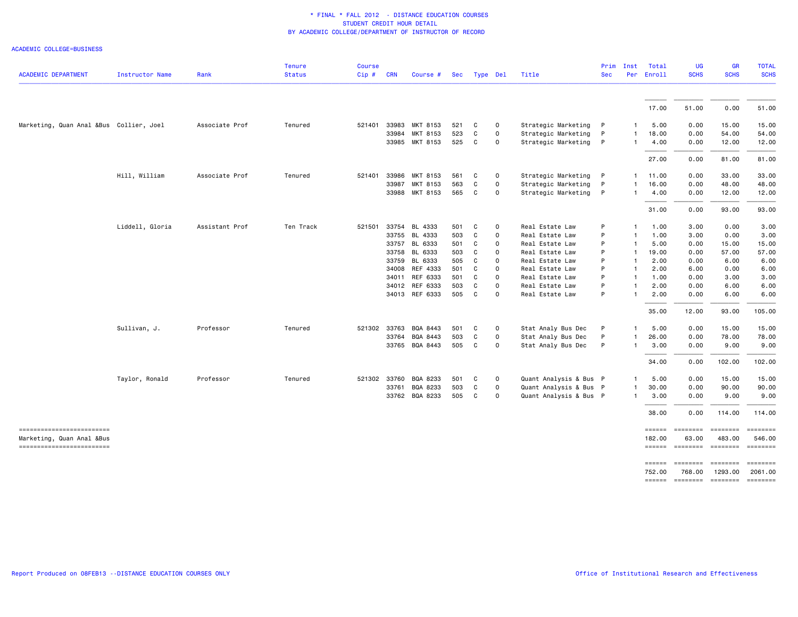|                                                        |                        |                | <b>Tenure</b> | Course |            |                |     |              |                     |                        | Prim         | Inst         | Total                         | <b>UG</b>                | <b>GR</b>                   | <b>TOTAL</b>                |
|--------------------------------------------------------|------------------------|----------------|---------------|--------|------------|----------------|-----|--------------|---------------------|------------------------|--------------|--------------|-------------------------------|--------------------------|-----------------------------|-----------------------------|
| <b>ACADEMIC DEPARTMENT</b>                             | <b>Instructor Name</b> | Rank           | <b>Status</b> | Cip#   | <b>CRN</b> | Course #       | Sec | Type Del     |                     | Title                  | <b>Sec</b>   | Per          | Enroll                        | <b>SCHS</b>              | <b>SCHS</b>                 | <b>SCHS</b>                 |
|                                                        |                        |                |               |        |            |                |     |              |                     |                        |              |              | 17.00                         | 51.00                    | 0.00                        | 51.00                       |
| Marketing, Quan Anal &Bus Collier, Joel                |                        | Associate Prof | Tenured       | 521401 | 33983      | MKT 8153       | 521 | C            | $\mathbf 0$         | Strategic Marketing    | $\mathsf{P}$ | $\mathbf{1}$ | 5.00                          | 0.00                     | 15.00                       | 15.00                       |
|                                                        |                        |                |               |        | 33984      | MKT 8153       | 523 | C            | $\mathbf 0$         | Strategic Marketing    | P            | $\mathbf{1}$ | 18,00                         | 0.00                     | 54.00                       | 54.00                       |
|                                                        |                        |                |               |        |            | 33985 MKT 8153 | 525 | C            | $\mathsf{O}\xspace$ | Strategic Marketing    | $\mathsf{P}$ | $\mathbf{1}$ | 4.00                          | 0.00                     | 12.00                       | 12.00                       |
|                                                        |                        |                |               |        |            |                |     |              |                     |                        |              |              | 27.00                         | 0.00                     | 81.00                       | 81.00                       |
|                                                        | Hill, William          | Associate Prof | Tenured       | 521401 | 33986      | MKT 8153       | 561 | C            | 0                   | Strategic Marketing    | P            | $\mathbf{1}$ | 11.00                         | 0.00                     | 33.00                       | 33.00                       |
|                                                        |                        |                |               |        | 33987      | MKT 8153       | 563 | C            | $\mathbf 0$         | Strategic Marketing    | P            | $\mathbf{1}$ | 16.00                         | 0.00                     | 48.00                       | 48.00                       |
|                                                        |                        |                |               |        |            | 33988 MKT 8153 | 565 | C            | $\mathbf 0$         | Strategic Marketing    | P            | $\mathbf{1}$ | 4.00                          | 0.00                     | 12.00                       | 12.00                       |
|                                                        |                        |                |               |        |            |                |     |              |                     |                        |              |              | 31.00                         | 0.00                     | 93.00                       | 93.00                       |
|                                                        | Liddell, Gloria        | Assistant Prof | Ten Track     | 521501 | 33754      | BL 4333        | 501 | C            | $\mathbf 0$         | Real Estate Law        | P            | $\mathbf{1}$ | 1.00                          | 3.00                     | 0.00                        | 3.00                        |
|                                                        |                        |                |               |        | 33755      | BL 4333        | 503 | C            | $\mathbf 0$         | Real Estate Law        | P            | $\mathbf{1}$ | 1.00                          | 3.00                     | 0.00                        | 3.00                        |
|                                                        |                        |                |               |        | 33757      | BL 6333        | 501 | C            | $\mathbf 0$         | Real Estate Law        | P            | -1           | 5.00                          | 0.00                     | 15.00                       | 15.00                       |
|                                                        |                        |                |               |        |            | 33758 BL 6333  | 503 | C            | $\mathbf 0$         | Real Estate Law        | P            | $\mathbf{1}$ | 19.00                         | 0.00                     | 57.00                       | 57.00                       |
|                                                        |                        |                |               |        | 33759      | BL 6333        | 505 | C            | $\mathbf 0$         | Real Estate Law        | P            | $\mathbf{1}$ | 2.00                          | 0.00                     | 6.00                        | 6.00                        |
|                                                        |                        |                |               |        | 34008      | REF 4333       | 501 | $\mathbf{C}$ | $\mathbf 0$         | Real Estate Law        | P            | $\mathbf{1}$ | 2.00                          | 6.00                     | 0.00                        | 6.00                        |
|                                                        |                        |                |               |        |            | 34011 REF 6333 | 501 | C            | $\mathsf{O}\xspace$ | Real Estate Law        | P            | $\mathbf{1}$ | 1.00                          | 0.00                     | 3.00                        | 3.00                        |
|                                                        |                        |                |               |        |            | 34012 REF 6333 | 503 | C            | $\mathsf{O}\xspace$ | Real Estate Law        | P            | $\mathbf{1}$ | 2.00                          | 0.00                     | 6.00                        | 6.00                        |
|                                                        |                        |                |               |        |            | 34013 REF 6333 | 505 | $\mathbf{C}$ | $\mathbf 0$         | Real Estate Law        | P            | $\mathbf{1}$ | 2.00                          | 0.00                     | 6.00                        | 6.00                        |
|                                                        |                        |                |               |        |            |                |     |              |                     |                        |              |              | 35.00                         | 12.00                    | 93.00                       | 105.00                      |
|                                                        | Sullivan, J.           | Professor      | Tenured       | 521302 | 33763      | BQA 8443       | 501 | C            | $\mathbf 0$         | Stat Analy Bus Dec     | P            |              | 5.00                          | 0.00                     | 15.00                       | 15.00                       |
|                                                        |                        |                |               |        | 33764      | BQA 8443       | 503 | C            | $\mathsf{O}\xspace$ | Stat Analy Bus Dec     | P            | -1           | 26.00                         | 0.00                     | 78.00                       | 78.00                       |
|                                                        |                        |                |               |        |            | 33765 BQA 8443 | 505 | C            | $\mathsf{O}\xspace$ | Stat Analy Bus Dec     | P            | $\mathbf{1}$ | 3.00                          | 0.00                     | 9.00                        | 9.00                        |
|                                                        |                        |                |               |        |            |                |     |              |                     |                        |              |              | 34.00                         | 0.00                     | 102.00                      | 102.00                      |
|                                                        | Taylor, Ronald         | Professor      | Tenured       | 521302 | 33760      | BQA 8233       | 501 | C            | $\mathbf 0$         | Quant Analysis & Bus P |              | -1           | 5.00                          | 0.00                     | 15.00                       | 15.00                       |
|                                                        |                        |                |               |        | 33761      | BQA 8233       | 503 | C            | $\mathbf 0$         | Quant Analysis & Bus P |              | $\mathbf{1}$ | 30.00                         | 0.00                     | 90.00                       | 90.00                       |
|                                                        |                        |                |               |        | 33762      | BQA 8233       | 505 | C            | $\mathbf 0$         | Quant Analysis & Bus P |              | $\mathbf{1}$ | 3.00                          | 0.00                     | 9.00                        | 9.00                        |
|                                                        |                        |                |               |        |            |                |     |              |                     |                        |              |              | 38.00                         | 0.00                     | 114.00                      | 114.00                      |
| =========================<br>Marketing, Quan Anal &Bus |                        |                |               |        |            |                |     |              |                     |                        |              |              | $=$ $=$ $=$ $=$ $=$<br>182.00 | <b>EEEEEEEE</b><br>63.00 | <b>EEEEEEEE</b><br>483.00   | ========<br>546.00          |
| -------------------------                              |                        |                |               |        |            |                |     |              |                     |                        |              |              | ======                        | <b>ESSESSE</b>           | <b>ESSESSE</b>              | essesses                    |
|                                                        |                        |                |               |        |            |                |     |              |                     |                        |              |              | $=$ $=$ $=$ $=$ $=$ $=$ $=$   | ========                 |                             | $= 1.12222222$              |
|                                                        |                        |                |               |        |            |                |     |              |                     |                        |              |              | 752.00                        | 768.00<br>------ ------- | 1293.00<br>$= 1.1222222222$ | 2061.00<br>$= 1.1222222222$ |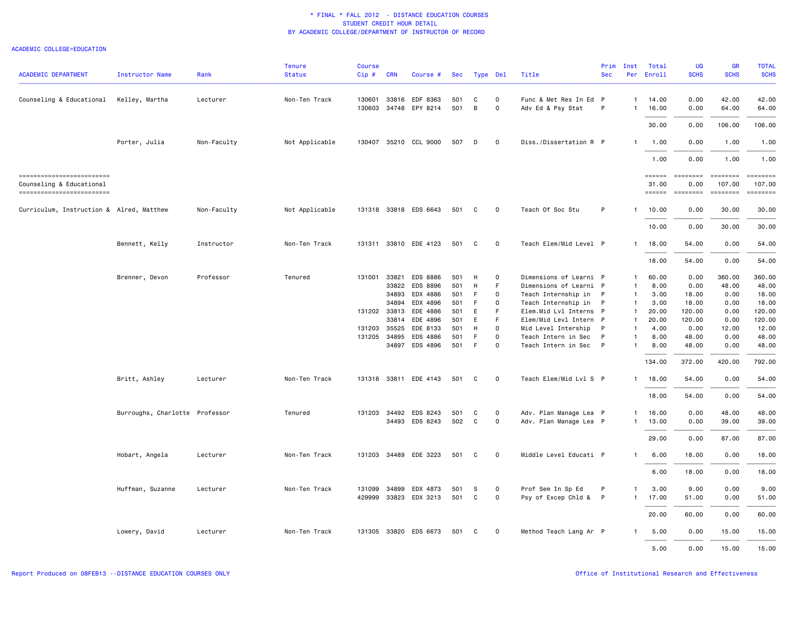| <b>ACADEMIC DEPARTMENT</b>                                                       | Instructor Name                | Rank        | <b>Tenure</b><br><b>Status</b> | <b>Course</b><br>Cip# | <b>CRN</b> | Course #                         |            | Sec Type Del |               | Title                                       | Prim<br><b>Sec</b> | Inst<br>Per                  | Total<br>Enroll                      | UG<br><b>SCHS</b>                                                                                           | GR<br><b>SCHS</b>                   | <b>TOTAL</b><br><b>SCHS</b>                 |
|----------------------------------------------------------------------------------|--------------------------------|-------------|--------------------------------|-----------------------|------------|----------------------------------|------------|--------------|---------------|---------------------------------------------|--------------------|------------------------------|--------------------------------------|-------------------------------------------------------------------------------------------------------------|-------------------------------------|---------------------------------------------|
| Counseling & Educational                                                         | Kelley, Martha                 | Lecturer    | Non-Ten Track                  | 130601<br>130603      |            | 33816 EDF 8363<br>34748 EPY 8214 | 501<br>501 | C<br>В       | $\Omega$<br>0 | Func & Met Res In Ed P<br>Adv Ed & Psy Stat | P                  | $\mathbf{1}$<br>$\mathbf{1}$ | 14.00<br>16.00                       | 0.00<br>0.00                                                                                                | 42.00<br>64.00                      | 42.00<br>64.00                              |
|                                                                                  |                                |             |                                |                       |            |                                  |            |              |               |                                             |                    |                              | 30.00                                | 0.00                                                                                                        | 106.00                              | 106.00                                      |
|                                                                                  | Porter, Julia                  | Non-Faculty | Not Applicable                 |                       |            | 130407 35210 CCL 9000            | 507        | D            | 0             | Diss./Dissertation R P                      |                    | $\mathbf{1}$                 | 1.00                                 | 0.00                                                                                                        | 1.00                                | 1.00                                        |
|                                                                                  |                                |             |                                |                       |            |                                  |            |              |               |                                             |                    |                              | 1.00                                 | 0.00                                                                                                        | 1.00                                | 1.00                                        |
| ------------------------<br>Counseling & Educational<br>------------------------ |                                |             |                                |                       |            |                                  |            |              |               |                                             |                    |                              | $=$ = $=$ $=$ $=$<br>31.00<br>====== | <b>COORDING</b><br>0.00<br>$\begin{array}{c} \texttt{m} = \texttt{m} = \texttt{m} = \texttt{m} \end{array}$ | ========<br>107.00<br>$= 222222222$ | $= 10000000000$<br>107,00<br><b>ESSESSE</b> |
| Curriculum, Instruction & Alred, Matthew                                         |                                | Non-Faculty | Not Applicable                 |                       |            | 131318 33818 EDS 6643            | 501        | C            | 0             | Teach Of Soc Stu                            | P                  | $\mathbf{1}$                 | 10.00                                | 0.00                                                                                                        | 30.00                               | 30.00                                       |
|                                                                                  |                                |             |                                |                       |            |                                  |            |              |               |                                             |                    |                              | 10.00                                | 0.00                                                                                                        | 30.00                               | 30.00                                       |
|                                                                                  | Bennett, Kelly                 | Instructor  | Non-Ten Track                  |                       |            | 131311 33810 EDE 4123            | 501        | C            | $\mathbf 0$   | Teach Elem/Mid Level P                      |                    | $\mathbf{1}$                 | 18.00                                | 54.00                                                                                                       | 0.00                                | 54.00                                       |
|                                                                                  |                                |             |                                |                       |            |                                  |            |              |               |                                             |                    |                              | 18.00                                | 54.00                                                                                                       | 0.00                                | 54.00                                       |
|                                                                                  | Brenner, Devon                 | Professor   | Tenured                        | 131001                | 33821      | <b>EDS 8886</b>                  | 501        | Н            | 0             | Dimensions of Learni P                      |                    | $\mathbf{1}$                 | 60.00                                | 0.00                                                                                                        | 360.00                              | 360.00                                      |
|                                                                                  |                                |             |                                |                       |            | 33822 EDS 8896                   | 501        | н            | F             | Dimensions of Learni P                      |                    | $\mathbf{1}$                 | 8.00                                 | 0.00                                                                                                        | 48.00                               | 48.00                                       |
|                                                                                  |                                |             |                                |                       | 34893      | EDX 4886                         | 501        | F            | 0             | Teach Internship in                         | P                  | $\mathbf{1}$                 | 3.00                                 | 18.00                                                                                                       | 0.00                                | 18.00                                       |
|                                                                                  |                                |             |                                |                       | 34894      | EDX 4896                         | 501        | F            | $\Omega$      | Teach Internship in                         | $\mathsf{P}$       | $\mathbf{1}$                 | 3.00                                 | 18.00                                                                                                       | 0.00                                | 18.00                                       |
|                                                                                  |                                |             |                                | 131202                | 33813      | EDE 4886                         | 501        | Ε            | F             | Elem.Mid Lvl Interns P                      |                    | $\mathbf{1}$                 | 20.00                                | 120.00                                                                                                      | 0.00                                | 120.00                                      |
|                                                                                  |                                |             |                                |                       | 33814      | EDE 4896                         | 501        | E            | F             | Elem/Mid Levl Intern P                      |                    | $\mathbf{1}$                 | 20.00                                | 120.00                                                                                                      | 0.00                                | 120.00                                      |
|                                                                                  |                                |             |                                | 131203                |            | 35525 EDE 8133                   | 501        | H            | $\Omega$      | Mid Level Intership                         | P                  | $\mathbf{1}$                 | 4.00                                 | 0.00                                                                                                        | 12.00                               | 12.00                                       |
|                                                                                  |                                |             |                                | 131205                | 34895      | EDS 4886                         | 501        | F.           | $\Omega$      | Teach Intern in Sec                         | P                  | $\mathbf{1}$                 | 8.00                                 | 48.00                                                                                                       | 0.00                                | 48.00                                       |
|                                                                                  |                                |             |                                |                       |            | 34897 EDS 4896                   | 501        | E            | $\Omega$      | Teach Intern in Sec                         | P                  | $\mathbf{1}$                 | 8.00                                 | 48.00                                                                                                       | 0.00                                | 48.00                                       |
|                                                                                  |                                |             |                                |                       |            |                                  |            |              |               |                                             |                    |                              | 134.00                               | 372.00                                                                                                      | 420.00                              | 792.00                                      |
|                                                                                  | Britt, Ashley                  | Lecturer    | Non-Ten Track                  | 131318                |            | 33811 EDE 4143                   | 501        | C            | $\mathbf 0$   | Teach Elem/Mid Lvl S P                      |                    | 1                            | 18.00                                | 54.00                                                                                                       | 0.00                                | 54.00                                       |
|                                                                                  |                                |             |                                |                       |            |                                  |            |              |               |                                             |                    |                              | 18.00                                | 54.00                                                                                                       | 0.00                                | 54.00                                       |
|                                                                                  | Burroughs, Charlotte Professor |             | Tenured                        | 131203                |            | 34492 EDS 8243                   | 501        | C            | 0             | Adv. Plan Manage Lea P                      |                    | $\mathbf{1}$                 | 16.00                                | 0.00                                                                                                        | 48.00                               | 48.00                                       |
|                                                                                  |                                |             |                                |                       |            | 34493 EDS 8243                   | 502        | C            | 0             | Adv. Plan Manage Lea P                      |                    | $\mathbf{1}$                 | 13.00                                | 0.00                                                                                                        | 39.00                               | 39.00                                       |
|                                                                                  |                                |             |                                |                       |            |                                  |            |              |               |                                             |                    |                              | 29.00                                | 0.00                                                                                                        | 87.00                               | 87.00                                       |
|                                                                                  | Hobart, Angela                 | Lecturer    | Non-Ten Track                  |                       |            | 131203 34489 EDE 3223            | 501        | C            | 0             | Middle Level Educati P                      |                    | $\mathbf{1}$                 | 6.00                                 | 18.00                                                                                                       | 0.00                                | 18.00                                       |
|                                                                                  |                                |             |                                |                       |            |                                  |            |              |               |                                             |                    |                              | 6.00                                 | 18.00                                                                                                       | 0.00                                | 18.00                                       |
|                                                                                  | Huffman, Suzanne               | Lecturer    | Non-Ten Track                  | 131099                |            | 34899 EDX 4873                   | 501        | s            | $\Omega$      | Prof Sem In Sp Ed                           | P                  | $\mathbf{1}$                 | 3.00                                 | 9.00                                                                                                        | 0.00                                | 9.00                                        |
|                                                                                  |                                |             |                                | 429999                |            | 33823 EDX 3213                   | 501        | C            | $\mathsf{o}$  | Psy of Excep Chld &                         | P                  | $\mathbf{1}$                 | 17.00                                | 51.00                                                                                                       | 0.00                                | 51.00                                       |
|                                                                                  |                                |             |                                |                       |            |                                  |            |              |               |                                             |                    |                              | 20.00                                | 60.00                                                                                                       | 0.00                                | 60.00                                       |
|                                                                                  | Lowery, David                  | Lecturer    | Non-Ten Track                  | 131305                |            | 33820 EDS 6673                   | 501        | C            | $\Omega$      | Method Teach Lang Ar P                      |                    | $\mathbf{1}$                 | 5.00                                 | 0.00                                                                                                        | 15.00                               | 15.00                                       |
|                                                                                  |                                |             |                                |                       |            |                                  |            |              |               |                                             |                    |                              | 5.00                                 | 0.00                                                                                                        | 15.00                               | 15.00                                       |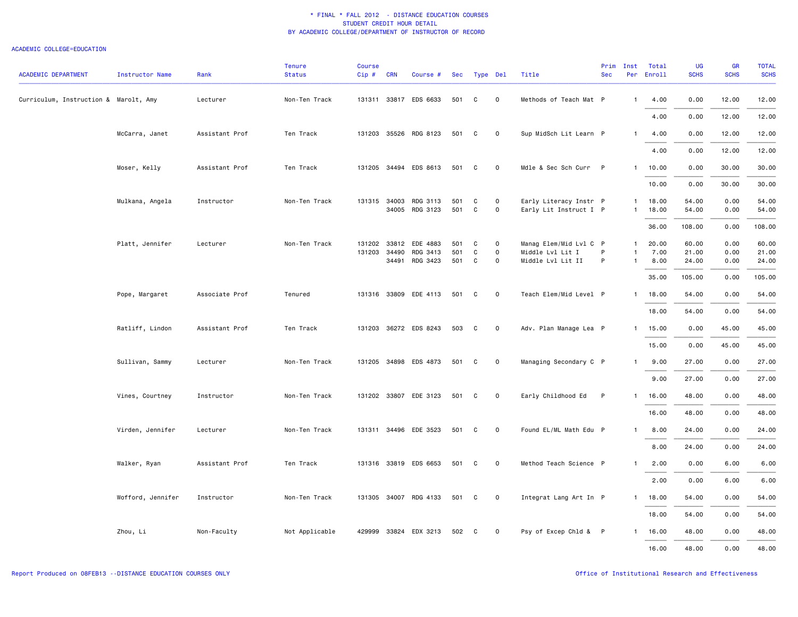| <b>ACADEMIC DEPARTMENT</b>            | <b>Instructor Name</b> | Rank           | <b>Tenure</b><br><b>Status</b> | <b>Course</b><br>Cip# | <b>CRN</b> | Course #              |       | Sec Type Del |                     | Title                  | Prim<br><b>Sec</b> | Inst         | Total<br>Per Enroll | UG<br><b>SCHS</b> | GR<br><b>SCHS</b> | <b>TOTAL</b><br><b>SCHS</b> |
|---------------------------------------|------------------------|----------------|--------------------------------|-----------------------|------------|-----------------------|-------|--------------|---------------------|------------------------|--------------------|--------------|---------------------|-------------------|-------------------|-----------------------------|
| Curriculum, Instruction & Marolt, Amy |                        | Lecturer       | Non-Ten Track                  |                       |            | 131311 33817 EDS 6633 | 501   | C            | $\mathsf{o}$        | Methods of Teach Mat P |                    | $\mathbf{1}$ | 4.00                | 0.00              | 12.00             | 12.00                       |
|                                       |                        |                |                                |                       |            |                       |       |              |                     |                        |                    |              | 4.00                | 0.00              | 12.00             | 12.00                       |
|                                       | McCarra, Janet         | Assistant Prof | Ten Track                      | 131203                |            | 35526 RDG 8123        | 501   | C            | $\mathsf{O}\xspace$ | Sup MidSch Lit Learn P |                    | $\mathbf{1}$ | 4.00                | 0.00              | 12.00             | 12.00                       |
|                                       |                        |                |                                |                       |            |                       |       |              |                     |                        |                    |              | 4.00                | 0.00              | 12.00             | 12.00                       |
|                                       | Moser, Kelly           | Assistant Prof | Ten Track                      |                       |            | 131205 34494 EDS 8613 | 501   | C            | $\mathbf 0$         | Mdle & Sec Sch Curr P  |                    |              | 1 10.00             | 0.00              | 30.00             | 30.00                       |
|                                       |                        |                |                                |                       |            |                       |       |              |                     |                        |                    |              | 10.00               | 0.00              | 30.00             | 30.00                       |
|                                       | Mulkana, Angela        | Instructor     | Non-Ten Track                  |                       |            | 131315 34003 RDG 3113 | 501   | C            | $\circ$             | Early Literacy Instr P |                    | 1            | 18.00               | 54.00             | 0.00              | 54.00                       |
|                                       |                        |                |                                |                       |            | 34005 RDG 3123        | 501   | C            | 0                   | Early Lit Instruct I P |                    | $\mathbf{1}$ | 18.00               | 54.00             | 0.00              | 54.00                       |
|                                       |                        |                |                                |                       |            |                       |       |              |                     |                        |                    |              | 36.00               | 108.00            | 0.00              | 108.00                      |
|                                       | Platt, Jennifer        | Lecturer       | Non-Ten Track                  | 131202                |            | 33812 EDE 4883        | 501   | C            | 0                   | Manag Elem/Mid Lvl C P |                    | $\mathbf{1}$ | 20.00               | 60.00             | 0.00              | 60.00                       |
|                                       |                        |                |                                | 131203                | 34490      | RDG 3413              | 501   | C            | $\mathsf{o}\,$      | Middle Lvl Lit I       | P                  | $\mathbf{1}$ | 7.00                | 21.00             | 0.00              | 21.00                       |
|                                       |                        |                |                                |                       |            | 34491 RDG 3423        | 501   | C            | $\Omega$            | Middle Lvl Lit II      | P                  | $\mathbf{1}$ | 8.00                | 24.00             | 0.00              | 24.00                       |
|                                       |                        |                |                                |                       |            |                       |       |              |                     |                        |                    |              | 35.00               | 105.00            | 0.00              | 105.00                      |
|                                       | Pope, Margaret         | Associate Prof | Tenured                        |                       |            | 131316 33809 EDE 4113 | 501   | C            | 0                   | Teach Elem/Mid Level P |                    | $\mathbf{1}$ | 18.00               | 54.00             | 0.00              | 54.00                       |
|                                       |                        |                |                                |                       |            |                       |       |              |                     |                        |                    |              | 18.00               | 54.00             | 0.00              | 54.00                       |
|                                       | Ratliff, Lindon        | Assistant Prof | Ten Track                      |                       |            | 131203 36272 EDS 8243 | 503   | $\mathbf{C}$ | $\mathbf 0$         | Adv. Plan Manage Lea P |                    | $\mathbf{1}$ | 15.00               | 0.00              | 45.00             | 45.00                       |
|                                       |                        |                |                                |                       |            |                       |       |              |                     |                        |                    |              | 15.00               | 0.00              | 45.00             | 45.00                       |
|                                       | Sullivan, Sammy        | Lecturer       | Non-Ten Track                  |                       |            | 131205 34898 EDS 4873 | 501   | C            | $\mathbf 0$         | Managing Secondary C P |                    | $\mathbf{1}$ | 9.00                | 27.00             | 0.00              | 27.00                       |
|                                       |                        |                |                                |                       |            |                       |       |              |                     |                        |                    |              | 9.00                | 27.00             | 0.00              | 27.00                       |
|                                       | Vines, Courtney        | Instructor     | Non-Ten Track                  |                       |            | 131202 33807 EDE 3123 | 501   | C            | 0                   | Early Childhood Ed     | P                  | 1            | 16.00               | 48.00             | 0.00              | 48.00                       |
|                                       |                        |                |                                |                       |            |                       |       |              |                     |                        |                    |              | 16.00               | 48.00             | 0.00              | 48.00                       |
|                                       | Virden, Jennifer       | Lecturer       | Non-Ten Track                  |                       |            | 131311 34496 EDE 3523 | 501 C |              | $\mathsf{O}\xspace$ | Found EL/ML Math Edu P |                    | $\mathbf{1}$ | 8.00                | 24.00             | 0.00              | 24.00                       |
|                                       |                        |                |                                |                       |            |                       |       |              |                     |                        |                    |              | 8.00                | 24.00             | 0.00              | 24.00                       |
|                                       | Walker, Ryan           | Assistant Prof | Ten Track                      |                       |            | 131316 33819 EDS 6653 | 501   | C            | 0                   | Method Teach Science P |                    | $\mathbf{1}$ | 2.00                | 0.00              | 6.00              | 6.00                        |
|                                       |                        |                |                                |                       |            |                       |       |              |                     |                        |                    |              | 2.00                | 0.00              | 6.00              | 6.00                        |
|                                       | Wofford, Jennifer      | Instructor     | Non-Ten Track                  |                       |            | 131305 34007 RDG 4133 | 501   | C            | 0                   | Integrat Lang Art In P |                    | $\mathbf{1}$ | 18.00               | 54.00             | 0.00              | 54.00                       |
|                                       |                        |                |                                |                       |            |                       |       |              |                     |                        |                    |              | 18.00               | 54.00             | 0.00              | 54.00                       |
|                                       | Zhou, Li               | Non-Faculty    | Not Applicable                 | 429999                |            | 33824 EDX 3213        | 502   | C            | $\mathbf 0$         | Psy of Excep Chld & P  |                    | $\mathbf{1}$ | 16.00               | 48.00             | 0.00              | 48.00                       |
|                                       |                        |                |                                |                       |            |                       |       |              |                     |                        |                    |              | 16.00               | 48.00             | 0.00              | 48.00                       |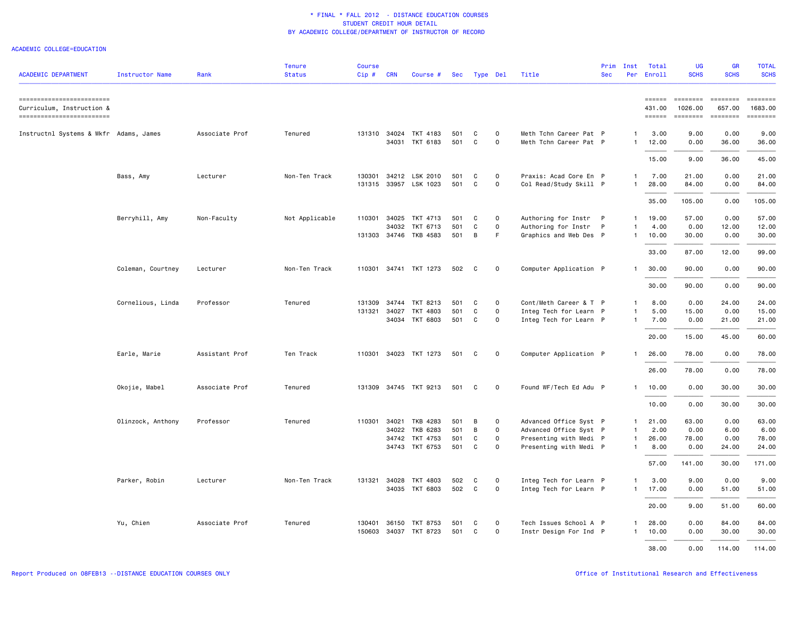| <b>ACADEMIC DEPARTMENT</b>                                                           | <b>Instructor Name</b> | Rank           | <b>Tenure</b><br><b>Status</b> | <b>Course</b><br>Cip# | <b>CRN</b> | Course #                                |            | Sec Type Del |                          | Title                                            | Prim<br><b>Sec</b> | Inst                         | Total<br>Per Enroll                     | <b>UG</b><br><b>SCHS</b>                                                                                                                                                                                                                                                                                                                                                                                                                                                                                      | GR<br><b>SCHS</b>  | <b>TOTAL</b><br><b>SCHS</b>                                                                                                                                                                                                                                                                                                                                                                                                                                                                                   |
|--------------------------------------------------------------------------------------|------------------------|----------------|--------------------------------|-----------------------|------------|-----------------------------------------|------------|--------------|--------------------------|--------------------------------------------------|--------------------|------------------------------|-----------------------------------------|---------------------------------------------------------------------------------------------------------------------------------------------------------------------------------------------------------------------------------------------------------------------------------------------------------------------------------------------------------------------------------------------------------------------------------------------------------------------------------------------------------------|--------------------|---------------------------------------------------------------------------------------------------------------------------------------------------------------------------------------------------------------------------------------------------------------------------------------------------------------------------------------------------------------------------------------------------------------------------------------------------------------------------------------------------------------|
| ==========================<br>Curriculum, Instruction &<br>========================= |                        |                |                                |                       |            |                                         |            |              |                          |                                                  |                    |                              | $=$ $=$ $=$ $=$ $=$<br>431.00<br>====== | $\begin{array}{ccc} \multicolumn{3}{c}{} & \multicolumn{3}{c}{} & \multicolumn{3}{c}{} & \multicolumn{3}{c}{} & \multicolumn{3}{c}{} & \multicolumn{3}{c}{} & \multicolumn{3}{c}{} & \multicolumn{3}{c}{} & \multicolumn{3}{c}{} & \multicolumn{3}{c}{} & \multicolumn{3}{c}{} & \multicolumn{3}{c}{} & \multicolumn{3}{c}{} & \multicolumn{3}{c}{} & \multicolumn{3}{c}{} & \multicolumn{3}{c}{} & \multicolumn{3}{c}{} & \multicolumn{3}{c}{} & \multicolumn{3}{c}{} & \multicolumn$<br>1026.00<br>======== | 657.00<br>======== | $\begin{array}{cccccccccc} \multicolumn{2}{c}{} & \multicolumn{2}{c}{} & \multicolumn{2}{c}{} & \multicolumn{2}{c}{} & \multicolumn{2}{c}{} & \multicolumn{2}{c}{} & \multicolumn{2}{c}{} & \multicolumn{2}{c}{} & \multicolumn{2}{c}{} & \multicolumn{2}{c}{} & \multicolumn{2}{c}{} & \multicolumn{2}{c}{} & \multicolumn{2}{c}{} & \multicolumn{2}{c}{} & \multicolumn{2}{c}{} & \multicolumn{2}{c}{} & \multicolumn{2}{c}{} & \multicolumn{2}{c}{} & \multicolumn{2}{c}{} & \mult$<br>1683.00<br>======== |
| Instructnl Systems & Wkfr Adams, James                                               |                        | Associate Prof | Tenured                        |                       |            | 131310 34024 TKT 4183<br>34031 TKT 6183 | 501<br>501 | C<br>C       | $\Omega$<br>0            | Meth Tchn Career Pat P<br>Meth Tchn Career Pat P |                    | $\mathbf{1}$<br>$\mathbf{1}$ | 3.00<br>12.00                           | 9.00<br>0.00                                                                                                                                                                                                                                                                                                                                                                                                                                                                                                  | 0.00<br>36.00      | 9.00<br>36.00                                                                                                                                                                                                                                                                                                                                                                                                                                                                                                 |
|                                                                                      |                        |                |                                |                       |            |                                         |            |              |                          |                                                  |                    |                              | 15.00                                   | 9.00                                                                                                                                                                                                                                                                                                                                                                                                                                                                                                          | 36.00              | 45.00                                                                                                                                                                                                                                                                                                                                                                                                                                                                                                         |
|                                                                                      | Bass, Amy              | Lecturer       | Non-Ten Track                  | 130301                |            | 34212 LSK 2010<br>131315 33957 LSK 1023 | 501<br>501 | C<br>C       | $\circ$<br>$\mathsf{o}$  | Praxis: Acad Core En P<br>Col Read/Study Skill P |                    | $\mathbf{1}$<br>$\mathbf{1}$ | 7.00<br>28.00                           | 21.00<br>84.00                                                                                                                                                                                                                                                                                                                                                                                                                                                                                                | 0.00<br>0.00       | 21.00<br>84.00                                                                                                                                                                                                                                                                                                                                                                                                                                                                                                |
|                                                                                      |                        |                |                                |                       |            |                                         |            |              |                          |                                                  |                    |                              | 35.00                                   | 105.00                                                                                                                                                                                                                                                                                                                                                                                                                                                                                                        | 0.00               | 105.00                                                                                                                                                                                                                                                                                                                                                                                                                                                                                                        |
|                                                                                      | Berryhill, Amy         | Non-Faculty    | Not Applicable                 | 110301                |            | 34025 TKT 4713<br>34032 TKT 6713        | 501<br>501 | C<br>C       | $\Omega$<br>$\mathsf{o}$ | Authoring for Instr P<br>Authoring for Instr P   |                    | $\mathbf{1}$<br>$\mathbf{1}$ | 19.00<br>4.00                           | 57.00<br>0.00                                                                                                                                                                                                                                                                                                                                                                                                                                                                                                 | 0.00<br>12.00      | 57.00<br>12.00                                                                                                                                                                                                                                                                                                                                                                                                                                                                                                |
|                                                                                      |                        |                |                                |                       |            | 131303 34746 TKB 4583                   | 501        | В            | F.                       | Graphics and Web Des P                           |                    | $\mathbf{1}$                 | 10.00                                   | 30.00                                                                                                                                                                                                                                                                                                                                                                                                                                                                                                         | 0.00               | 30.00                                                                                                                                                                                                                                                                                                                                                                                                                                                                                                         |
|                                                                                      | Coleman, Courtney      | Lecturer       | Non-Ten Track                  | 110301                |            | 34741 TKT 1273                          | 502        | C            | 0                        | Computer Application P                           |                    | $\mathbf{1}$                 | 33.00<br>30.00                          | 87.00<br>90.00                                                                                                                                                                                                                                                                                                                                                                                                                                                                                                | 12.00<br>0.00      | 99.00<br>90.00                                                                                                                                                                                                                                                                                                                                                                                                                                                                                                |
|                                                                                      |                        |                |                                |                       |            |                                         |            |              |                          |                                                  |                    |                              | 30.00                                   | 90.00                                                                                                                                                                                                                                                                                                                                                                                                                                                                                                         | 0.00               | 90.00                                                                                                                                                                                                                                                                                                                                                                                                                                                                                                         |
|                                                                                      | Cornelious, Linda      | Professor      | Tenured                        | 131309                |            | 34744 TKT 8213                          | 501        | C            | 0                        | Cont/Meth Career & T P                           |                    | $\mathbf{1}$                 | 8.00                                    | 0.00                                                                                                                                                                                                                                                                                                                                                                                                                                                                                                          | 24.00              | 24.00                                                                                                                                                                                                                                                                                                                                                                                                                                                                                                         |
|                                                                                      |                        |                |                                | 131321                | 34027      | TKT 4803<br>34034 TKT 6803              | 501<br>501 | C<br>C       | 0<br>0                   | Integ Tech for Learn P<br>Integ Tech for Learn P |                    | $\mathbf{1}$<br>$\mathbf{1}$ | 5.00<br>7.00                            | 15.00<br>0.00                                                                                                                                                                                                                                                                                                                                                                                                                                                                                                 | 0.00<br>21.00      | 15.00<br>21.00                                                                                                                                                                                                                                                                                                                                                                                                                                                                                                |
|                                                                                      |                        |                |                                |                       |            |                                         |            |              |                          |                                                  |                    |                              | 20.00                                   | 15.00                                                                                                                                                                                                                                                                                                                                                                                                                                                                                                         | 45.00              | 60.00                                                                                                                                                                                                                                                                                                                                                                                                                                                                                                         |
|                                                                                      | Earle, Marie           | Assistant Prof | Ten Track                      | 110301                |            | 34023 TKT 1273                          | 501        | C            | 0                        | Computer Application P                           |                    | $\mathbf{1}$                 | 26.00                                   | 78.00                                                                                                                                                                                                                                                                                                                                                                                                                                                                                                         | 0.00               | 78.00                                                                                                                                                                                                                                                                                                                                                                                                                                                                                                         |
|                                                                                      |                        |                |                                |                       |            |                                         |            |              |                          |                                                  |                    |                              | 26.00                                   | 78.00                                                                                                                                                                                                                                                                                                                                                                                                                                                                                                         | 0.00               | 78.00                                                                                                                                                                                                                                                                                                                                                                                                                                                                                                         |
|                                                                                      | Okojie, Mabel          | Associate Prof | Tenured                        | 131309                |            | 34745 TKT 9213                          | 501        | C            | $\circ$                  | Found WF/Tech Ed Adu P                           |                    | $\mathbf{1}$                 | 10.00                                   | 0.00                                                                                                                                                                                                                                                                                                                                                                                                                                                                                                          | 30.00              | 30.00                                                                                                                                                                                                                                                                                                                                                                                                                                                                                                         |
|                                                                                      |                        |                |                                |                       |            |                                         |            |              |                          |                                                  |                    |                              | 10.00                                   | 0.00                                                                                                                                                                                                                                                                                                                                                                                                                                                                                                          | 30.00              | 30.00                                                                                                                                                                                                                                                                                                                                                                                                                                                                                                         |
|                                                                                      | Olinzock, Anthony      | Professor      | Tenured                        | 110301                |            | 34021 TKB 4283                          | 501        | В            | 0                        | Advanced Office Syst P                           |                    | $\mathbf{1}$                 | 21.00                                   | 63.00                                                                                                                                                                                                                                                                                                                                                                                                                                                                                                         | 0.00               | 63.00                                                                                                                                                                                                                                                                                                                                                                                                                                                                                                         |
|                                                                                      |                        |                |                                |                       |            | 34022 TKB 6283                          | 501        | B            | $\mathsf{o}$             | Advanced Office Syst P                           |                    | $\mathbf{1}$                 | 2.00                                    | 0.00                                                                                                                                                                                                                                                                                                                                                                                                                                                                                                          | 6.00               | 6.00                                                                                                                                                                                                                                                                                                                                                                                                                                                                                                          |
|                                                                                      |                        |                |                                |                       |            | 34742 TKT 4753                          | 501        | C            | $\mathsf{o}$             | Presenting with Medi P                           |                    | $\mathbf{1}$                 | 26.00                                   | 78.00                                                                                                                                                                                                                                                                                                                                                                                                                                                                                                         | 0.00               | 78.00                                                                                                                                                                                                                                                                                                                                                                                                                                                                                                         |
|                                                                                      |                        |                |                                |                       |            | 34743 TKT 6753                          | 501        | C            | $\mathsf{o}$             | Presenting with Medi P                           |                    | $\mathbf{1}$                 | 8.00                                    | 0.00                                                                                                                                                                                                                                                                                                                                                                                                                                                                                                          | 24.00              | 24.00                                                                                                                                                                                                                                                                                                                                                                                                                                                                                                         |
|                                                                                      |                        |                |                                |                       |            |                                         |            |              |                          |                                                  |                    |                              | 57.00                                   | 141.00                                                                                                                                                                                                                                                                                                                                                                                                                                                                                                        | 30.00              | 171.00                                                                                                                                                                                                                                                                                                                                                                                                                                                                                                        |
|                                                                                      | Parker, Robin          | Lecturer       | Non-Ten Track                  | 131321                | 34028      | TKT 4803                                | 502        | C            | $\Omega$                 | Integ Tech for Learn P                           |                    | $\mathbf{1}$                 | 3.00                                    | 9.00                                                                                                                                                                                                                                                                                                                                                                                                                                                                                                          | 0.00               | 9.00                                                                                                                                                                                                                                                                                                                                                                                                                                                                                                          |
|                                                                                      |                        |                |                                |                       |            | 34035 TKT 6803                          | 502        | C            | $\mathsf{o}$             | Integ Tech for Learn P                           |                    | $\mathbf{1}$                 | 17.00                                   | 0.00                                                                                                                                                                                                                                                                                                                                                                                                                                                                                                          | 51.00              | 51.00                                                                                                                                                                                                                                                                                                                                                                                                                                                                                                         |
|                                                                                      |                        |                |                                |                       |            |                                         |            |              |                          |                                                  |                    |                              | 20.00                                   | 9.00                                                                                                                                                                                                                                                                                                                                                                                                                                                                                                          | 51.00              | 60.00                                                                                                                                                                                                                                                                                                                                                                                                                                                                                                         |
|                                                                                      | Yu, Chien              | Associate Prof | Tenured                        | 130401                |            | 36150 TKT 8753                          | 501        | C            | $\Omega$                 | Tech Issues School A P                           |                    | $\mathbf{1}$                 | 28.00                                   | 0.00                                                                                                                                                                                                                                                                                                                                                                                                                                                                                                          | 84.00              | 84.00                                                                                                                                                                                                                                                                                                                                                                                                                                                                                                         |
|                                                                                      |                        |                |                                | 150603                |            | 34037 TKT 8723                          | 501        | C            | $\Omega$                 | Instr Design For Ind P                           |                    | $\mathbf{1}$                 | 10.00                                   | 0.00                                                                                                                                                                                                                                                                                                                                                                                                                                                                                                          | 30.00              | 30.00                                                                                                                                                                                                                                                                                                                                                                                                                                                                                                         |
|                                                                                      |                        |                |                                |                       |            |                                         |            |              |                          |                                                  |                    |                              | 38.00                                   | 0.00                                                                                                                                                                                                                                                                                                                                                                                                                                                                                                          | 114.00             | 114.00                                                                                                                                                                                                                                                                                                                                                                                                                                                                                                        |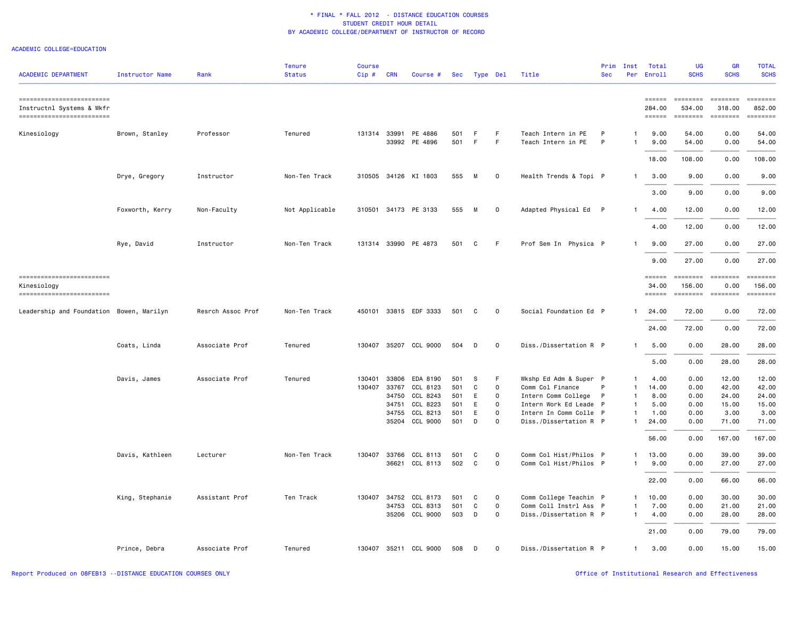| <b>ACADEMIC DEPARTMENT</b>                                                           | <b>Instructor Name</b> | Rank              | <b>Tenure</b><br><b>Status</b> | <b>Course</b><br>Cip# | <b>CRN</b> | Course #                       |            | Sec Type Del |                     | Title                                    | Prim<br><b>Sec</b> | Inst<br>Per                  | Total<br>Enroll                                                                            | UG<br><b>SCHS</b>                                                                                                                                                                                                                                                                                                                                                                                                                                                                                                | GR<br><b>SCHS</b>                     | <b>TOTAL</b><br><b>SCHS</b>               |
|--------------------------------------------------------------------------------------|------------------------|-------------------|--------------------------------|-----------------------|------------|--------------------------------|------------|--------------|---------------------|------------------------------------------|--------------------|------------------------------|--------------------------------------------------------------------------------------------|------------------------------------------------------------------------------------------------------------------------------------------------------------------------------------------------------------------------------------------------------------------------------------------------------------------------------------------------------------------------------------------------------------------------------------------------------------------------------------------------------------------|---------------------------------------|-------------------------------------------|
| =========================<br>Instructnl Systems & Wkfr<br>========================== |                        |                   |                                |                       |            |                                |            |              |                     |                                          |                    |                              | $\qquad \qquad \equiv \equiv \equiv \equiv \equiv \equiv$<br>284.00<br>$=$ $=$ $=$ $=$ $=$ | $\begin{array}{cccccccccc} \multicolumn{2}{c}{} & \multicolumn{2}{c}{} & \multicolumn{2}{c}{} & \multicolumn{2}{c}{} & \multicolumn{2}{c}{} & \multicolumn{2}{c}{} & \multicolumn{2}{c}{} & \multicolumn{2}{c}{} & \multicolumn{2}{c}{} & \multicolumn{2}{c}{} & \multicolumn{2}{c}{} & \multicolumn{2}{c}{} & \multicolumn{2}{c}{} & \multicolumn{2}{c}{} & \multicolumn{2}{c}{} & \multicolumn{2}{c}{} & \multicolumn{2}{c}{} & \multicolumn{2}{c}{} & \multicolumn{2}{c}{} & \mult$<br>534.00<br>$=$ ======== | ========<br>318.00<br><b>BEBEDDED</b> | 852.00<br>$=$ ========                    |
| Kinesiology                                                                          | Brown, Stanley         | Professor         | Tenured                        | 131314                |            | 33991 PE 4886<br>33992 PE 4896 | 501<br>501 | E<br>F       | F<br>F.             | Teach Intern in PE<br>Teach Intern in PE | P<br>P             | $\mathbf{1}$<br>$\mathbf{1}$ | 9.00<br>9.00                                                                               | 54.00<br>54.00                                                                                                                                                                                                                                                                                                                                                                                                                                                                                                   | 0.00<br>0.00                          | 54.00<br>54.00                            |
|                                                                                      |                        |                   |                                |                       |            |                                |            |              |                     |                                          |                    |                              | 18.00                                                                                      | 108.00                                                                                                                                                                                                                                                                                                                                                                                                                                                                                                           | 0.00                                  | 108.00                                    |
|                                                                                      | Drye, Gregory          | Instructor        | Non-Ten Track                  |                       |            | 310505 34126 KI 1803           | 555        | М            | $\mathsf{O}\xspace$ | Health Trends & Topi P                   |                    | $\mathbf{1}$                 | 3.00                                                                                       | 9.00                                                                                                                                                                                                                                                                                                                                                                                                                                                                                                             | 0.00                                  | 9.00                                      |
|                                                                                      |                        |                   |                                |                       |            |                                |            |              |                     |                                          |                    |                              | 3.00                                                                                       | 9.00                                                                                                                                                                                                                                                                                                                                                                                                                                                                                                             | 0.00                                  | 9.00                                      |
|                                                                                      | Foxworth, Kerry        | Non-Faculty       | Not Applicable                 |                       |            | 310501 34173 PE 3133           | 555        | M            | $\mathsf{O}\xspace$ | Adapted Physical Ed P                    |                    | $\mathbf{1}$                 | 4.00                                                                                       | 12.00                                                                                                                                                                                                                                                                                                                                                                                                                                                                                                            | 0.00                                  | 12.00                                     |
|                                                                                      |                        |                   |                                |                       |            |                                |            |              |                     |                                          |                    |                              | 4.00                                                                                       | 12.00                                                                                                                                                                                                                                                                                                                                                                                                                                                                                                            | 0.00                                  | 12.00                                     |
|                                                                                      | Rye, David             | Instructor        | Non-Ten Track                  |                       |            | 131314 33990 PE 4873           | 501        | C            | F                   | Prof Sem In Physica P                    |                    | $\mathbf{1}$                 | 9.00                                                                                       | 27.00                                                                                                                                                                                                                                                                                                                                                                                                                                                                                                            | 0.00                                  | 27.00                                     |
|                                                                                      |                        |                   |                                |                       |            |                                |            |              |                     |                                          |                    |                              | 9.00                                                                                       | 27.00                                                                                                                                                                                                                                                                                                                                                                                                                                                                                                            | 0.00                                  | 27.00                                     |
| -------------------------<br>Kinesiology<br>-------------------------                |                        |                   |                                |                       |            |                                |            |              |                     |                                          |                    |                              | $=$ $=$ $=$ $=$ $=$<br>34.00                                                               | $= 1.122222222$<br>156.00<br>------ ------- -------                                                                                                                                                                                                                                                                                                                                                                                                                                                              | ========<br>0.00                      | $= 1000000000$<br>156.00<br>$= 222222222$ |
| Leadership and Foundation Bowen, Marilyn                                             |                        | Resrch Assoc Prof | Non-Ten Track                  | 450101                |            | 33815 EDF 3333                 | 501        | C            | 0                   | Social Foundation Ed P                   |                    | -1                           | 24.00                                                                                      | 72.00                                                                                                                                                                                                                                                                                                                                                                                                                                                                                                            | 0.00                                  | 72.00                                     |
|                                                                                      |                        |                   |                                |                       |            |                                |            |              |                     |                                          |                    |                              | 24.00                                                                                      | 72.00                                                                                                                                                                                                                                                                                                                                                                                                                                                                                                            | 0.00                                  | 72.00                                     |
|                                                                                      | Coats, Linda           | Associate Prof    | Tenured                        | 130407                |            | 35207 CCL 9000                 | 504        | D            | $\mathbf 0$         | Diss./Dissertation R P                   |                    | $\mathbf{1}$                 | 5.00                                                                                       | 0.00                                                                                                                                                                                                                                                                                                                                                                                                                                                                                                             | 28.00                                 | 28.00                                     |
|                                                                                      |                        |                   |                                |                       |            |                                |            |              |                     |                                          |                    |                              | 5.00                                                                                       | 0.00                                                                                                                                                                                                                                                                                                                                                                                                                                                                                                             | 28.00                                 | 28.00                                     |
|                                                                                      | Davis, James           | Associate Prof    | Tenured                        | 130401                |            | 33806 EDA 8190                 | 501        | s            | F                   | Wkshp Ed Adm & Super P                   |                    | -1                           | 4.00                                                                                       | 0.00                                                                                                                                                                                                                                                                                                                                                                                                                                                                                                             | 12.00                                 | 12.00                                     |
|                                                                                      |                        |                   |                                | 130407                | 33767      | CCL 8123                       | 501        | C            | 0                   | Comm Col Finance                         |                    | $\mathbf{1}$                 | 14.00                                                                                      | 0.00                                                                                                                                                                                                                                                                                                                                                                                                                                                                                                             | 42.00                                 | 42.00                                     |
|                                                                                      |                        |                   |                                |                       |            | 34750 CCL 8243                 | 501        | Ε            | 0                   | Intern Comm College                      | P                  | $\mathbf{1}$                 | 8.00                                                                                       | 0.00                                                                                                                                                                                                                                                                                                                                                                                                                                                                                                             | 24.00                                 | 24.00                                     |
|                                                                                      |                        |                   |                                |                       | 34751      | CCL 8223                       | 501        | E            | 0                   | Intern Work Ed Leade P                   |                    | $\mathbf{1}$                 | 5.00                                                                                       | 0.00                                                                                                                                                                                                                                                                                                                                                                                                                                                                                                             | 15.00                                 | 15.00                                     |
|                                                                                      |                        |                   |                                |                       |            | 34755 CCL 8213                 | 501        | Ε            | 0                   | Intern In Comm Colle P                   |                    | $\mathbf{1}$                 | 1.00                                                                                       | 0.00                                                                                                                                                                                                                                                                                                                                                                                                                                                                                                             | 3.00                                  | 3.00                                      |
|                                                                                      |                        |                   |                                |                       |            | 35204 CCL 9000                 | 501        | D            | 0                   | Diss./Dissertation R P                   |                    | $\mathbf{1}$                 | 24.00                                                                                      | 0.00                                                                                                                                                                                                                                                                                                                                                                                                                                                                                                             | 71.00                                 | 71.00                                     |
|                                                                                      |                        |                   |                                |                       |            |                                |            |              |                     |                                          |                    |                              | 56.00                                                                                      | 0.00                                                                                                                                                                                                                                                                                                                                                                                                                                                                                                             | 167.00                                | 167.00                                    |
|                                                                                      |                        |                   |                                |                       |            |                                |            |              |                     |                                          |                    |                              |                                                                                            |                                                                                                                                                                                                                                                                                                                                                                                                                                                                                                                  |                                       |                                           |
|                                                                                      | Davis, Kathleen        | Lecturer          | Non-Ten Track                  |                       |            | 130407 33766 CCL 8113          | 501        | C            | 0                   | Comm Col Hist/Philos P                   |                    | 1                            | 13.00                                                                                      | 0.00                                                                                                                                                                                                                                                                                                                                                                                                                                                                                                             | 39.00                                 | 39.00                                     |
|                                                                                      |                        |                   |                                |                       |            | 36621 CCL 8113                 | 502        | C            | 0                   | Comm Col Hist/Philos P                   |                    | $\mathbf{1}$                 | 9.00                                                                                       | 0.00                                                                                                                                                                                                                                                                                                                                                                                                                                                                                                             | 27.00                                 | 27.00                                     |
|                                                                                      |                        |                   |                                |                       |            |                                |            |              |                     |                                          |                    |                              | 22.00                                                                                      | 0.00                                                                                                                                                                                                                                                                                                                                                                                                                                                                                                             | 66.00                                 | 66.00                                     |
|                                                                                      | King, Stephanie        | Assistant Prof    | Ten Track                      | 130407                | 34752      | CCL 8173                       | 501        | C            | 0                   | Comm College Teachin P                   |                    | $\mathbf{1}$                 | 10.00                                                                                      | 0.00                                                                                                                                                                                                                                                                                                                                                                                                                                                                                                             | 30.00                                 | 30.00                                     |
|                                                                                      |                        |                   |                                |                       |            | 34753 CCL 8313                 | 501        | C            | 0                   | Comm Coll Instrl Ass P                   |                    | $\mathbf{1}$                 | 7.00                                                                                       | 0.00                                                                                                                                                                                                                                                                                                                                                                                                                                                                                                             | 21.00                                 | 21.00                                     |
|                                                                                      |                        |                   |                                |                       |            | 35206 CCL 9000                 | 503        | D            | $\mathsf{o}$        | Diss./Dissertation R P                   |                    | $\mathbf{1}$                 | 4.00                                                                                       | 0.00                                                                                                                                                                                                                                                                                                                                                                                                                                                                                                             | 28.00                                 | 28.00                                     |
|                                                                                      |                        |                   |                                |                       |            |                                |            |              |                     |                                          |                    |                              | 21.00                                                                                      | 0.00                                                                                                                                                                                                                                                                                                                                                                                                                                                                                                             | 79.00                                 | 79.00                                     |
|                                                                                      | Prince, Debra          | Associate Prof    | Tenured                        |                       |            | 130407 35211 CCL 9000          | 508        | D            | $\mathbf 0$         | Diss./Dissertation R P                   |                    | $\mathbf{1}$                 | 3.00                                                                                       | 0.00                                                                                                                                                                                                                                                                                                                                                                                                                                                                                                             | 15.00                                 | 15.00                                     |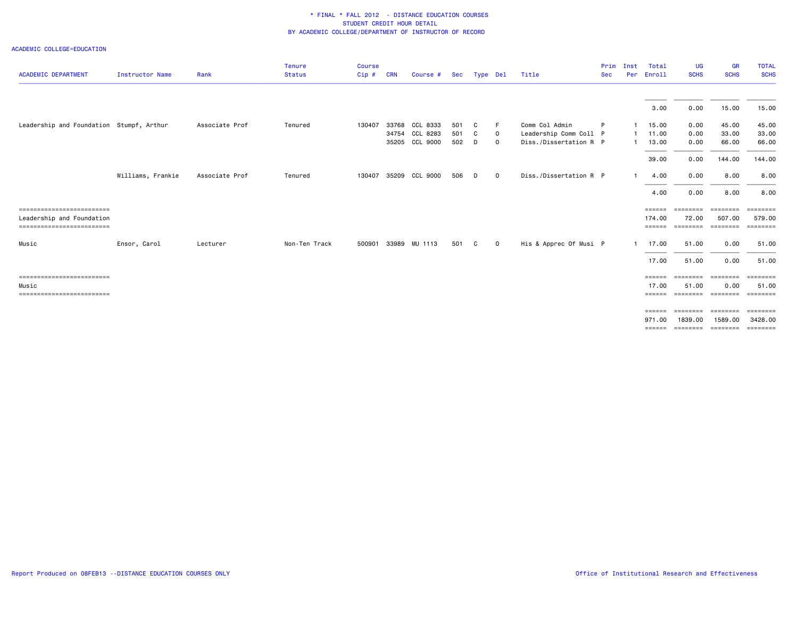| <b>ACADEMIC DEPARTMENT</b>                                      | <b>Instructor Name</b> | Rank           | <b>Tenure</b><br><b>Status</b> | <b>Course</b><br>Cip# | <b>CRN</b> | Course #                                           | Sec               | Type Del    |                    | Title                                                              | Prim<br><b>Sec</b> | Inst               | Total<br>Per Enroll                    | <b>UG</b><br><b>SCHS</b>               | <b>GR</b><br><b>SCHS</b>   | <b>TOTAL</b><br><b>SCHS</b>   |
|-----------------------------------------------------------------|------------------------|----------------|--------------------------------|-----------------------|------------|----------------------------------------------------|-------------------|-------------|--------------------|--------------------------------------------------------------------|--------------------|--------------------|----------------------------------------|----------------------------------------|----------------------------|-------------------------------|
|                                                                 |                        |                |                                |                       |            |                                                    |                   |             |                    |                                                                    |                    |                    | 3.00                                   | 0.00                                   | 15.00                      | 15.00                         |
| Leadership and Foundation Stumpf, Arthur                        |                        | Associate Prof | Tenured                        | 130407                |            | 33768 CCL 8333<br>34754 CCL 8283<br>35205 CCL 9000 | 501<br>501<br>502 | C<br>C<br>D | F.<br>0<br>$\circ$ | Comm Col Admin<br>Leadership Comm Coll P<br>Diss./Dissertation R P | P                  | 1.<br>$\mathbf{1}$ | 15.00<br>11.00<br>13.00                | 0.00<br>0.00<br>0.00                   | 45.00<br>33.00<br>66.00    | 45.00<br>33.00<br>66.00       |
|                                                                 | Williams, Frankie      | Associate Prof | Tenured                        | 130407                |            | 35209 CCL 9000                                     | 506               | D           | $\mathbf 0$        | Diss./Dissertation R P                                             |                    | 1.                 | 39.00<br>4.00                          | 0.00<br>0.00                           | 144.00<br>8.00             | 144.00<br>8.00                |
| -------------------------                                       |                        |                |                                |                       |            |                                                    |                   |             |                    |                                                                    |                    |                    | 4.00<br>======                         | 0.00<br>========                       | 8.00<br><b>ESSESSE</b>     | 8.00<br>EEEEEEEE              |
| Leadership and Foundation<br>-------------------------<br>Music | Ensor, Carol           | Lecturer       | Non-Ten Track                  | 500901                |            | 33989 MU 1113                                      | 501               | C.          | $\mathbf{O}$       | His & Apprec Of Musi P                                             |                    | $\mathbf{1}$       | 174.00<br>======<br>17.00              | 72.00<br>========<br>51.00             | 507.00<br>========<br>0.00 | 579.00<br>========<br>51.00   |
| ===========================                                     |                        |                |                                |                       |            |                                                    |                   |             |                    |                                                                    |                    |                    | 17.00<br>======                        | 51.00<br>========                      | 0.00<br>========           | 51.00<br>========             |
| Music<br>==========================                             |                        |                |                                |                       |            |                                                    |                   |             |                    |                                                                    |                    |                    | 17.00<br>======<br>$=$ $=$ $=$ $=$ $=$ | 51.00<br>=================<br>======== | 0.00<br>========           | 51.00<br>========<br>======== |
|                                                                 |                        |                |                                |                       |            |                                                    |                   |             |                    |                                                                    |                    |                    | 971.00                                 | 1839,00                                | 1589.00<br>========        | 3428.00<br>---------          |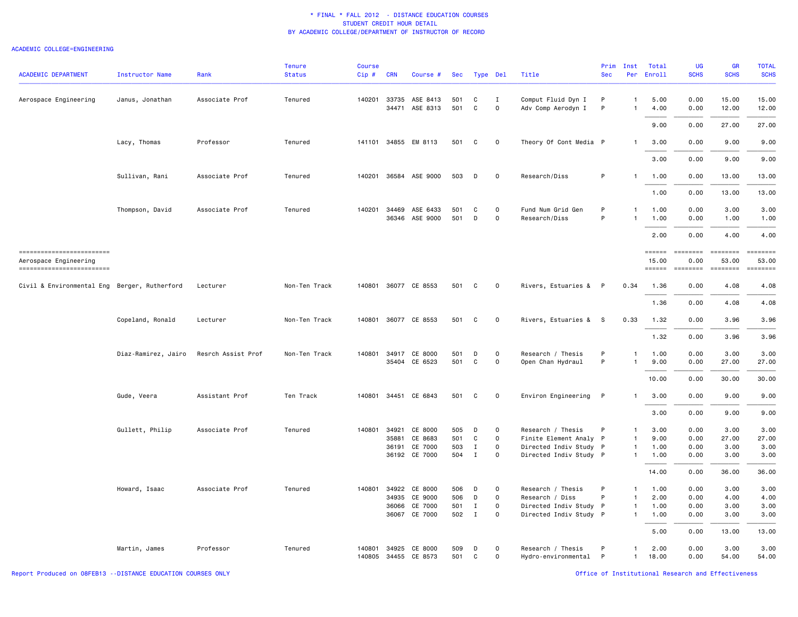#### ACADEMIC COLLEGE=ENGINEERING

| <b>ACADEMIC DEPARTMENT</b>                                                    | <b>Instructor Name</b> | Rank               | <b>Tenure</b><br><b>Status</b> | <b>Course</b><br>Cip# | <b>CRN</b>     | Course #                                             | Sec                      | Type Del                             |                                                           | Title                                                                                           | Prim<br><b>Sec</b> | Inst<br>Per                                                          | Total<br>Enroll                         | <b>UG</b><br><b>SCHS</b>             | <b>GR</b><br><b>SCHS</b>              | <b>TOTAL</b><br><b>SCHS</b>           |
|-------------------------------------------------------------------------------|------------------------|--------------------|--------------------------------|-----------------------|----------------|------------------------------------------------------|--------------------------|--------------------------------------|-----------------------------------------------------------|-------------------------------------------------------------------------------------------------|--------------------|----------------------------------------------------------------------|-----------------------------------------|--------------------------------------|---------------------------------------|---------------------------------------|
| Aerospace Engineering                                                         | Janus, Jonathan        | Associate Prof     | Tenured                        | 140201                | 33735<br>34471 | ASE 8413<br>ASE 8313                                 | 501<br>501               | C<br>$\mathtt{C}$                    | $\mathbf I$<br>$\mathsf{o}$                               | Comput Fluid Dyn I<br>Adv Comp Aerodyn I                                                        | P<br>P             | $\mathbf{1}$<br>$\mathbf{1}$                                         | 5.00<br>4.00                            | 0.00<br>0.00                         | 15.00<br>12.00                        | 15.00<br>12.00                        |
|                                                                               |                        |                    |                                |                       |                |                                                      |                          |                                      |                                                           |                                                                                                 |                    |                                                                      | 9.00                                    | 0.00                                 | 27.00                                 | 27.00                                 |
|                                                                               | Lacy, Thomas           | Professor          | Tenured                        |                       |                | 141101 34855 EM 8113                                 | 501                      | C                                    | $\mathbf 0$                                               | Theory Of Cont Media P                                                                          |                    | $\mathbf{1}$                                                         | 3.00                                    | 0.00                                 | 9.00                                  | 9.00                                  |
|                                                                               |                        |                    |                                |                       |                |                                                      |                          |                                      |                                                           |                                                                                                 |                    |                                                                      | 3.00                                    | 0.00                                 | 9.00                                  | 9.00                                  |
|                                                                               | Sullivan, Rani         | Associate Prof     | Tenured                        | 140201                |                | 36584 ASE 9000                                       | 503                      | D                                    | $\mathbf 0$                                               | Research/Diss                                                                                   | P                  | $\mathbf{1}$                                                         | 1.00                                    | 0.00                                 | 13.00                                 | 13.00                                 |
|                                                                               |                        |                    |                                |                       |                |                                                      |                          |                                      |                                                           |                                                                                                 |                    |                                                                      | 1.00                                    | 0.00                                 | 13.00                                 | 13.00                                 |
|                                                                               | Thompson, David        | Associate Prof     | Tenured                        | 140201                | 34469          | ASE 6433<br>36346 ASE 9000                           | 501<br>501               | C<br>D                               | $\circ$<br>$\mathbf 0$                                    | Fund Num Grid Gen<br>Research/Diss                                                              | P<br>P             | $\mathbf{1}$<br>$\mathbf{1}$                                         | 1.00<br>1.00                            | 0.00<br>0.00                         | 3.00<br>1.00                          | 3.00<br>1.00                          |
|                                                                               |                        |                    |                                |                       |                |                                                      |                          |                                      |                                                           |                                                                                                 |                    |                                                                      | 2.00                                    | 0.00                                 | 4.00                                  | 4.00                                  |
| ------------------------<br>Aerospace Engineering<br>------------------------ |                        |                    |                                |                       |                |                                                      |                          |                                      |                                                           |                                                                                                 |                    |                                                                      | $=$ = = = = =<br>15.00<br>$=$ = = = = = | ========<br>0.00<br><b>EEEEEEEE</b>  | ========<br>53.00<br>$= 222222222$    | <b>EBBEBBBB</b><br>53.00<br>========  |
| Civil & Environmental Eng Berger, Rutherford                                  |                        | Lecturer           | Non-Ten Track                  |                       |                | 140801 36077 CE 8553                                 | 501                      | C                                    | $\mathbf 0$                                               | Rivers, Estuaries & P                                                                           |                    | 0.34                                                                 | 1.36                                    | 0.00                                 | 4.08                                  | 4.08                                  |
|                                                                               |                        |                    |                                |                       |                |                                                      |                          |                                      |                                                           |                                                                                                 |                    |                                                                      | 1.36                                    | 0.00                                 | 4.08                                  | 4.08                                  |
|                                                                               | Copeland, Ronald       | Lecturer           | Non-Ten Track                  | 140801                |                | 36077 CE 8553                                        | 501                      | C                                    | $\mathbf 0$                                               | Rivers, Estuaries &                                                                             | <b>S</b>           | 0.33                                                                 | 1.32                                    | 0.00                                 | 3.96                                  | 3.96                                  |
|                                                                               |                        |                    |                                |                       |                |                                                      |                          |                                      |                                                           |                                                                                                 |                    |                                                                      | 1.32                                    | 0.00                                 | 3.96                                  | 3.96                                  |
|                                                                               | Diaz-Ramirez, Jairo    | Resrch Assist Prof | Non-Ten Track                  | 140801                |                | 34917 CE 8000<br>35404 CE 6523                       | 501<br>501               | D<br>$\mathbb{C}$                    | $\Omega$<br>$\mathsf{O}$                                  | Research / Thesis<br>Open Chan Hydraul                                                          | P<br>P             | $\mathbf{1}$<br>$\mathbf{1}$                                         | 1.00<br>9.00                            | 0.00<br>0.00                         | 3.00<br>27.00                         | 3.00<br>27.00                         |
|                                                                               |                        |                    |                                |                       |                |                                                      |                          |                                      |                                                           |                                                                                                 |                    |                                                                      | 10.00                                   | 0.00                                 | 30.00                                 | 30.00                                 |
|                                                                               | Gude, Veera            | Assistant Prof     | Ten Track                      | 140801                |                | 34451 CE 6843                                        | 501                      | C                                    | $\mathbf 0$                                               | Environ Engineering                                                                             | $\mathsf{P}$       | $\mathbf{1}$                                                         | 3.00                                    | 0.00                                 | 9.00                                  | 9.00                                  |
|                                                                               |                        |                    |                                |                       |                |                                                      |                          |                                      |                                                           |                                                                                                 |                    |                                                                      | 3.00                                    | 0.00                                 | 9.00                                  | 9.00                                  |
|                                                                               | Gullett, Philip        | Associate Prof     | Tenured                        | 140801                | 34921<br>35881 | CE 8000<br>CE 8683<br>36191 CE 7000<br>36192 CE 7000 | 505<br>501<br>503<br>504 | D<br>C<br>$\mathbf I$<br>$\mathbf I$ | $\mathsf{o}$<br>$\mathbf 0$<br>$\mathbf 0$<br>$\mathbf 0$ | Research / Thesis<br>Finite Element Analy P<br>Directed Indiv Study P<br>Directed Indiv Study P | P                  | $\overline{1}$<br>$\overline{1}$<br>$\overline{1}$<br>$\overline{1}$ | 3.00<br>9.00<br>1.00<br>1.00            | 0.00<br>0.00<br>0.00<br>0.00         | 3.00<br>27.00<br>3.00<br>3.00         | 3.00<br>27.00<br>3.00<br>3.00         |
|                                                                               |                        |                    |                                |                       |                |                                                      |                          |                                      |                                                           |                                                                                                 |                    |                                                                      | 14.00                                   | 0.00                                 | 36.00                                 | 36.00                                 |
|                                                                               | Howard, Isaac          | Associate Prof     | Tenured                        | 140801                | 34935<br>36066 | 34922 CE 8000<br>CE 9000<br>CE 7000<br>36067 CE 7000 | 506<br>506<br>501<br>502 | D<br>D<br>Ι.<br>$\mathbf{I}$         | $\mathbf 0$<br>$\mathsf{o}$<br>$\circ$<br>$\mathbf 0$     | Research / Thesis<br>Research / Diss<br>Directed Indiv Study P<br>Directed Indiv Study P        | P<br>P             | $\mathbf{1}$<br>$\overline{1}$<br>$\overline{1}$<br>$\overline{1}$   | 1.00<br>2.00<br>1.00<br>1.00<br>5.00    | 0.00<br>0.00<br>0.00<br>0.00<br>0.00 | 3.00<br>4.00<br>3.00<br>3.00<br>13,00 | 3,00<br>4.00<br>3.00<br>3.00<br>13.00 |
|                                                                               | Martin, James          | Professor          | Tenured                        | 140801                | 34925          | CE 8000<br>140805 34455 CE 8573                      | 509<br>501               | D<br>C                               | $\circ$<br>$\overline{0}$                                 | Research / Thesis<br>Hydro-environmental P                                                      | P                  | $\mathbf{1}$<br>$\mathbf{1}$                                         | 2.00<br>18.00                           | 0.00<br>0.00                         | 3.00<br>54.00                         | 3.00<br>54.00                         |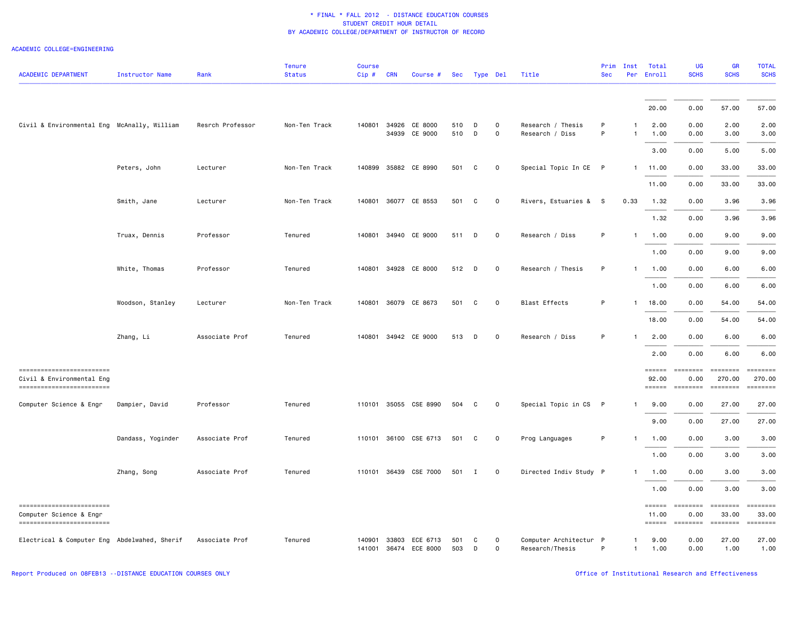#### ACADEMIC COLLEGE=ENGINEERING

| <b>ACADEMIC DEPARTMENT</b>                                                           | Instructor Name   | Rank             | <b>Tenure</b><br><b>Status</b> | Course<br>Cip#   | <b>CRN</b> | Course #                         | Sec        |              | Type Del                 | Title                                     | Prim<br><b>Sec</b> | Inst<br>Per                  | Total<br>Enroll                               | <b>UG</b><br><b>SCHS</b>                                                                                                                     | <b>GR</b><br><b>SCHS</b>      | <b>TOTAL</b><br><b>SCHS</b> |
|--------------------------------------------------------------------------------------|-------------------|------------------|--------------------------------|------------------|------------|----------------------------------|------------|--------------|--------------------------|-------------------------------------------|--------------------|------------------------------|-----------------------------------------------|----------------------------------------------------------------------------------------------------------------------------------------------|-------------------------------|-----------------------------|
|                                                                                      |                   |                  |                                |                  |            |                                  |            |              |                          |                                           |                    |                              | 20.00                                         | 0.00                                                                                                                                         | 57.00                         | 57.00                       |
| Civil & Environmental Eng McAnally, William                                          |                   | Resrch Professor | Non-Ten Track                  | 140801           |            | 34926 CE 8000<br>34939 CE 9000   | 510<br>510 | D<br>D       | $\Omega$<br>0            | Research / Thesis<br>Research / Diss      | P<br>P             | $\mathbf{1}$<br>$\mathbf{1}$ | 2.00<br>1.00                                  | 0.00<br>0.00                                                                                                                                 | 2.00<br>3.00                  | 2.00<br>3.00                |
|                                                                                      |                   |                  |                                |                  |            |                                  |            |              |                          |                                           |                    |                              | 3.00                                          | 0.00                                                                                                                                         | 5.00                          | 5.00                        |
|                                                                                      | Peters, John      | Lecturer         | Non-Ten Track                  | 140899           |            | 35882 CE 8990                    | 501        | C            | 0                        | Special Topic In CE P                     |                    |                              | 1 11.00                                       | 0.00                                                                                                                                         | 33.00                         | 33.00                       |
|                                                                                      |                   |                  |                                |                  |            |                                  |            |              |                          |                                           |                    |                              | 11.00                                         | 0.00                                                                                                                                         | 33.00                         | 33.00                       |
|                                                                                      | Smith, Jane       | Lecturer         | Non-Ten Track                  |                  |            | 140801 36077 CE 8553             | 501        | C            | 0                        | Rivers, Estuaries & S                     |                    | 0.33                         | 1.32                                          | 0.00                                                                                                                                         | 3.96                          | 3.96                        |
|                                                                                      |                   |                  |                                |                  |            |                                  |            |              |                          |                                           |                    |                              | 1.32                                          | 0.00                                                                                                                                         | 3.96                          | 3.96                        |
|                                                                                      | Truax, Dennis     | Professor        | Tenured                        | 140801           |            | 34940 CE 9000                    | 511        | D            | 0                        | Research / Diss                           | P                  | $\mathbf{1}$                 | 1.00                                          | 0.00                                                                                                                                         | 9.00                          | 9.00                        |
|                                                                                      |                   |                  |                                |                  |            |                                  |            |              |                          |                                           |                    |                              | 1.00                                          | 0.00                                                                                                                                         | 9.00                          | 9.00                        |
|                                                                                      | White, Thomas     | Professor        | Tenured                        | 140801           |            | 34928 CE 8000                    | 512        | D            | 0                        | Research / Thesis                         | P                  | -1                           | 1.00                                          | 0.00                                                                                                                                         | 6.00                          | 6.00                        |
|                                                                                      |                   |                  |                                |                  |            |                                  |            |              |                          |                                           |                    |                              | 1.00                                          | 0.00                                                                                                                                         | 6.00                          | 6.00                        |
|                                                                                      | Woodson, Stanley  | Lecturer         | Non-Ten Track                  | 140801           |            | 36079 CE 8673                    | 501        | C            | $\mathbf 0$              | <b>Blast Effects</b>                      | P                  | -1                           | 18.00                                         | 0.00                                                                                                                                         | 54.00                         | 54.00                       |
|                                                                                      |                   |                  |                                |                  |            |                                  |            |              |                          |                                           |                    |                              | 18.00                                         | 0.00                                                                                                                                         | 54.00                         | 54.00                       |
|                                                                                      | Zhang, Li         | Associate Prof   | Tenured                        | 140801           |            | 34942 CE 9000                    | 513        | D            | $\mathbf 0$              | Research / Diss                           | P                  | $\mathbf{1}$                 | 2.00                                          | 0.00                                                                                                                                         | 6.00                          | 6.00                        |
|                                                                                      |                   |                  |                                |                  |            |                                  |            |              |                          |                                           |                    |                              | 2.00                                          | 0.00                                                                                                                                         | 6.00                          | 6.00                        |
| -------------------------<br>Civil & Environmental Eng<br>========================== |                   |                  |                                |                  |            |                                  |            |              |                          |                                           |                    |                              | $=$ = = = = =<br>92.00<br>$=$ $=$ $=$ $=$ $=$ | $\qquad \qquad \blacksquare \blacksquare \blacksquare \blacksquare \blacksquare \blacksquare \blacksquare \blacksquare \blacksquare$<br>0.00 | ========<br>270.00            | 270.00<br>$= 10000000000$   |
| Computer Science & Engr                                                              | Dampier, David    | Professor        | Tenured                        | 110101           |            | 35055 CSE 8990                   | 504        | C            | 0                        | Special Topic in CS                       | P                  | $\mathbf{1}$                 | 9.00                                          | 0.00                                                                                                                                         | 27.00                         | 27.00                       |
|                                                                                      |                   |                  |                                |                  |            |                                  |            |              |                          |                                           |                    |                              | 9.00                                          | 0.00                                                                                                                                         | 27.00                         | 27.00                       |
|                                                                                      | Dandass, Yoginder | Associate Prof   | Tenured                        |                  |            | 110101 36100 CSE 6713            | 501        | C            | $\mathbf 0$              | Prog Languages                            | P                  | $\mathbf{1}$                 | 1.00                                          | 0.00                                                                                                                                         | 3.00                          | 3.00                        |
|                                                                                      |                   |                  |                                |                  |            |                                  |            |              |                          |                                           |                    |                              | 1.00                                          | 0.00                                                                                                                                         | 3.00                          | 3.00                        |
|                                                                                      | Zhang, Song       | Associate Prof   | Tenured                        | 110101           |            | 36439 CSE 7000                   | 501        | $\mathbf{I}$ | $\mathsf{o}\,$           | Directed Indiv Study P                    |                    | $\mathbf{1}$                 | 1.00                                          | 0.00                                                                                                                                         | 3.00                          | 3.00                        |
|                                                                                      |                   |                  |                                |                  |            |                                  |            |              |                          |                                           |                    |                              | 1.00                                          | 0.00                                                                                                                                         | 3.00                          | 3.00                        |
| ------------------------<br>Computer Science & Engr<br>------------------------      |                   |                  |                                |                  |            |                                  |            |              |                          |                                           |                    |                              | $=$ $=$ $=$ $=$ $=$ $=$<br>11.00<br>======    | $=$ ========<br>0.00<br>========                                                                                                             | ========<br>33.00<br>======== | 33.00<br>========           |
| Electrical & Computer Eng Abdelwahed, Sherif                                         |                   | Associate Prof   | Tenured                        | 140901<br>141001 |            | 33803 ECE 6713<br>36474 ECE 8000 | 501<br>503 | C<br>D       | $\Omega$<br>$\mathsf{o}$ | Computer Architectur P<br>Research/Thesis | P                  | -1<br>$\mathbf{1}$           | 9.00<br>1.00                                  | 0.00<br>0.00                                                                                                                                 | 27.00<br>1.00                 | 27.00<br>1.00               |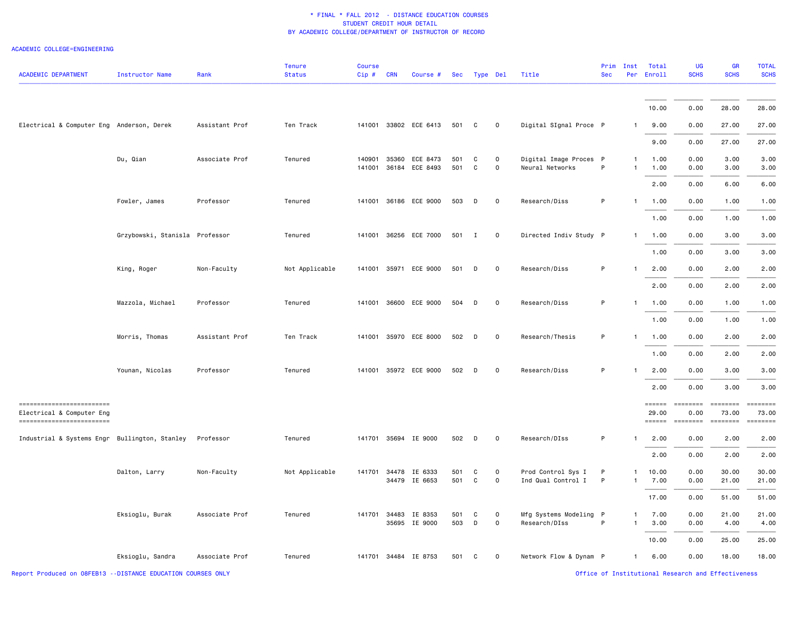#### ACADEMIC COLLEGE=ENGINEERING

| <b>ACADEMIC DEPARTMENT</b>                                                            | Instructor Name                | Rank           | <b>Tenure</b><br><b>Status</b> | Course<br>Cip#   | <b>CRN</b>     | Course #                 |            | Sec Type Del |                     | Title                                     | Prim<br><b>Sec</b> | Inst<br>Per                  | Total<br>Enroll                                | UG<br><b>SCHS</b>                        | <b>GR</b><br><b>SCHS</b> | <b>TOTAL</b><br><b>SCHS</b> |
|---------------------------------------------------------------------------------------|--------------------------------|----------------|--------------------------------|------------------|----------------|--------------------------|------------|--------------|---------------------|-------------------------------------------|--------------------|------------------------------|------------------------------------------------|------------------------------------------|--------------------------|-----------------------------|
|                                                                                       |                                |                |                                |                  |                |                          |            |              |                     |                                           |                    |                              | 10.00                                          | 0.00                                     | 28.00                    | 28.00                       |
| Electrical & Computer Eng Anderson, Derek                                             |                                | Assistant Prof | Ten Track                      |                  |                | 141001 33802 ECE 6413    | 501        | C            | $\Omega$            | Digital SIgnal Proce P                    |                    | $\mathbf{1}$                 | 9.00                                           | 0.00                                     | 27.00                    | 27.00                       |
|                                                                                       |                                |                |                                |                  |                |                          |            |              |                     |                                           |                    |                              | 9.00                                           | 0.00                                     | 27.00                    | 27.00                       |
|                                                                                       | Du, Qian                       | Associate Prof | Tenured                        | 140901<br>141001 | 35360<br>36184 | ECE 8473<br>ECE 8493     | 501<br>501 | C<br>C       | $\mathbf 0$<br>0    | Digital Image Proces P<br>Neural Networks | P                  | $\mathbf{1}$<br>$\mathbf{1}$ | 1.00<br>1.00                                   | 0.00<br>0.00                             | 3.00<br>3.00             | 3.00<br>3.00                |
|                                                                                       |                                |                |                                |                  |                |                          |            |              |                     |                                           |                    |                              | 2.00                                           | 0.00                                     | 6.00                     | 6.00                        |
|                                                                                       | Fowler, James                  | Professor      | Tenured                        | 141001           |                | 36186 ECE 9000           | 503        | D            | $\mathsf{O}\xspace$ | Research/Diss                             | P                  | $\mathbf{1}$                 | 1.00                                           | 0.00                                     | 1.00                     | 1.00                        |
|                                                                                       |                                |                |                                |                  |                |                          |            |              |                     |                                           |                    |                              | 1.00                                           | 0.00                                     | 1.00                     | 1.00                        |
|                                                                                       | Grzybowski, Stanisla Professor |                | Tenured                        | 141001           |                | 36256 ECE 7000           | 501        | I            | 0                   | Directed Indiv Study P                    |                    | $\mathbf{1}$                 | 1.00<br>1.00                                   | 0.00<br>0.00                             | 3.00<br>3.00             | 3.00<br>3.00                |
|                                                                                       | King, Roger                    | Non-Faculty    | Not Applicable                 | 141001           |                | 35971 ECE 9000           | 501        | D            | $\mathsf{O}\xspace$ | Research/Diss                             | P                  | $\mathbf{1}$                 | 2.00                                           | 0.00                                     | 2.00                     | 2.00                        |
|                                                                                       |                                |                |                                |                  |                |                          |            |              |                     |                                           |                    |                              | 2.00                                           | 0.00                                     | 2.00                     | 2.00                        |
|                                                                                       | Mazzola, Michael               | Professor      | Tenured                        | 141001           |                | 36600 ECE 9000           | 504        | D            | $\mathbf 0$         | Research/Diss                             | P                  | $\mathbf{1}$                 | 1.00                                           | 0.00                                     | 1.00                     | 1.00                        |
|                                                                                       |                                |                |                                |                  |                |                          |            |              |                     |                                           |                    |                              | 1.00                                           | 0.00                                     | 1.00                     | 1.00                        |
|                                                                                       | Morris, Thomas                 | Assistant Prof | Ten Track                      | 141001           |                | 35970 ECE 8000           | 502        | D            | $\mathsf{o}\,$      | Research/Thesis                           | P                  | $\mathbf{1}$                 | 1.00                                           | 0.00                                     | 2.00                     | 2.00                        |
|                                                                                       |                                |                |                                |                  |                |                          |            |              |                     |                                           |                    |                              | 1.00                                           | 0.00                                     | 2.00                     | 2.00                        |
|                                                                                       | Younan, Nicolas                | Professor      | Tenured                        | 141001           |                | 35972 ECE 9000           | 502        | D            | $\Omega$            | Research/Diss                             | P                  | $\mathbf{1}$                 | 2.00                                           | 0.00                                     | 3.00                     | 3.00                        |
|                                                                                       |                                |                |                                |                  |                |                          |            |              |                     |                                           |                    |                              | 2.00                                           | 0.00                                     | 3.00                     | 3.00                        |
| ==========================<br>Electrical & Computer Eng<br>========================== |                                |                |                                |                  |                |                          |            |              |                     |                                           |                    |                              | $=$ $=$ $=$ $=$ $=$ $=$ $=$<br>29.00<br>====== | <b>EEEEEEE</b><br>0.00<br>$= 1000000000$ | ========<br>73.00        | $= 1.122222222$<br>73.00    |
| Industrial & Systems Engr Bullington, Stanley                                         |                                | Professor      | Tenured                        |                  |                | 141701 35694 IE 9000     | 502        | D            | 0                   | Research/DIss                             | P                  | $\mathbf{1}$                 | 2.00                                           | 0.00                                     | 2.00                     | 2.00                        |
|                                                                                       |                                |                |                                |                  |                |                          |            |              |                     |                                           |                    |                              | 2.00                                           | 0.00                                     | 2.00                     | 2.00                        |
|                                                                                       | Dalton, Larry                  | Non-Faculty    | Not Applicable                 | 141701           | 34478<br>34479 | IE 6333<br>IE 6653       | 501<br>501 | C<br>C       | 0<br>0              | Prod Control Sys I<br>Ind Qual Control I  | P<br>P             | $\mathbf{1}$<br>$\mathbf{1}$ | 10.00<br>7.00                                  | 0.00<br>0.00                             | 30.00<br>21.00           | 30.00<br>21.00              |
|                                                                                       |                                |                |                                |                  |                |                          |            |              |                     |                                           |                    |                              | 17.00                                          | 0.00                                     | 51.00                    | 51.00                       |
|                                                                                       | Eksioglu, Burak                | Associate Prof | Tenured                        | 141701           | 34483          | IE 8353<br>35695 IE 9000 | 501<br>503 | C<br>D       | 0<br>0              | Mfg Systems Modeling P<br>Research/DIss   | P                  | $\mathbf{1}$<br>$\mathbf{1}$ | 7.00<br>3.00                                   | 0.00<br>0.00                             | 21.00<br>4.00            | 21.00<br>4.00               |
|                                                                                       |                                |                |                                |                  |                |                          |            |              |                     |                                           |                    |                              | 10.00                                          | 0.00                                     | 25.00                    | 25.00                       |
|                                                                                       | Eksioglu, Sandra               | Associate Prof | Tenured                        |                  |                | 141701 34484 IE 8753     | 501        | C            | 0                   | Network Flow & Dynam P                    |                    | $\mathbf{1}$                 | 6.00                                           | 0.00                                     | 18.00                    | 18.00                       |

Report Produced on 08FEB13 --DISTANCE EDUCATION COURSES ONLY **COURSES ONLY COURSES ONLY COURSES ONLY COURSES ONLY**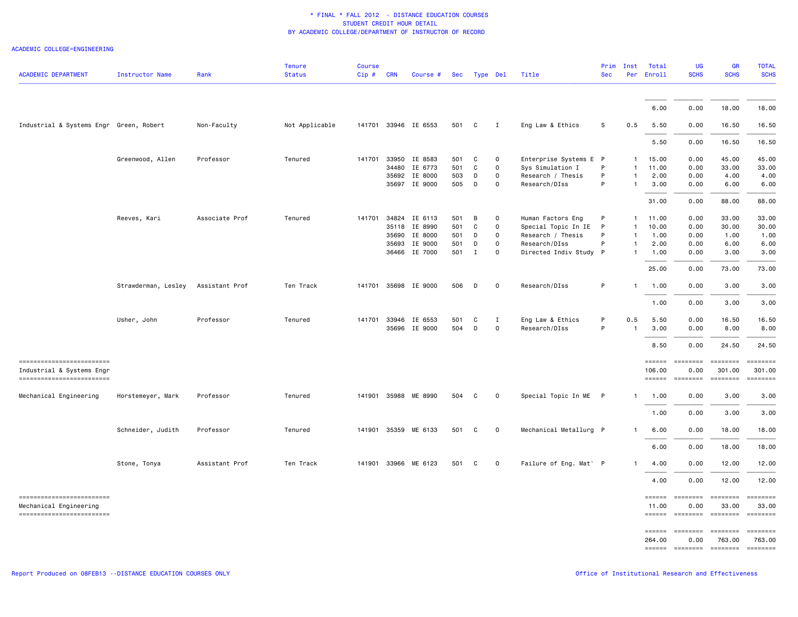| ACADEMIC COLLEGE=ENGINEERING |
|------------------------------|
|                              |

| <b>ACADEMIC DEPARTMENT</b>                          | <b>Instructor Name</b> | Rank           | <b>Tenure</b><br><b>Status</b> | <b>Course</b><br>Cip# | <b>CRN</b> | Course #             |     | Sec Type Del |              | Title                  | Prim<br><b>Sec</b> | Inst         | Total<br>Per Enroll                                                | <b>UG</b><br><b>SCHS</b>                                                                                                                                                                                                                                                                                                                                                                                                                                                                       | <b>GR</b><br><b>SCHS</b>                                                                                                                                                                                                                                                                                                                                                                                                                                                               | <b>TOTAL</b><br><b>SCHS</b> |
|-----------------------------------------------------|------------------------|----------------|--------------------------------|-----------------------|------------|----------------------|-----|--------------|--------------|------------------------|--------------------|--------------|--------------------------------------------------------------------|------------------------------------------------------------------------------------------------------------------------------------------------------------------------------------------------------------------------------------------------------------------------------------------------------------------------------------------------------------------------------------------------------------------------------------------------------------------------------------------------|----------------------------------------------------------------------------------------------------------------------------------------------------------------------------------------------------------------------------------------------------------------------------------------------------------------------------------------------------------------------------------------------------------------------------------------------------------------------------------------|-----------------------------|
|                                                     |                        |                |                                |                       |            |                      |     |              |              |                        |                    |              |                                                                    |                                                                                                                                                                                                                                                                                                                                                                                                                                                                                                |                                                                                                                                                                                                                                                                                                                                                                                                                                                                                        |                             |
| Industrial & Systems Engr Green, Robert             |                        | Non-Faculty    | Not Applicable                 |                       |            | 141701 33946 IE 6553 | 501 | C            | Ι.           | Eng Law & Ethics       | s                  | 0.5          | 6.00<br>5.50                                                       | 0.00<br>0.00                                                                                                                                                                                                                                                                                                                                                                                                                                                                                   | 18.00<br>16.50                                                                                                                                                                                                                                                                                                                                                                                                                                                                         | 18.00<br>16.50              |
|                                                     |                        |                |                                |                       |            |                      |     |              |              |                        |                    |              |                                                                    |                                                                                                                                                                                                                                                                                                                                                                                                                                                                                                |                                                                                                                                                                                                                                                                                                                                                                                                                                                                                        |                             |
|                                                     |                        |                |                                |                       |            |                      |     |              |              |                        |                    |              | 5.50                                                               | 0.00                                                                                                                                                                                                                                                                                                                                                                                                                                                                                           | 16.50                                                                                                                                                                                                                                                                                                                                                                                                                                                                                  | 16.50                       |
|                                                     | Greenwood, Allen       | Professor      | Tenured                        | 141701                | 33950      | IE 8583              | 501 | C            | $\Omega$     | Enterprise Systems E P |                    | $\mathbf{1}$ | 15.00                                                              | 0.00                                                                                                                                                                                                                                                                                                                                                                                                                                                                                           | 45.00                                                                                                                                                                                                                                                                                                                                                                                                                                                                                  | 45.00                       |
|                                                     |                        |                |                                |                       |            | 34480 IE 6773        | 501 | C            | $\mathsf{o}$ | Sys Simulation I       | P                  | $\mathbf{1}$ | 11.00                                                              | 0.00                                                                                                                                                                                                                                                                                                                                                                                                                                                                                           | 33.00                                                                                                                                                                                                                                                                                                                                                                                                                                                                                  | 33.00                       |
|                                                     |                        |                |                                |                       |            | 35692 IE 8000        | 503 | D            | $\mathsf{o}$ | Research / Thesis      | P                  | $\mathbf{1}$ | 2.00                                                               | 0.00                                                                                                                                                                                                                                                                                                                                                                                                                                                                                           | 4.00                                                                                                                                                                                                                                                                                                                                                                                                                                                                                   | 4.00                        |
|                                                     |                        |                |                                |                       |            | 35697 IE 9000        | 505 | D            | $\mathsf{o}$ | Research/DIss          | P                  | $\mathbf{1}$ | 3.00                                                               | 0.00                                                                                                                                                                                                                                                                                                                                                                                                                                                                                           | 6.00                                                                                                                                                                                                                                                                                                                                                                                                                                                                                   | 6.00                        |
|                                                     |                        |                |                                |                       |            |                      |     |              |              |                        |                    |              | 31.00                                                              | 0.00                                                                                                                                                                                                                                                                                                                                                                                                                                                                                           | 88.00                                                                                                                                                                                                                                                                                                                                                                                                                                                                                  | 88.00                       |
|                                                     | Reeves, Kari           | Associate Prof | Tenured                        | 141701                |            | 34824 IE 6113        | 501 | В            | 0            | Human Factors Eng      | P                  | $\mathbf{1}$ | 11.00                                                              | 0.00                                                                                                                                                                                                                                                                                                                                                                                                                                                                                           | 33.00                                                                                                                                                                                                                                                                                                                                                                                                                                                                                  | 33.00                       |
|                                                     |                        |                |                                |                       |            | 35118 IE 8990        | 501 | C            | $\mathsf{o}$ | Special Topic In IE    | $\mathsf{P}$       | $\mathbf{1}$ | 10.00                                                              | 0.00                                                                                                                                                                                                                                                                                                                                                                                                                                                                                           | 30.00                                                                                                                                                                                                                                                                                                                                                                                                                                                                                  | 30.00                       |
|                                                     |                        |                |                                |                       | 35690      | IE 8000              | 501 | D            | $\Omega$     | Research / Thesis      | P                  | $\mathbf{1}$ | 1.00                                                               | 0.00                                                                                                                                                                                                                                                                                                                                                                                                                                                                                           | 1.00                                                                                                                                                                                                                                                                                                                                                                                                                                                                                   | 1.00                        |
|                                                     |                        |                |                                |                       |            | 35693 IE 9000        | 501 | D            | $\mathsf{o}$ | Research/DIss          | P                  | $\mathbf{1}$ | 2.00                                                               | 0.00                                                                                                                                                                                                                                                                                                                                                                                                                                                                                           | 6.00                                                                                                                                                                                                                                                                                                                                                                                                                                                                                   | 6.00                        |
|                                                     |                        |                |                                |                       |            | 36466 IE 7000        | 501 | Ι.           | 0            | Directed Indiv Study P |                    | $\mathbf{1}$ | 1.00                                                               | 0.00                                                                                                                                                                                                                                                                                                                                                                                                                                                                                           | 3.00                                                                                                                                                                                                                                                                                                                                                                                                                                                                                   | 3.00                        |
|                                                     |                        |                |                                |                       |            |                      |     |              |              |                        |                    |              | 25.00                                                              | 0.00                                                                                                                                                                                                                                                                                                                                                                                                                                                                                           | 73.00                                                                                                                                                                                                                                                                                                                                                                                                                                                                                  | 73.00                       |
|                                                     | Strawderman, Lesley    | Assistant Prof | Ten Track                      | 141701                |            | 35698 IE 9000        | 506 | D            | 0            | Research/DIss          | P                  | $\mathbf{1}$ | 1.00                                                               | 0.00                                                                                                                                                                                                                                                                                                                                                                                                                                                                                           | 3.00                                                                                                                                                                                                                                                                                                                                                                                                                                                                                   | 3.00                        |
|                                                     |                        |                |                                |                       |            |                      |     |              |              |                        |                    |              | 1.00                                                               | 0.00                                                                                                                                                                                                                                                                                                                                                                                                                                                                                           | 3.00                                                                                                                                                                                                                                                                                                                                                                                                                                                                                   | 3.00                        |
|                                                     | Usher, John            | Professor      | Tenured                        | 141701                |            | 33946 IE 6553        | 501 | C            | I            | Eng Law & Ethics       | P                  | 0.5          | 5.50                                                               | 0.00                                                                                                                                                                                                                                                                                                                                                                                                                                                                                           | 16.50                                                                                                                                                                                                                                                                                                                                                                                                                                                                                  | 16.50                       |
|                                                     |                        |                |                                |                       |            | 35696 IE 9000        | 504 | D            | 0            | Research/DIss          | P                  | $\mathbf{1}$ | 3.00                                                               | 0.00                                                                                                                                                                                                                                                                                                                                                                                                                                                                                           | 8.00                                                                                                                                                                                                                                                                                                                                                                                                                                                                                   | 8.00                        |
|                                                     |                        |                |                                |                       |            |                      |     |              |              |                        |                    |              | 8.50                                                               | 0.00                                                                                                                                                                                                                                                                                                                                                                                                                                                                                           | 24.50                                                                                                                                                                                                                                                                                                                                                                                                                                                                                  | 24.50                       |
| ------------------------                            |                        |                |                                |                       |            |                      |     |              |              |                        |                    |              | $= = = = = =$                                                      | $\qquad \qquad \equiv \equiv \equiv \equiv \equiv \equiv \equiv \equiv$                                                                                                                                                                                                                                                                                                                                                                                                                        | ========                                                                                                                                                                                                                                                                                                                                                                                                                                                                               |                             |
| Industrial & Systems Engr                           |                        |                |                                |                       |            |                      |     |              |              |                        |                    |              | 106.00                                                             | 0.00                                                                                                                                                                                                                                                                                                                                                                                                                                                                                           | 301.00                                                                                                                                                                                                                                                                                                                                                                                                                                                                                 | 301.00                      |
| -------------------------                           |                        |                |                                |                       |            |                      |     |              |              |                        |                    |              | $=$ = = = = =                                                      |                                                                                                                                                                                                                                                                                                                                                                                                                                                                                                | <b>EDEDEDER</b>                                                                                                                                                                                                                                                                                                                                                                                                                                                                        |                             |
| Mechanical Engineering                              | Horstemeyer, Mark      | Professor      | Tenured                        |                       |            | 141901 35988 ME 8990 | 504 | C            | $\mathbf 0$  | Special Topic In ME P  |                    | $\mathbf{1}$ | 1.00                                                               | 0.00                                                                                                                                                                                                                                                                                                                                                                                                                                                                                           | 3.00                                                                                                                                                                                                                                                                                                                                                                                                                                                                                   | 3.00                        |
|                                                     |                        |                |                                |                       |            |                      |     |              |              |                        |                    |              | 1.00                                                               | 0.00                                                                                                                                                                                                                                                                                                                                                                                                                                                                                           | 3.00                                                                                                                                                                                                                                                                                                                                                                                                                                                                                   | 3.00                        |
|                                                     | Schneider, Judith      | Professor      | Tenured                        | 141901                |            | 35359 ME 6133        | 501 | C            | 0            | Mechanical Metallurg P |                    | $\mathbf{1}$ | 6.00                                                               | 0.00                                                                                                                                                                                                                                                                                                                                                                                                                                                                                           | 18.00                                                                                                                                                                                                                                                                                                                                                                                                                                                                                  | 18.00                       |
|                                                     |                        |                |                                |                       |            |                      |     |              |              |                        |                    |              | 6.00                                                               | 0.00                                                                                                                                                                                                                                                                                                                                                                                                                                                                                           | 18.00                                                                                                                                                                                                                                                                                                                                                                                                                                                                                  | 18.00                       |
|                                                     |                        |                |                                | 141901                |            | 33966 ME 6123        | 501 | C            | 0            | Failure of Eng. Mat' P |                    | $\mathbf{1}$ | 4.00                                                               | 0.00                                                                                                                                                                                                                                                                                                                                                                                                                                                                                           |                                                                                                                                                                                                                                                                                                                                                                                                                                                                                        | 12.00                       |
|                                                     | Stone, Tonya           | Assistant Prof | Ten Track                      |                       |            |                      |     |              |              |                        |                    |              |                                                                    |                                                                                                                                                                                                                                                                                                                                                                                                                                                                                                | 12.00                                                                                                                                                                                                                                                                                                                                                                                                                                                                                  |                             |
|                                                     |                        |                |                                |                       |            |                      |     |              |              |                        |                    |              | 4.00                                                               | 0.00                                                                                                                                                                                                                                                                                                                                                                                                                                                                                           | 12.00                                                                                                                                                                                                                                                                                                                                                                                                                                                                                  | 12.00                       |
| -------------------------                           |                        |                |                                |                       |            |                      |     |              |              |                        |                    |              | $\qquad \qquad \equiv \equiv \equiv \equiv \equiv \equiv$<br>11.00 | $\begin{array}{cccccccccc} \multicolumn{2}{c}{} & \multicolumn{2}{c}{} & \multicolumn{2}{c}{} & \multicolumn{2}{c}{} & \multicolumn{2}{c}{} & \multicolumn{2}{c}{} & \multicolumn{2}{c}{} & \multicolumn{2}{c}{} & \multicolumn{2}{c}{} & \multicolumn{2}{c}{} & \multicolumn{2}{c}{} & \multicolumn{2}{c}{} & \multicolumn{2}{c}{} & \multicolumn{2}{c}{} & \multicolumn{2}{c}{} & \multicolumn{2}{c}{} & \multicolumn{2}{c}{} & \multicolumn{2}{c}{} & \multicolumn{2}{c}{} & \mult$<br>0.00 | ========<br>33.00                                                                                                                                                                                                                                                                                                                                                                                                                                                                      | $= 222222222$<br>33.00      |
| Mechanical Engineering<br>========================= |                        |                |                                |                       |            |                      |     |              |              |                        |                    |              |                                                                    |                                                                                                                                                                                                                                                                                                                                                                                                                                                                                                | $\begin{array}{cccccccccc} \multicolumn{2}{c}{} & \multicolumn{2}{c}{} & \multicolumn{2}{c}{} & \multicolumn{2}{c}{} & \multicolumn{2}{c}{} & \multicolumn{2}{c}{} & \multicolumn{2}{c}{} & \multicolumn{2}{c}{} & \multicolumn{2}{c}{} & \multicolumn{2}{c}{} & \multicolumn{2}{c}{} & \multicolumn{2}{c}{} & \multicolumn{2}{c}{} & \multicolumn{2}{c}{} & \multicolumn{2}{c}{} & \multicolumn{2}{c}{} & \multicolumn{2}{c}{} & \multicolumn{2}{c}{} & \multicolumn{2}{c}{} & \mult$ | ---------                   |
|                                                     |                        |                |                                |                       |            |                      |     |              |              |                        |                    |              | $=$ $=$ $=$ $=$ $=$ $=$ $=$                                        | <b>EEEEEEE</b>                                                                                                                                                                                                                                                                                                                                                                                                                                                                                 | ========                                                                                                                                                                                                                                                                                                                                                                                                                                                                               | $= 222222222$               |
|                                                     |                        |                |                                |                       |            |                      |     |              |              |                        |                    |              | 264.00<br><b>EEEEEE</b>                                            | 0.00<br>========                                                                                                                                                                                                                                                                                                                                                                                                                                                                               | 763.00<br>========                                                                                                                                                                                                                                                                                                                                                                                                                                                                     | 763.00<br>EEEEEEE           |